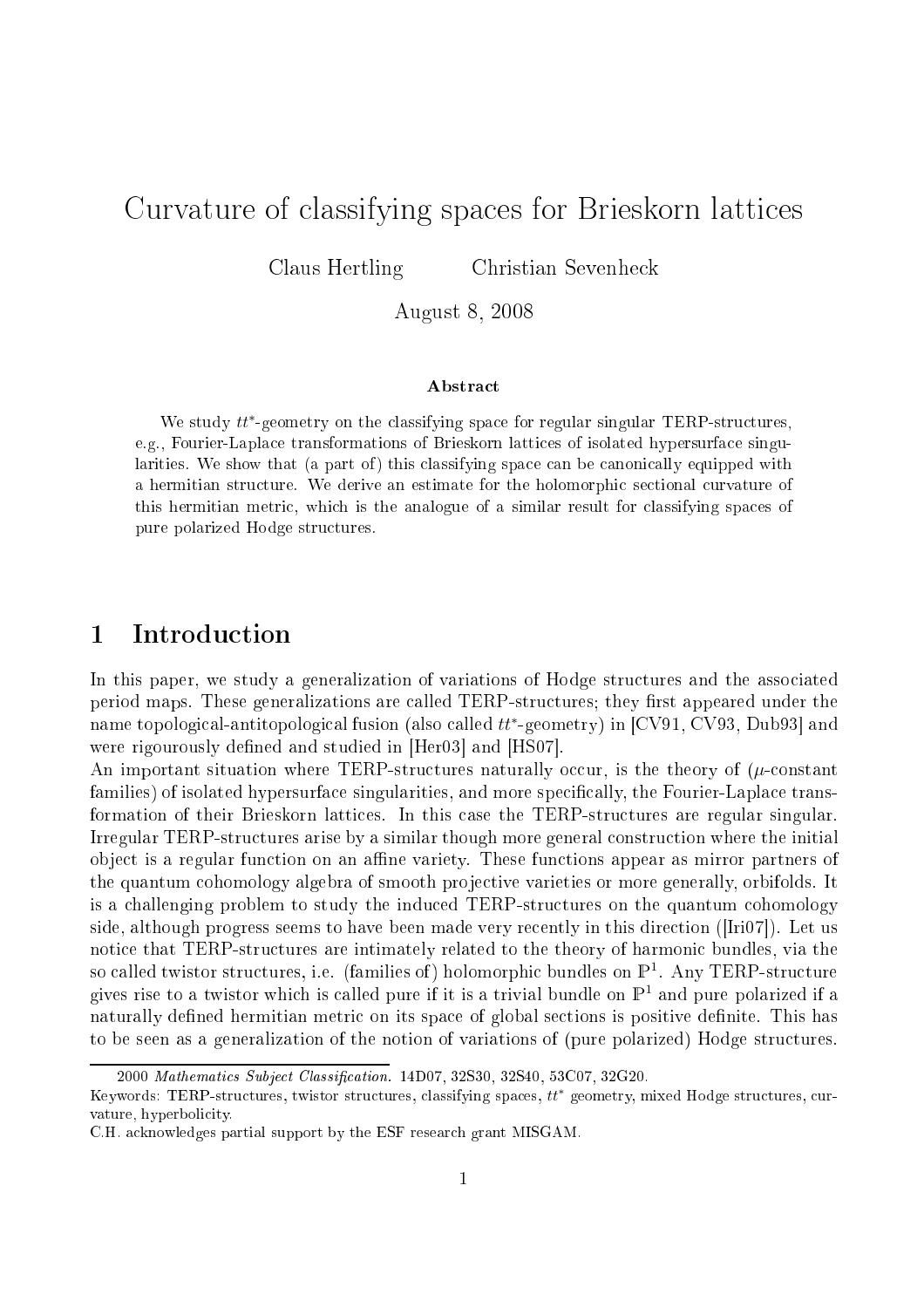# Curvature of lassifying spa
es for Brieskorn latti
es

Claus Hertling Christian Sevenhe
k

August 8, 2008

# **Abstract**

We study  $tt^*$ -geometry on the classifying space for regular singular TERP-structures, e.g., Fourier-Lapla
e transformations of Brieskorn latti
es of isolated hypersurfa
e singularities. We show that (a part of ) this company in part of the space with the space of  $\eta$  and  $\eta$ a matematican structure and the direction and the direction of the model provides in the contract of this metric metric, which is the analogue of a similar result for a similar  $\mu$  space of pure polarized Hodge stru
tures.

### 1**Introduction**

In this paper, we study a generalization of variations of Hodge structures and the associated period maps. These generalizations are called TERP-structures; they first appeared under the name topological-antitopological fusion (also called  $tt^*$ -geometry) in [CV91, CV93, Dub93] and were rigourously defined and studied in [Her03] and [HS07].

An important situation where TERP-structures naturally occur, is the theory of  $(\mu\text{-constant})$ families) of isolated hypersurface singularities, and more specifically, the Fourier-Laplace transformation of their Brieskorn lattices. In this case the TERP-structures are regular singular. Irregular TERP-structures arise by a similar though more general construction where the initial object is a regular function on an affine variety. These functions appear as mirror partners of the quantum cohomology algebra of smooth projective varieties or more generally, orbifolds. It is a challenging problem to study the induced TERP-structures on the quantum cohomology side, although progress seems to have been made very recently in this direction ( $[Iri07]$ ). Let us notice that TERP-structures are intimately related to the theory of harmonic bundles, via the so called twistor structures, i.e. (families of) holomorphic bundles on  $\mathbb{P}^1$ . Any TERP-structure gives rise to a twistor which is called pure if it is a trivial bundle on  $\mathbb{P}^1$  and pure polarized if a naturally defined hermitian metric on its space of global sections is positive definite. This has to be seen as a generalization of the notion of variations of (pure polarized) Hodge stru
tures.

<sup>2000</sup> Mathematics Subject Classification. 14D07, 32S30, 32S40, 53C07, 32G20.

Keywords: TERP-structures, twistor structures, classifying spaces,  $tt*$  geometry, mixed Hodge structures, curvature, hyperbolicity.

C.H. a
knowledges partial support by the ESF resear
h grant MISGAM.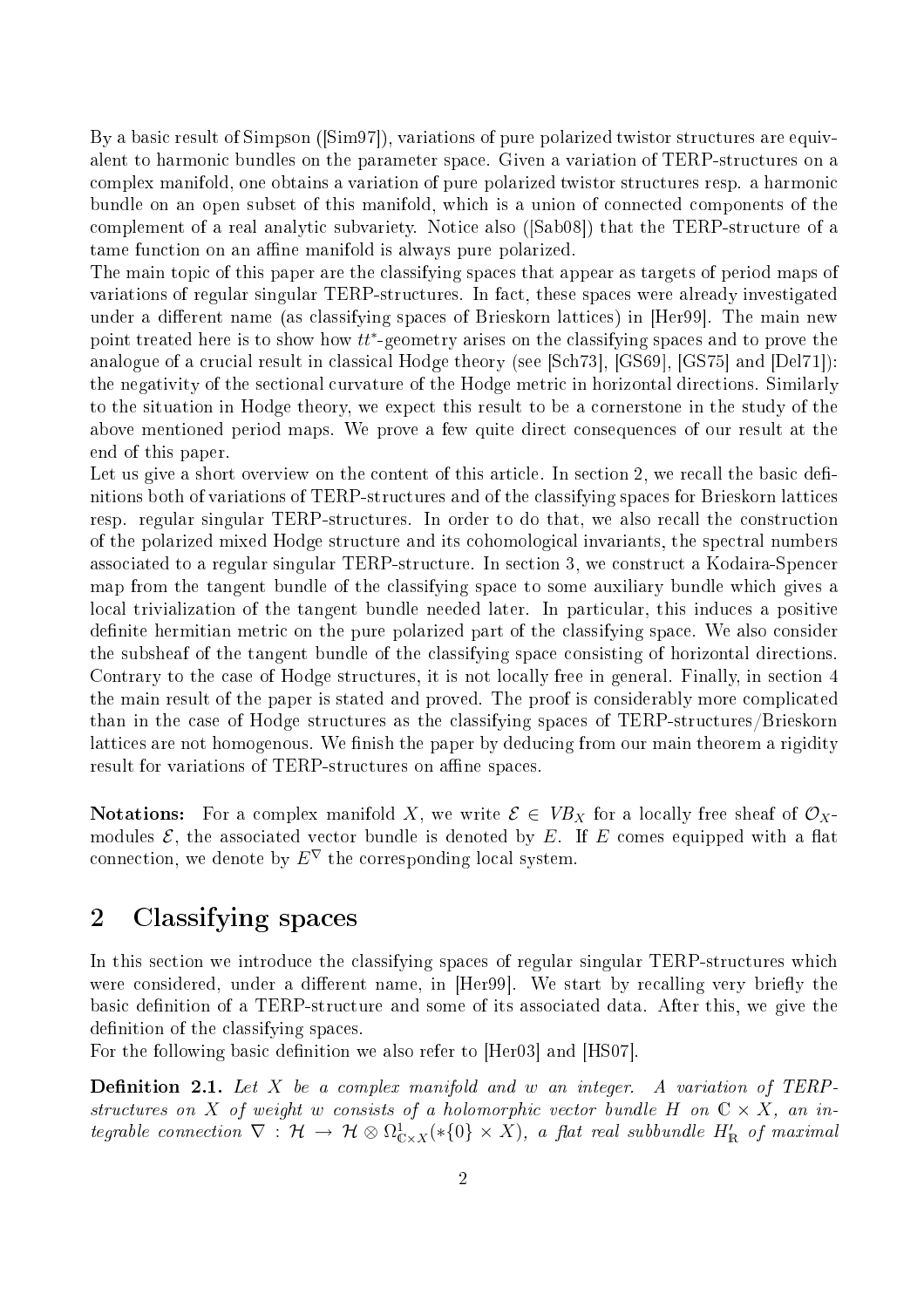By a basic result of  $Simpson$  ( $[Sim97]$ ), variations of pure polarized twistor structures are equivalent to harmonic bundles on the parameter space. Given a variation of TERP-structures on a omplex manifold, one obtains a variation of pure polarized twistor stru
tures resp. a harmoni bundle on an open subset of this manifold, which is a union of connected components of the complement of a real analytic subvariety. Notice also ([Sab08]) that the TERP-structure of a tame function on an affine manifold is always pure polarized.

The main topic of this paper are the classifying spaces that appear as targets of period maps of variations of regular singular TERP-structures. In fact, these spaces were already investigated under a different name (as classifying spaces of Brieskorn lattices) in Her99. The main new point treated here is to show how  $tt^*$ -geometry arises on the classifying spaces and to prove the analogue of a crucial result in classical Hodge theory (see [Sch73], [GS69], [GS75] and [Del71]): the negativity of the sectional curvature of the Hodge metric in horizontal directions. Similarly to the situation in Hodge theory, we expe
t this result to be a ornerstone in the study of the above mentioned period maps. We prove a few quite direct consequences of our result at the end of this paper.

Let us give a short overview on the content of this article. In section 2, we recall the basic definitions both of variations of TERP-structures and of the classifying spaces for Brieskorn lattices resp. regular singular TERP-structures. In order to do that, we also recall the construction of the polarized mixed Hodge stru
ture and its ohomologi
al invariants, the spe
tral numbers associated to a regular singular TERP-structure. In section 3, we construct a Kodaira-Spencer map from the tangent bundle of the lassifying spa
e to some auxiliary bundle whi
h gives a local trivialization of the tangent bundle needed later. In particular, this induces a positive definite hermitian metric on the pure polarized part of the classifying space. We also consider the subsheaf of the tangent bundle of the lassifying spa
e onsisting of horizontal dire
tions. Contrary to the case of Hodge structures, it is not locally free in general. Finally, in section 4 the main result of the paper is stated and proved. The proof is considerably more complicated than in the case of Hodge structures as the classifying spaces of TERP-structures/Brieskorn lattices are not homogenous. We finish the paper by deducing from our main theorem a rigidity result for variations of TERP-structures on affine spaces.

**Notations:** For a complex manifold X, we write  $\mathcal{E} \in VB_X$  for a locally free sheaf of  $\mathcal{O}_X$ modules  $\mathcal{E}$ , the associated vector bundle is denoted by E. If E comes equipped with a flat connection, we denote by  $E^{\nabla}$  the corresponding local system.

## 2Classifying spa
es

In this section we introduce the classifying spaces of regular singular TERP-structures which were considered, under a different name, in [Her99]. We start by recalling very briefly the basic definition of a TERP-structure and some of its associated data. After this, we give the definition of the classifying spaces.

For the following basic definition we also refer to [Her03] and [HS07].

**Definition 2.1.** Let X be a complex manifold and w an integer. A variation of TERPstructures on X of weight w consists of a holomorphic vector bundle H on  $\mathbb{C} \times X$ , an integrable connection  $\nabla$  :  $\mathcal{H} \to \mathcal{H} \otimes \Omega_{\rm C\times X}^1(*\{0\}\times X),$  a flat real subbundle  $H'_{\rm R}$  of maximal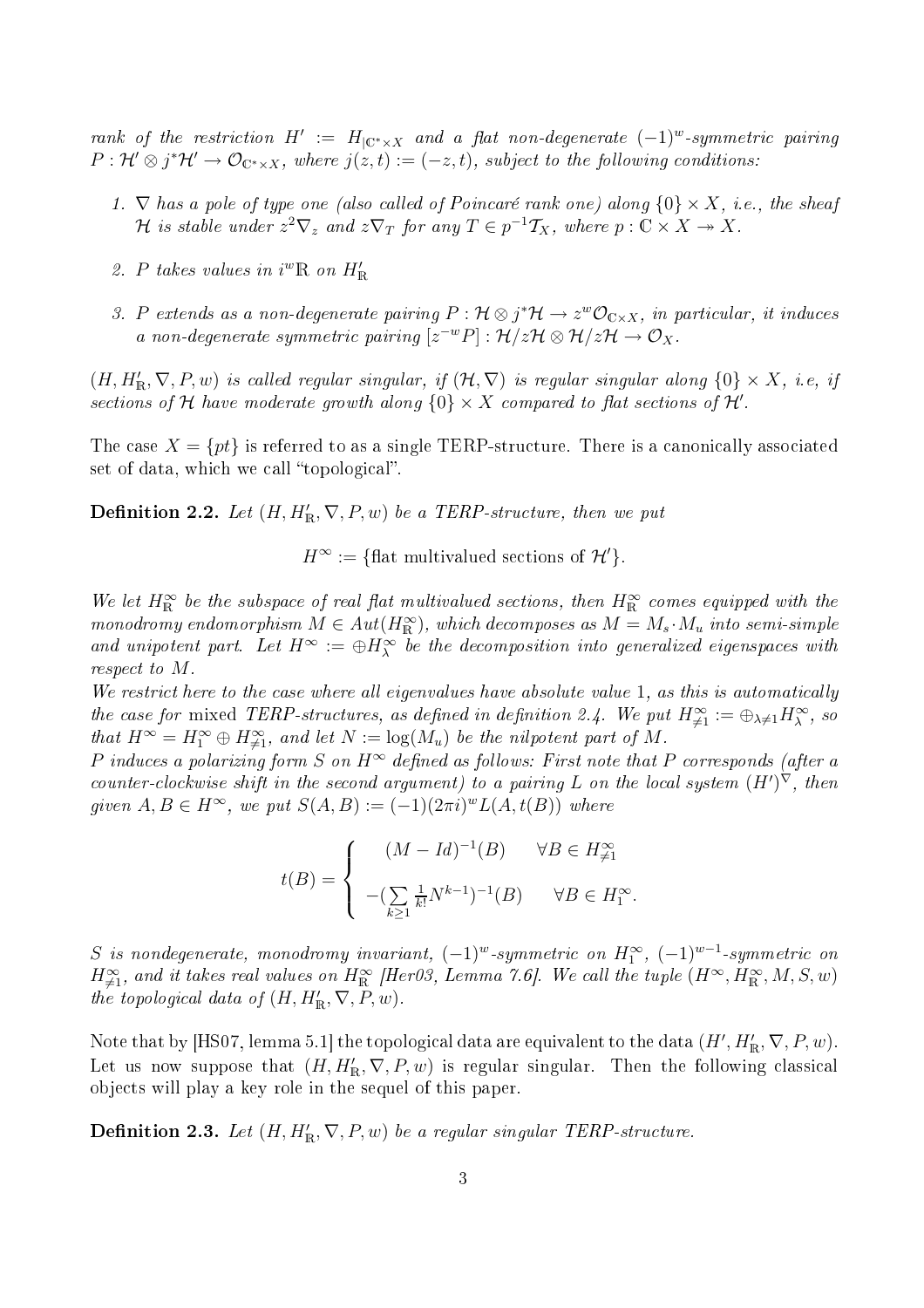rank of the restriction  $H' := H_{|\mathbb{C}^*\times X}$  and a flat non-degenerate  $(-1)^w$ -symmetric pairing  $P: \mathcal{H}' \otimes j^* \mathcal{H}' \to \mathcal{O}_{\mathbb{C}^* \times X}$ , where  $j(z,t) := (-z,t)$ , subject to the following conditions:

- 1.  $\nabla$  has a pole of type one (also called of Poincaré rank one) along  $\{0\} \times X$ , i.e., the sheaf H is stable under  $z^2 \nabla_z$  and  $z \nabla_T$  for any  $T \in p^{-1} \mathcal{T}_X$ , where  $p : \mathbb{C} \times X \to X$ .
- 2. P takes values in  $i^w \mathbb{R}$  on  $H'_{\mathbb{R}}$
- 3. P extends as a non-degenerate pairing  $P: \mathcal{H} \otimes j^*\mathcal{H} \to z^w\mathcal{O}_{C\times X},$  in particular, it induces a non-degenerate symmetric pairing  $[z^{-w}P]: \mathcal{H}/z\mathcal{H} \otimes \mathcal{H}/z\mathcal{H} \to \mathcal{O}_X$ .

 $(H, H'_{\mathbb{R}}, \nabla, P, w)$  is called regular singular, if  $(\mathcal{H}, \nabla)$  is regular singular along  $\{0\} \times X$ , i.e, if sections of  ${\mathcal H}$  have moderate growth along  $\{0\}\times X$  compared to flat sections of  ${\mathcal H}'$ .

The case  $X = \{pt\}$  is referred to as a single TERP-structure. There is a canonically associated set of data, which we call "topological".

**Definition 2.2.** Let  $(H, H'_{\mathbb{R}}, \nabla, P, w)$  be a TERP-structure, then we put

 $H^{\infty} := \{\text{flat multivalued sections of } \mathcal{H}'\}.$ 

We let  $H^{\infty}_{\mathbb{R}}$  be the subspace of real flat multivalued sections, then  $H^{\infty}_{\mathbb{R}}$  comes equipped with the monodromy endomorphism  $M \in Aut(H_{\mathbb{R}}^{\infty})$ , which decomposes as  $M = M_s \cdot M_u$  into semi-simple and unipotent part. Let  $H^{\infty} := \oplus H^{\infty}_{\lambda}$  be the decomposition into generalized eigenspaces with respect to M.

We restrict here to the case where all eigenvalues have absolute value 1, as this is automatically the case for mixed TERP-structures, as defined in definition 2.4. We put  $H_{\neq 1}^{\infty} := \bigoplus_{\lambda \neq 1} H_{\lambda}^{\infty}$ , so that  $H^{\infty} = H_1^{\infty} \oplus H_{\neq 1}^{\infty}$ , and let  $N := \log(M_u)$  be the nilpotent part of M.

P induces a polarizing form S on  $H^{\infty}$  defined as follows: First note that P corresponds (after a counter-clockwise shift in the second argument) to a pairing L on the local system  $(H')^{\nabla}$ , then given  $A, B \in H^{\infty}$ , we put  $S(A, B) := (-1)(2\pi i)^w L(A, t(B))$  where

$$
t(B) = \begin{cases} (M - Id)^{-1}(B) & \forall B \in H_{\neq 1}^{\infty} \\ -(\sum_{k \ge 1} \frac{1}{k!} N^{k-1})^{-1}(B) & \forall B \in H_1^{\infty} \end{cases}
$$

.

 $S$  is nondegenerate, monodromy invariant,  $(-1)^w$ -symmetric on  $H_1^{\infty}$ ,  $(-1)^{w-1}$ -symmetric on  $H^{\infty}_{\neq 1}$ , and it takes real values on  $H^{\infty}_{\mathbb{R}}$  [Her03, Lemma 7.6]. We call the tuple  $(H^{\infty},H^{\infty}_{\mathbb{R}},M,S,w)$ the topological data of  $(H, H'_{\mathbb{R}}, \nabla, P, w)$ .

Note that by [HS07, lemma 5.1] the topological data are equivalent to the data  $(H', H'_{\mathbb{R}}, \nabla, P, w)$ . Let us now suppose that  $(H, H'_{\mathbb{R}}, \nabla, P, w)$  is regular singular. Then the following classical obje
ts will play a key role in the sequel of this paper.

**Definition 2.3.** Let  $(H, H'_{\mathbb{R}}, \nabla, P, w)$  be a regular singular TERP-structure.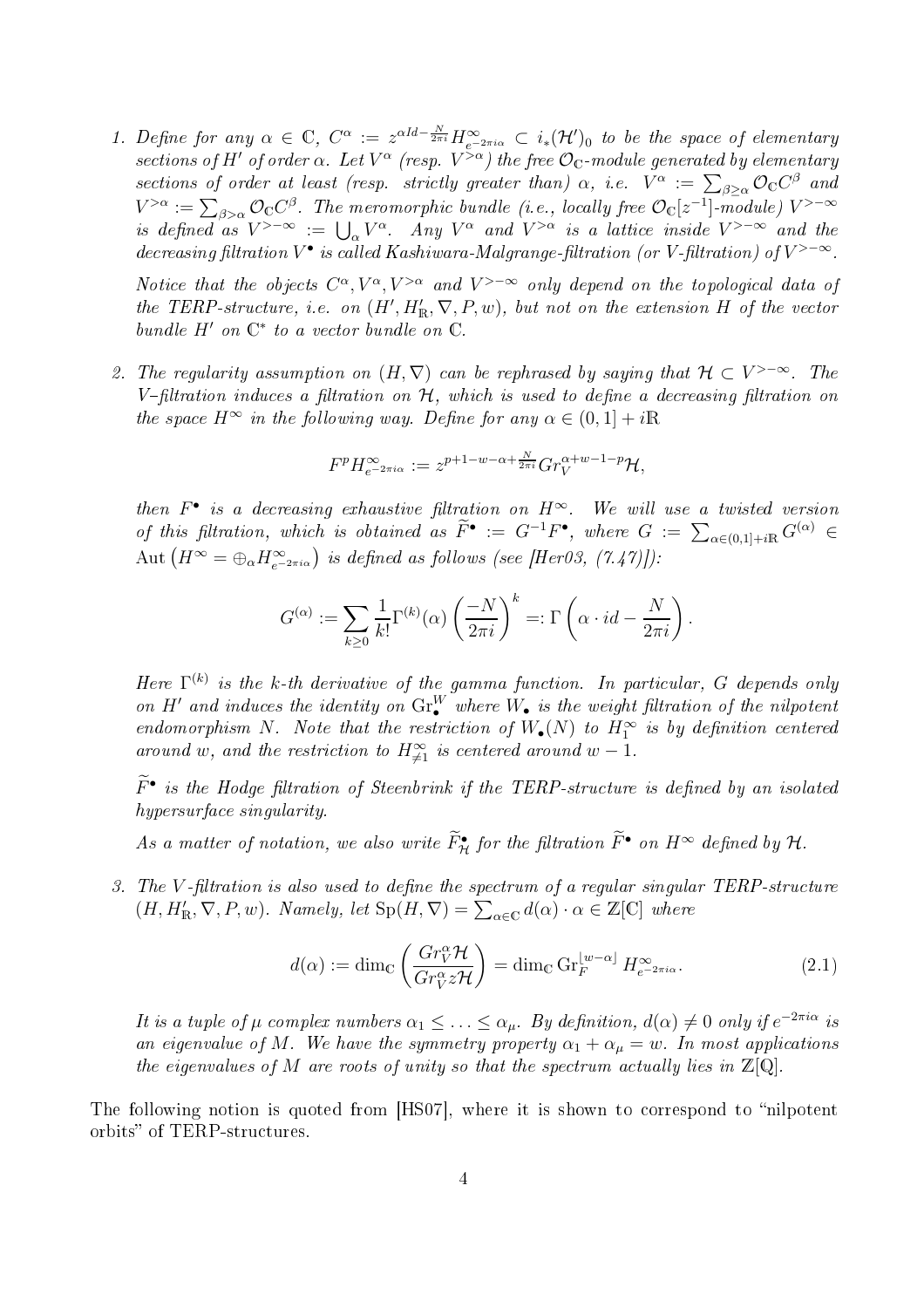1. Define for any  $\alpha \in \mathbb{C}$ ,  $C^{\alpha} := z^{\alpha Id - \frac{N}{2\pi i}} H_{e^{-2\pi i \alpha}}^{\infty} \subset i_{*}(\mathcal{H}')_{0}$  to be the space of elementary sections of H' of order  $\alpha$ . Let  $V^{\alpha}$  (resp.  $V^{>\alpha}$ ) the free  $\mathcal{O}_{\mathbb{C}}$ -module generated by elementary sections of order at least (resp. strictly greater than)  $\alpha$ , i.e.  $V^{\alpha}$  :=  $\sum_{\beta \geq \alpha} \mathcal{O}_\mathbb{C} C^\beta$  and  $V^{>\alpha}:=\sum_{\beta>\alpha}{\cal O}_{{\Bbb C}}C^\beta.$  The meromorphic bundle (i.e., locally free  ${\cal O}_{{\Bbb C}}[z^{-1}]$ -module)  $V^{> -\infty}$ is defined as  $V^{>-\infty} := \bigcup_{\alpha} V^{\alpha}$ . Any  $V^{\alpha}$  and  $V^{>\alpha}$  is a lattice inside  $V^{>-\infty}$  and the decreasing filtration  $V^{\bullet}$  is called Kashiwara-Malgrange-filtration (or V-filtration) of  $V^{>-\infty}$ .

Notice that the objects  $C^{\alpha}, V^{\alpha}, V^{>\alpha}$  and  $V^{>-\infty}$  only depend on the topological data of the TERP-structure, i.e. on  $(H', H'_{\mathbb{R}}, \nabla, P, w)$ , but not on the extension H of the vector bundle  $H'$  on  $\mathbb{C}^*$  to a vector bundle on  $\mathbb{C}$ .

2. The regularity assumption on  $(H, \nabla)$  can be rephrased by saying that  $H \subset V^{>-\infty}$ . The V-filtration induces a filtration on  $H$ , which is used to define a decreasing filtration on the space  $H^{\infty}$  in the following way. Define for any  $\alpha \in (0,1] + i\mathbb{R}$ 

$$
F^p H_{e^{-2\pi i\alpha}}^{\infty} := z^{p+1-w-\alpha+\frac{N}{2\pi i}} Gr_V^{\alpha+w-1-p} \mathcal{H},
$$

then  $F^{\bullet}$  is a decreasing exhaustive filtration on  $H^{\infty}$ . We will use a twisted version of this filtration, which is obtained as  $\widetilde{F}^{\bullet} := G^{-1}F^{\bullet}$ , where  $G := \sum_{\alpha \in (0,1] + iR} G^{(\alpha)} \in$  $\mathrm{Aut}\left(H^{\infty}=\oplus_{\alpha}H^{\infty}_{e^{-2\pi i\alpha}}\right)$  is defined as follows (see [Her03, (7.47)]):

$$
G^{(\alpha)} := \sum_{k \ge 0} \frac{1}{k!} \Gamma^{(k)}(\alpha) \left(\frac{-N}{2\pi i}\right)^k =: \Gamma\left(\alpha \cdot id - \frac{N}{2\pi i}\right).
$$

Here  $\Gamma^{(k)}$  is the k-th derivative of the gamma function. In particular, G depends only on H' and induces the identity on  $\text{Gr}_{\bullet}^W$  where  $W_{\bullet}$  is the weight filtration of the nilpotent endomorphism N. Note that the restriction of  $W_{\bullet}(N)$  to  $H_1^{\infty}$  is by definition centered around w, and the restriction to  $H^{\infty}_{\neq 1}$  is centered around  $w-1$ .

 $\overline{F}{}^{\bullet}$  is the Hodge filtration of Steenbrink if the TERP-structure is defined by an isolated hypersurface singularity.

As a matter of notation, we also write  $\tilde{F}_{\mathcal{H}}^{\bullet}$  for the filtration  $\tilde{F}^{\bullet}$  on  $H^{\infty}$  defined by  $\mathcal{H}.$ 

3. The V-filtration is also used to define the spectrum of a regular singular TERP-structure  $(H, H'_{\mathbb{R}}, \nabla, P, w)$ . Namely, let  $\text{Sp}(H, \nabla) = \sum_{\alpha \in \mathbb{C}} d(\alpha) \cdot \alpha \in \mathbb{Z}[\mathbb{C}]$  where

$$
d(\alpha) := \dim_{\mathbb{C}} \left( \frac{Gr_V^{\alpha} \mathcal{H}}{Gr_V^{\alpha} z \mathcal{H}} \right) = \dim_{\mathbb{C}} \operatorname{Gr}_F^{\lfloor w - \alpha \rfloor} H_{e^{-2\pi i \alpha}}^{\infty}.
$$
 (2.1)

It is a tuple of  $\mu$  complex numbers  $\alpha_1 \leq \ldots \leq \alpha_{\mu}$ . By definition,  $d(\alpha) \neq 0$  only if  $e^{-2\pi i \alpha}$  is an eigenvalue of M. We have the symmetry property  $\alpha_1 + \alpha_\mu = w$ . In most applications the eigenvalues of M are roots of unity so that the spectrum actually lies in  $\mathbb{Z}[Q]$ .

The following notion is quoted from  $[HSO7]$ , where it is shown to correspond to "nilpotent" orbits" of TERP-structures.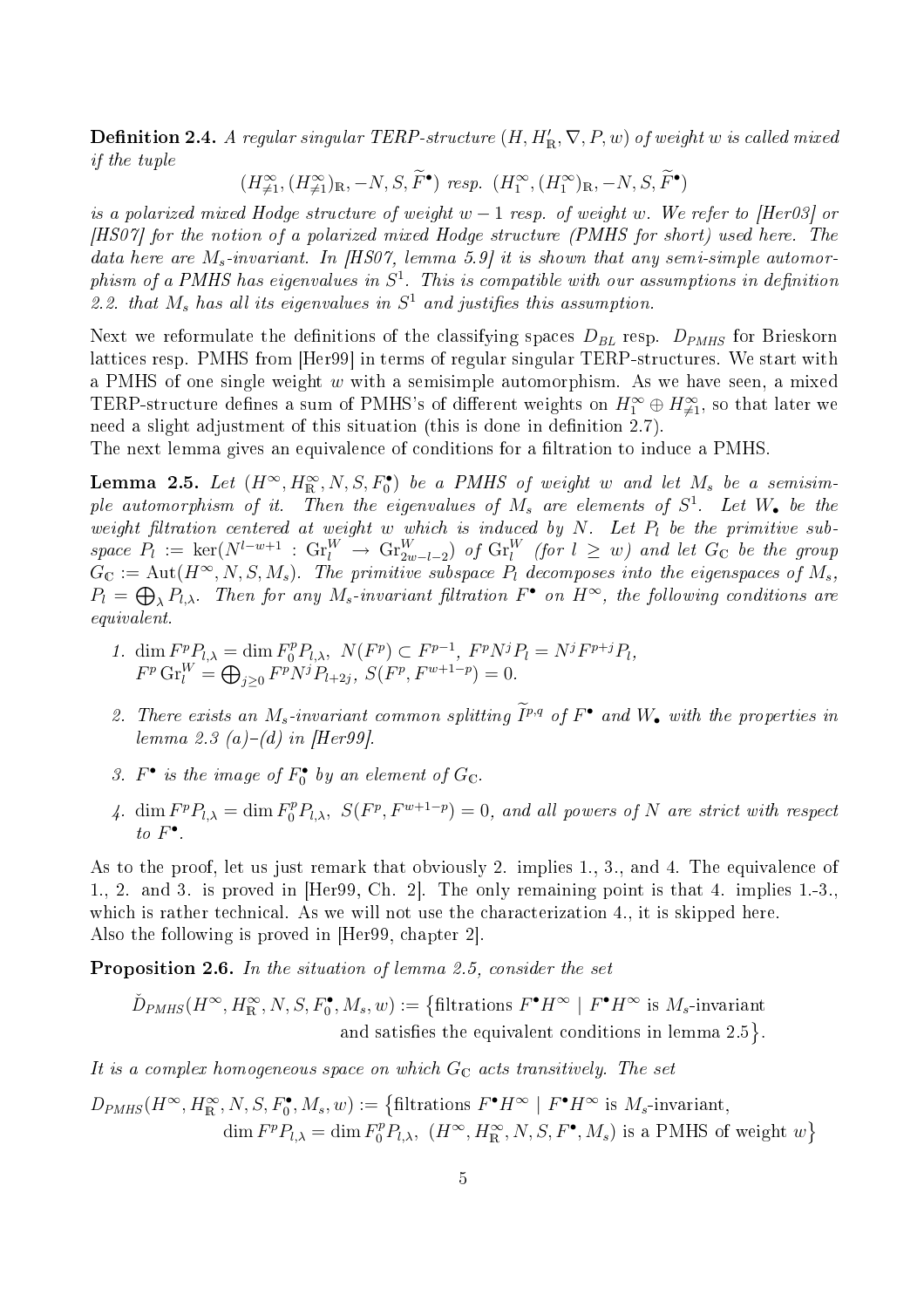$\bf{Definition\ 2.4.}$  A regular singular TERP-structure  $(H,H_{\mathbb{R}}',\nabla,P,w)$  of weight  $w$  is called mixed if the tuple

 $(H^{\infty}_{\neq 1},(H^{\infty}_{\neq 1})_{\mathbb{R}},-N, S, \tilde{F}^{\bullet})$  resp.  $(H^{\infty}_{1},(H^{\infty}_{1})_{\mathbb{R}},-N, S, \tilde{F}^{\bullet})$ 

is a polarized mixed Hodge structure of weight w  $-1$  resp. of weight w. We refer to [Her03] or [HS07] for the notion of a polarized mixed Hodge structure (PMHS for short) used here. The data here are  $M_s$ -invariant. In [HS07, lemma 5.9] it is shown that any semi-simple automorphism of a PMHS has eigenvalues in  $S^1$ . This is compatible with our assumptions in definition 2.2. that  $M_s$  has all its eigenvalues in  $S<sup>1</sup>$  and justifies this assumption.

Next we reformulate the definitions of the classifying spaces  $D_{BL}$  resp.  $D_{PMHS}$  for Brieskorn lattices resp. PMHS from [Her99] in terms of regular singular TERP-structures. We start with a PMHS of one single weight  $w$  with a semisimple automorphism. As we have seen, a mixed TERP-structure defines a sum of PMHS's of different weights on  $H_1^\infty\oplus H_{\neq 1}^\infty,$  so that later we need a slight adjustment of this situation (this is done in definition 2.7).

The next lemma gives an equivalence of conditions for a filtration to induce a PMHS.

**Lemma 2.5.** Let  $(H^{\infty}, H^{\infty}_{\mathbb{R}}, N, S, F^{\bullet}_{0})$  be a PMHS of weight w and let  $M_{s}$  be a semisimple automorphism of it. Then the eigenvalues of  $M_s$  are elements of  $S^1$ . Let  $W_\bullet$  be the weight filtration centered at weight w which is induced by N. Let  $P_l$  be the primitive sub $space P_l := \text{ker}(N^{l-w+1} : \text{Gr}_l^W \rightarrow \text{Gr}_{2w-l-2}^W) \text{ of } \text{Gr}_l^W \text{ (for } l \geq w) \text{ and let } G_{\mathbb{C}} \text{ be the group } \text{ for } l \geq w$  $G_{\mathbb{C}} := \text{Aut}(H^{\infty}, N, S, M_s)$ . The primitive subspace  $P_l$  decomposes into the eigenspaces of  $M_s$ ,  $P_l = \bigoplus_{\lambda} P_{l,\lambda}$ . Then for any  $M_s$ -invariant filtration  $F^{\bullet}$  on  $H^{\infty}$ , the following conditions are equivalent.

- 1.  $\dim F^p P_{l,\lambda} = \dim F_0^p P_{l,\lambda}, \ N(F^p) \subset F^{p-1}, F^p N^j P_l = N^j F^{p+j} P_l,$  $F^p \text{Gr}_l^W = \bigoplus_{j \geq 0} F^p N^j P_{l+2j}, \ S(F^p, F^{w+1-p}) = 0.$
- 2. There exists an  $M_s$ -invariant common splitting  $I^{p,q}$  of  $F^{\bullet}$  and  $W_{\bullet}$  with the properties in lemma 2.3 (a)–(d) in [Her99].
- 3.  $F^{\bullet}$  is the image of  $F^{\bullet} _0$  by an element of  $G_{\mathbb{C}}$ .
- 4. dim  $F^p P_{l,\lambda} = \dim F_0^p P_{l,\lambda}, S(F^p, F^{w+1-p}) = 0$ , and all powers of N are strict with respect to  $F^{\bullet}$ .

As to the proof, let us just remark that obviously 2. implies 1, 3, and 4. The equivalence of 1., 2. and 3. is proved in  $[Her99, Ch. 2]$ . The only remaining point is that 4. implies 1.-3., which is rather technical. As we will not use the characterization 4, it is skipped here. Also the following is proved in  $[Her99, chapter 2].$ 

Proposition 2.6. In the situation of lemma 2.5, consider the set

 $\tilde{D}_{PMHS}(H^{\infty}, H^{\infty}_{\mathbb{R}}, N, S, F^{\bullet}_{0}, M_{s}, w) := \left\{ \text{filtrations } F^{\bullet} H^{\infty} \mid F^{\bullet} H^{\infty} \text{ is } M_{s}\text{-invariant} \right\}$ and satisfies the equivalent conditions in lemma  $2.5$ .

It is a complex homogeneous space on which  $G_{\mathbb{C}}$  acts transitively. The set

 $D_{PMHS}(H^{\infty}, H^{\infty}_{\mathbb{R}}, N, S, F^{\bullet}_{0}, M_{s}, w) := \left\{\text{filtrations } F^{\bullet} H^{\infty} \mid F^{\bullet} H^{\infty} \text{ is } M_{s}\text{-invariant}, \right.$  $\dim F^p P_{l,\lambda} = \dim F_0^p P_{l,\lambda}, \ (H^{\infty}, H^{\infty}_{\mathbb{R}}, N, S, F^{\bullet}, M_s)$  is a PMHS of weight  $w$ }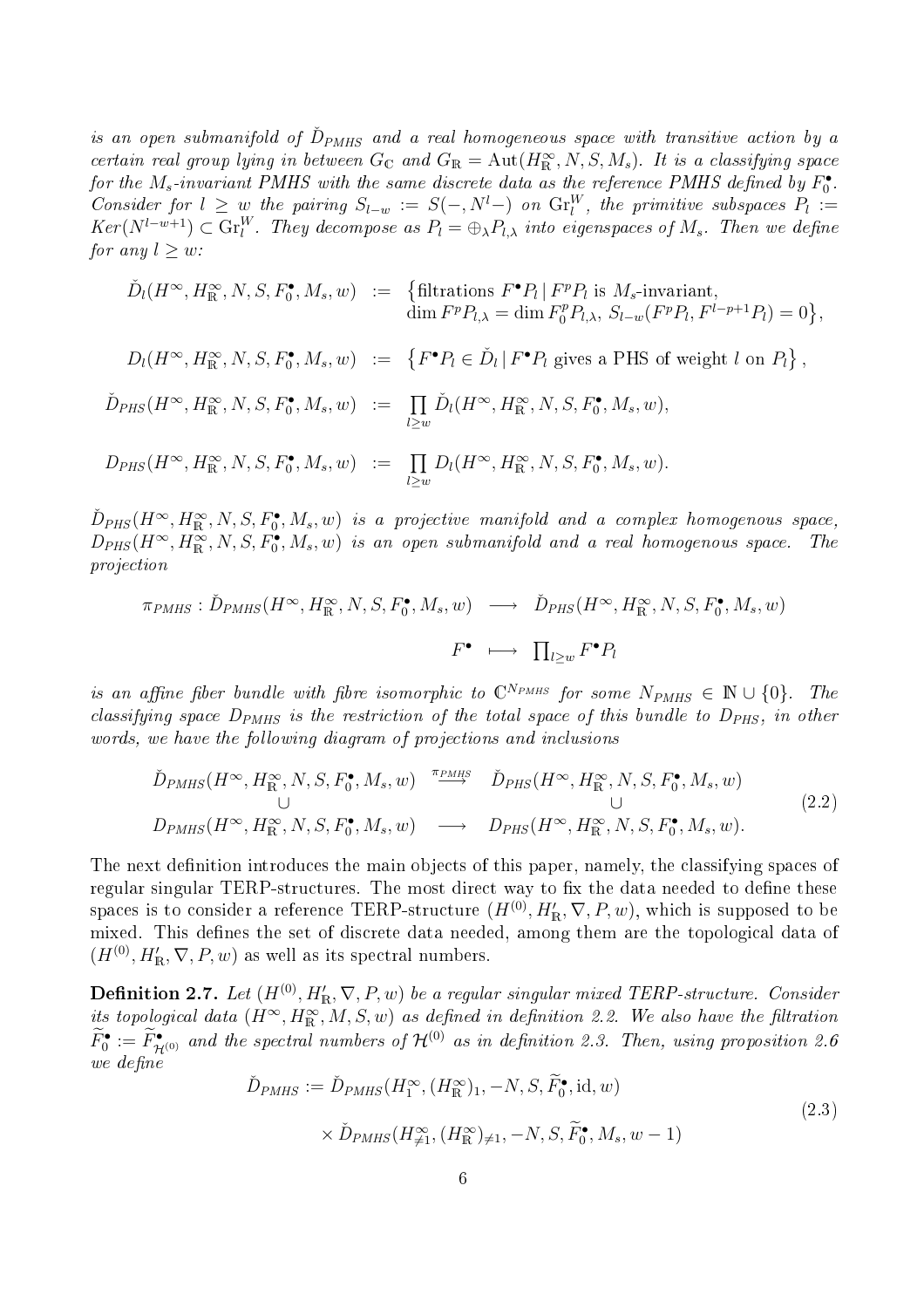is an open submanifold of  $\check{D}_{PMHS}$  and a real homogeneous space with transitive action by a certain real group lying in between  $G_{\mathbb{C}}$  and  $G_{\mathbb{R}} = \text{Aut}(H^{\infty}_{\mathbb{R}}, N, S, M_s)$ . It is a classifying space for the  $M_s$ -invariant PMHS with the same discrete data as the reference PMHS defined by  $F_0^{\bullet}$ . Consider for  $l \geq w$  the pairing  $S_{l-w} := S(-, N^l-)$  on  $\text{Gr}_{l}^W$ , the primitive subspaces  $P_l :=$  $Ker(N^{l-w+1}) \subset \mathrm{Gr}^W_l$ . They decompose as  $P_l = \oplus_{\lambda} P_{l,\lambda}$  into eigenspaces of  $M_s$ . Then we define for any  $l > w$ :

$$
\tilde{D}_l(H^{\infty}, H^{\infty}_{\mathbb{R}}, N, S, F_0^{\bullet}, M_s, w) := \left\{ \begin{matrix} \text{filtrations } F^{\bullet}P_l \mid F^pP_l \text{ is } M_s\text{-invariant,} \\ \dim F^pP_{l,\lambda} = \dim F_0^pP_{l,\lambda}, S_{l-w}(F^pP_l, F^{l-p+1}P_l) = 0 \end{matrix} \right\},
$$

$$
D_l(H^{\infty}, H^{\infty}_{\mathbb{R}}, N, S, F^{\bullet}_{0}, M_s, w) \ := \ \left\{ F^{\bullet}P_l \in \check{D}_l \, | \, F^{\bullet}P_l \text{ gives a PHS of weight } l \text{ on } P_l \right\},
$$

$$
\tilde{D}_{PHS}(H^{\infty}, H^{\infty}_{\mathbb{R}}, N, S, F^{\bullet}_{0}, M_{s}, w) := \prod_{l \geq w} \tilde{D}_{l}(H^{\infty}, H^{\infty}_{\mathbb{R}}, N, S, F^{\bullet}_{0}, M_{s}, w),
$$

$$
D_{PHS}(H^{\infty}, H^{\infty}_{\mathbb{R}}, N, S, F^{\bullet}_{0}, M_{s}, w) \ := \ \prod_{l \geq w} D_{l}(H^{\infty}, H^{\infty}_{\mathbb{R}}, N, S, F^{\bullet}_{0}, M_{s}, w).
$$

 $\check{D}_{PHS}(H^{\infty}, H^{\infty}_{\mathbb{R}}, N, S, F^{\bullet}_{0}, M_{s}, w)$  is a projective manifold and a complex homogenous space,  $D_{PHS}(H^{\infty}, H^{\infty}_{\mathbb{R}}, N, S, F^{\bullet}_{0}, M_{s}, w)$  is an open submanifold and a real homogenous space. The proje
tion

$$
\pi_{PMHS}: \check{D}_{PMHS}(H^{\infty}, H^{\infty}_{\mathbb{R}}, N, S, F^{\bullet}_{0}, M_{s}, w) \longrightarrow \check{D}_{PHS}(H^{\infty}, H^{\infty}_{\mathbb{R}}, N, S, F^{\bullet}_{0}, M_{s}, w)
$$

$$
F^{\bullet} \longmapsto \prod_{l \geq w} F^{\bullet} P_{l}
$$

is an affine fiber bundle with fibre isomorphic to  $\mathbb{C}^{N_{PMHS}}$  for some  $N_{PMHS} \in \mathbb{N} \cup \{0\}$ . The classifying space  $D_{PMHS}$  is the restriction of the total space of this bundle to  $D_{PHS}$ , in other words, we have the following diagram of projections and inclusions

$$
\tilde{D}_{PMHS}(H^{\infty}, H^{\infty}_{\mathbb{R}}, N, S, F^{\bullet}_{0}, M_{s}, w) \xrightarrow{\pi_{PMHS}} \tilde{D}_{PHS}(H^{\infty}, H^{\infty}_{\mathbb{R}}, N, S, F^{\bullet}_{0}, M_{s}, w) \cup \bigcup_{\bigcup}
$$
\n
$$
D_{PMHS}(H^{\infty}, H^{\infty}_{\mathbb{R}}, N, S, F^{\bullet}_{0}, M_{s}, w) \longrightarrow D_{PHS}(H^{\infty}, H^{\infty}_{\mathbb{R}}, N, S, F^{\bullet}_{0}, M_{s}, w).
$$
\n
$$
(2.2)
$$

The next definition introduces the main objects of this paper, namely, the classifying spaces of regular singular TERP-structures. The most direct way to fix the data needed to define these spaces is to consider a reference TERP-structure  $(H^{(0)}, H'_{\mathbb{R}}, \nabla, P, w)$ , which is supposed to be mixed. This defines the set of discrete data needed, among them are the topological data of  $(H^{(0)}, H'_{\mathbb{R}}, \nabla, P, w)$  as well as its spectral numbers.

**Definition 2.7.** Let  $(H^{(0)}, H'_{\mathbb{R}}, \nabla, P, w)$  be a regular singular mixed TERP-structure. Consider its topological data  $(H^{\infty}, H^{\infty}_{\mathbb{R}}, M, S, w)$  as defined in definition 2.2. We also have the filtration  $F_0^{\bullet}:=F_{\mathcal{H}^{(0)}}^{\bullet}$  and the spectral numbers of  $\mathcal{H}^{(0)}$  as in definition 2.3. Then, using proposition 2.6 we define

$$
\tilde{D}_{PMHS} := \tilde{D}_{PMHS}(H_1^{\infty}, (H_{\mathbb{R}}^{\infty})_1, -N, S, \tilde{F}_0^{\bullet}, \text{id}, w)
$$
\n
$$
\times \tilde{D}_{PMHS}(H_{\neq 1}^{\infty}, (H_{\mathbb{R}}^{\infty})_{\neq 1}, -N, S, \tilde{F}_0^{\bullet}, M_s, w - 1)
$$
\n(2.3)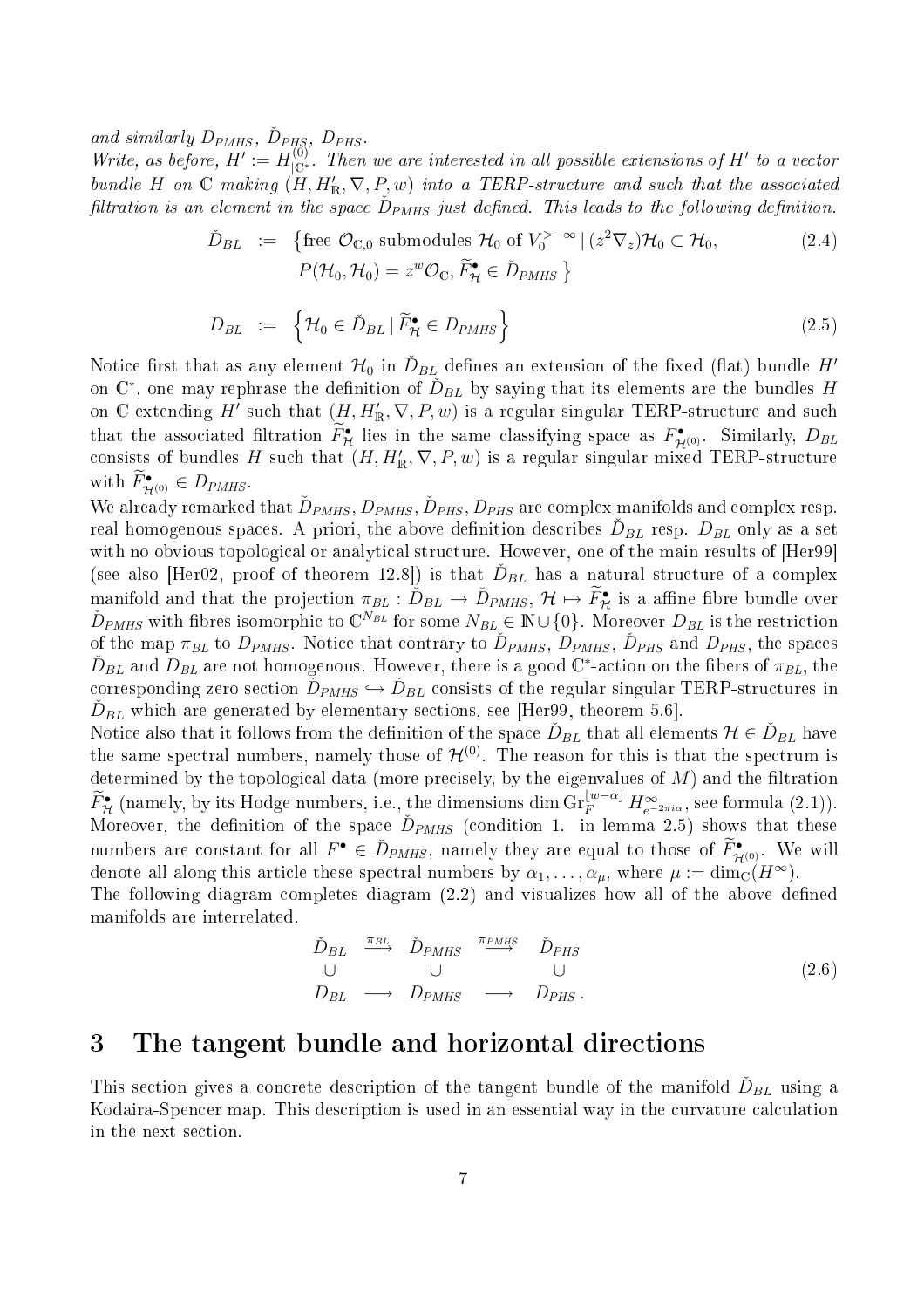and similarly  $D_{PMHS}$ ,  $\check{D}_{PHS}$ ,  $D_{PHS}$ .

Write, as before,  $H' := H_{\vert \mathbb{C}^*}^{(0)}$ . Then we are interested in all possible extensions of  $H'$  to a vector bundle H on C making  $(H,H_{\mathbb{R}}^{\prime},\nabla,P,w)$  into a TERP-structure and such that the associated filtration is an element in the space  $\check{D}_{PMHS}$  just defined. This leads to the following definition.

$$
\tilde{D}_{BL} := \left\{ \text{free } \mathcal{O}_{\mathbb{C},0} \text{-submodules } \mathcal{H}_0 \text{ of } V_0^{>-\infty} \mid (z^2 \nabla_z) \mathcal{H}_0 \subset \mathcal{H}_0, \right. \\
\left. P(\mathcal{H}_0, \mathcal{H}_0) = z^w \mathcal{O}_{\mathbb{C}}, \tilde{F}_{\mathcal{H}}^{\bullet} \in \tilde{D}_{PMHS} \right\}
$$
\n
$$
(2.4)
$$

$$
D_{BL} := \left\{ \mathcal{H}_0 \in \check{D}_{BL} \, | \, \widetilde{F}_{\mathcal{H}} \in D_{PMHS} \right\} \tag{2.5}
$$

Notice first that as any element  ${\cal H}_0$  in  $\check{D}_{BL}$  defines an extension of the fixed (flat) bundle  $H'$ on  $\mathbb{C}^*$ , one may rephrase the definition of  $\check{D}_{BL}$  by saying that its elements are the bundles  $H$ on  $\mathbb C$  extending  $H'$  such that  $(H, H'_{\mathbb R}, \nabla, P, w)$  is a regular singular TERP-structure and such that the associated filtration  $\tilde{F}_{\mathcal{H}}^{\bullet}$  lies in the same classifying space as  $F_{\mathcal{H}^{(0)}}^{\bullet}$ . Similarly,  $D_{BL}$ consists of bundles H such that  $(H, H'_{\mathbb{R}}, \nabla, P, w)$  is a regular singular mixed TERP-structure with  $\widetilde{F}_{\mathcal{H}^{(0)}}^{\bullet} \in D_{PMHS}$ .

We already remarked that  $\check{D}_{PMHS}, D_{PMHS}, \check{D}_{PHS}, D_{PHS}$  are complex manifolds and complex resp. real homogenous spaces. A priori, the above definition describes  $\check{D}_{BL}$  resp.  $D_{BL}$  only as a set with no obvious topological or analytical structure. However, one of the main results of [Her99] (see also [Her02, proof of theorem 12.8]) is that  $\check{D}_{BL}$  has a natural structure of a complex manifold and that the projection  $\pi_{BL} : \check{D}_{BL} \to \check{D}_{PMHS}$ ,  $\mathcal{H} \mapsto \widetilde{F}_{\mathcal{H}}^{\bullet}$  is a affine fibre bundle over  $\check{D}_{PMHS}$  with fibres isomorphic to  $\mathbb{C}^{N_{BL}}$  for some  $N_{BL} \in \mathbb{N} \cup \{0\}$ . Moreover  $D_{BL}$  is of the map  $\pi_{BL}$  to  $D_{PMHS}$ . Notice that contrary to  $\check{D}_{PMHS}$ ,  $\check{D}_{PMHS}$ ,  $\check{D}_{PHS}$  and  $D_{PHS}$ , the spaces  $\check{D}_{BL}$  and  $D_{BL}$  are not homogenous. However, there is a good  $\mathbb{C}^*$ -action on the fibers of  $\pi_{BL},$  the corresponding zero section  $\check{D}_{PMHS} \hookrightarrow \check{D}_{BL}$  consists of the regular singular TERP-structures in  $\check{D}_{BL}$  which are generated by elementary sections, see [Her99, theorem 5.6].

Notice also that it follows from the definition of the space  $\check{D}_{BL}$  that all elements  $\mathcal{H} \in \check{D}_{BL}$  have the same spectral numbers, namely those of  $\mathcal{H}^{(0)}$ . The reason for this is that the spectrum is determined by the topological data (more precisely, by the eigenvalues of  $M$ ) and the filtration  $\widetilde{F}_{\mathcal{H}}^{\bullet}$  (namely, by its Hodge numbers, i.e., the dimensions dim Gr $_{F}^{\lfloor w-\alpha \rfloor} H_{e^{-2\pi i\alpha}}^{\infty}$ , see formula (2.1)).<br>Moreover, the definition of the space  $\widetilde{D}_{PMHS}$  (condition 1. in lemma 2.5) shows tha numbers are constant for all  $F^{\bullet} \in \tilde{D}_{PMHS}$ , namely they are equal to those of  $\tilde{F}^{\bullet}_{\mathcal{H}^{(0)}}$ . We will denote all along this article these spectral numbers by  $\alpha_1, \ldots, \alpha_\mu$ , where  $\mu := \dim_{\mathbb{C}}(H^{\infty})$ .

The following diagram completes diagram (2.2) and visualizes how all of the above defined manifolds are interrelated.

$$
\begin{array}{ccccccc}\n\check{D}_{BL} & \xrightarrow{\pi_{BL}} & \check{D}_{PMHS} & \xrightarrow{\pi_{PMHS}} & \check{D}_{PHS} & & & & \\
\cup & & \cup & & \cup & & \cup & & \\
D_{BL} & \longrightarrow & D_{PMHS} & \longrightarrow & D_{PHS} & & & \\
\end{array}
$$
\n(2.6)

#### 3The tangent bundle and horizontal directions

This section gives a concrete description of the tangent bundle of the manifold  $\check{D}_{BL}$  using a Kodaira-Spencer map. This description is used in an essential way in the curvature calculation in the next section.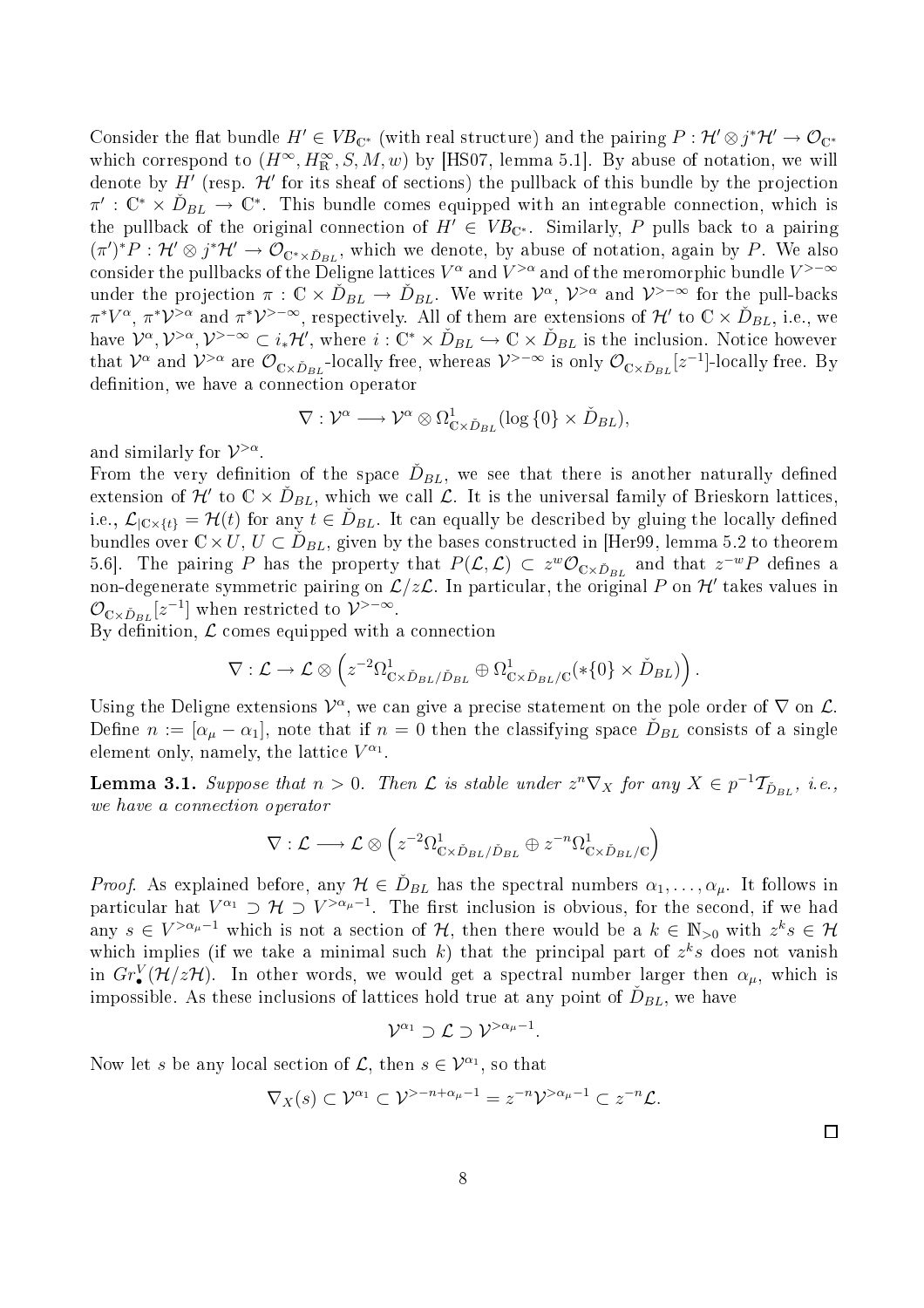Consider the flat bundle  $H' \in VB_{\mathbb{C}^*}$  (with real structure) and the pairing  $P: \mathcal{H}' \otimes j^* \mathcal{H}' \to \mathcal{O}_{\mathbb{C}^*}$ which correspond to  $(H^{\infty}, H^{\infty}_{\mathbb{R}}, S, M, w)$  by [HS07, lemma 5.1]. By abuse of notation, we will denote by  $H'$  (resp.  $\mathcal{H}'$  for its sheaf of sections) the pullback of this bundle by the projection  $\pi': \mathbb{C}^* \times \check{D}_{BL} \to \mathbb{C}^*$ . This bundle comes equipped with an integrable connection, which is the pullback of the original connection of  $H' \in VB_{\mathbb{C}^*}$ . Similarly, P pulls back to a pairing  $(\pi')^*P: \mathcal{H}' \otimes j^*\mathcal{H}' \to \mathcal{O}_{\mathbb{C}^*\times \check{D}_{BL}}$ , which we denote, by abuse of notation, again by P. We also consider the pullbacks of the Deligne lattices  $V^\alpha$  and  $V^{>\alpha}$  and of the meromorphic bundle  $V^{> -\infty}$ under the projection  $\pi : \mathbb{C} \times \check{D}_{BL} \to \check{D}_{BL}$ . We write  $\mathcal{V}^{\alpha}, \mathcal{V}^{>\alpha}$  and  $\mathcal{V}^{>-\infty}$  for the pull-backs  $\pi^*V^{\alpha}, \pi^*\mathcal{V}^{>\alpha}$  and  $\pi^*\mathcal{V}^{>-\infty}$ , respectively. All of them are extensions of  $\mathcal{H}'$  to  $\mathbb{C}\times \check{D}_{BL}$ , i.e., we have  $\mathcal{V}^{\alpha}, \mathcal{V}^{>\alpha}, \mathcal{V}^{>-\infty} \subset i_*\mathcal{H}'$ , where  $i: \mathbb{C}^* \times \check{D}_{BL} \hookrightarrow \mathbb{C} \times \check{D}_{BL}$  is the inclusion. Notice however that  $\mathcal{V}^{\alpha}$  and  $\mathcal{V}^{>\alpha}$  are  $\mathcal{O}_{\mathbb{C}\times\check{D}_{BL}}$ -locally free, whereas  $\mathcal{V}^{>-\infty}$  is only  $\mathcal{O}_{\mathbb{C}\times\check{D}_{BL}}[z^{-1}]$ -locally free. By definition, we have a connection operator

$$
\nabla: \mathcal{V}^{\alpha} \longrightarrow \mathcal{V}^{\alpha} \otimes \Omega^{1}_{\mathbb{C} \times \check{D}_{BL}}(\log\{0\} \times \check{D}_{BL}),
$$

and similarly for  $\mathcal{V}^{>\alpha}$ .

From the very definition of the space  $\check{D}_{BL},$  we see that there is another naturally defined extension of  $\mathcal{H}'$  to  $\mathbb{C}\times\check{D}_{BL}$ , which we call  $\mathcal{L}$ . It is the universal family of Brieskorn lattices, i.e.,  $\mathcal{L}_{|\mathbb{C}\times\{t\}} = \mathcal{H}(t)$  for any  $t \in \check{D}_{BL}$ . It can equally be described by gluing the locally defined bundles over  $\mathbb{C} \times U$ ,  $U \subset \check{D}_{BL}$ , given by the bases constructed in [Her99, lemma 5.2 to theorem 5.6. The pairing P has the property that  $P(\mathcal{L}, \mathcal{L}) \subset z^w \mathcal{O}_{\mathbb{C} \times \check{D}_{BL}}$  and that  $z^{-w}P$  defines a non-degenerate symmetric pairing on  $\mathcal{L}/z\mathcal{L}$ . In particular, the original P on  $\mathcal{H}'$  takes values in  $\mathcal{O}_{\mathbb{C}\times \check{D}_{BL}}[z^{-1}]$  when restricted to  $\mathcal{V}^{>-\infty}$ .

By definition,  $\mathcal L$  comes equipped with a connection

$$
\nabla: \mathcal{L} \to \mathcal{L} \otimes \left( z^{-2} \Omega_{\mathbb{C} \times \check{D}_{BL}/\check{D}_{BL}}^1 \oplus \Omega_{\mathbb{C} \times \check{D}_{BL}/\mathbb{C}}^1(*\{0\} \times \check{D}_{BL}) \right).
$$

Using the Deligne extensions  $\mathcal{V}^{\alpha}$ , we can give a precise statement on the pole order of  $\nabla$  on  $\mathcal{L}$ . Define  $n := [\alpha_{\mu} - \alpha_1]$ , note that if  $n = 0$  then the classifying space  $\check{D}_{BL}$  consists of a single element only, namely, the lattice  $V^{\alpha_1}$ .

**Lemma 3.1.** Suppose that  $n > 0$ . Then  $\mathcal{L}$  is stable under  $z^n \nabla_X$  for any  $X \in p^{-1} \mathcal{T}_{\check{D}_{BL}}$ , i.e., we have a connection operator

$$
\nabla : \mathcal{L} \longrightarrow \mathcal{L} \otimes \left( z^{-2} \Omega_{\mathbb{C} \times \check{D}_{BL}/\check{D}_{BL}}^1 \oplus z^{-n} \Omega_{\mathbb{C} \times \check{D}_{BL}/\mathbb{C}}^1 \right)
$$

*Proof.* As explained before, any  $\mathcal{H} \in \tilde{D}_{BL}$  has the spectral numbers  $\alpha_1, \ldots, \alpha_{\mu}$ . It follows in particular hat  $V^{\alpha_1} \supset \mathcal{H} \supset V^{>\alpha_{\mu}-1}$ . The first inclusion is obvious, for the second, if we had any  $s \in V^{> \alpha_{\mu}-1}$  which is not a section of  $H$ , then there would be a  $k \in \mathbb{N}_{>0}$  with  $z^k s \in H$ which implies (if we take a minimal such k) that the principal part of  $z^k s$  does not vanish in  $Gr^V_{\bullet}(\mathcal{H}/z\mathcal{H})$ . In other words, we would get a spectral number larger then  $\alpha_{\mu}$ , which is impossible. As these inclusions of lattices hold true at any point of  $\check{D}_{BL}$ , we have

$$
\mathcal{V}^{\alpha_1} \supset \mathcal{L} \supset \mathcal{V}^{>\alpha_\mu-1}
$$

.

Now let s be any local section of  $\mathcal{L}$ , then  $s \in \mathcal{V}^{\alpha_1}$ , so that

$$
\nabla_X(s) \subset \mathcal{V}^{\alpha_1} \subset \mathcal{V}^{n-\alpha+\alpha_\mu-1} = z^{-n}\mathcal{V}^{n-\alpha_\mu-1} \subset z^{-n}\mathcal{L}.
$$

 $\Box$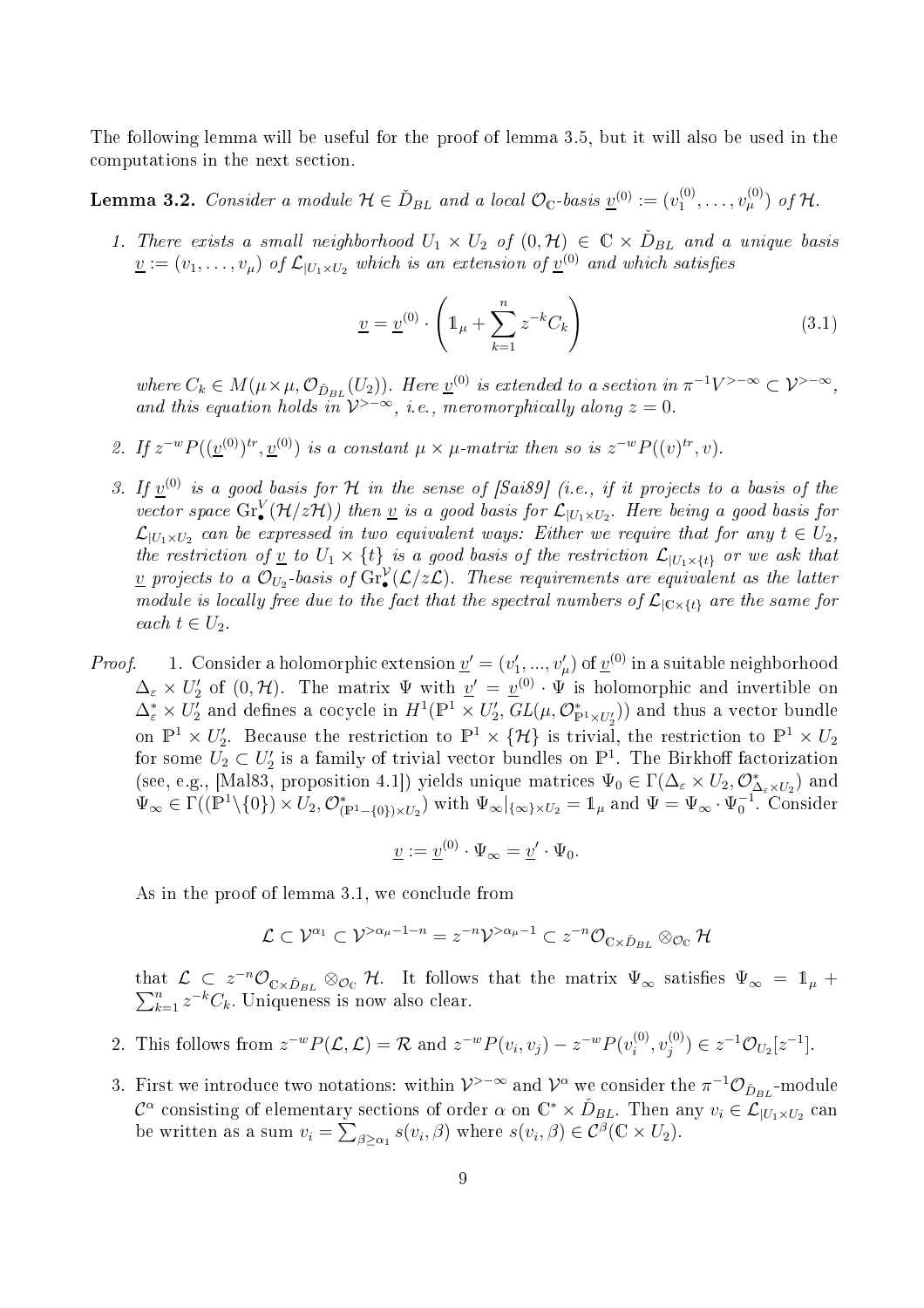The following lemma will be useful for the proof of lemma 3.5, but it will also be used in the omputations in the next se
tion.

**Lemma 3.2.** Consider a module  $\mathcal{H} \in \check{D}_{BL}$  and a local  $\mathcal{O}_{\mathbb{C}}$ -basis  $\underline{v}^{(0)} := (v_1^{(0)}$  $v_1^{(0)}, \ldots, v_{\mu}^{(0)}$  of H.

1. There exists a small neighborhood  $U_1 \times U_2$  of  $(0, \mathcal{H}) \in \mathbb{C} \times \check{D}_{BL}$  and a unique basis  $\underline{v} := (v_1, \ldots, v_{\mu})$  of  $\mathcal{L}_{|U_1 \times U_2}$  which is an extension of  $\underline{v}^{(0)}$  and which satisfies

$$
\underline{v} = \underline{v}^{(0)} \cdot \left( 1_{\mu} + \sum_{k=1}^{n} z^{-k} C_k \right)
$$
 (3.1)

where  $C_k \in M(\mu \times \mu, \mathcal{O}_{\tilde{D}_{BL}}(U_2))$ . Here  $\underline{v}^{(0)}$  is extended to a section in  $\pi^{-1}V^{>-\infty} \subset \mathcal{V}^{>-\infty}$ , and this equation holds in  $\mathcal{V}^{>-\infty}$ , i.e., meromorphically along  $z=0$ .

- 2. If  $z^{-w}P((\underline{v}^{(0)})^{tr}, \underline{v}^{(0)})$  is a constant  $\mu \times \mu$ -matrix then so is  $z^{-w}P((v)^{tr}, v)$ .
- 3. If  $\underline{v}^{(0)}$  is a good basis for H in the sense of [Sai89] (i.e., if it projects to a basis of the vector space  $\mathrm{Gr}^V_\bullet(\mathcal{H}/z\mathcal{H})$ ) then <u>v</u> is a good basis for  $\mathcal{L}_{|U_1\times U_2}$ . Here being a good basis for  $\mathcal{L}_{|U_1 \times U_2}$  can be expressed in two equivalent ways: Either we require that for any  $t \in U_2$ , the restriction of <u>v</u> to  $U_1 \times \{t\}$  is a good basis of the restriction  $\mathcal{L}_{|U_1 \times \{t\}}$  or we ask that <u>v</u> projects to a  $\mathcal{O}_{U_2}$ -basis of  $\mathrm{Gr}^{\mathcal{V}}_{\bullet}(\mathcal{L}/z\mathcal{L})$ . These requirements are equivalent as the latter module is locally free due to the fact that the spectral numbers of  $\mathcal{L}_{|\mathbb{C}\times\{t\}}$  are the same for each  $t \in U_2$ .
- *Proof.* 1. Consider a holomorphic extension  $\underline{v}' = (v'_1,...,v'_\mu)$  of  $\underline{v}^{(0)}$  in a suitable neighborhood  $\Delta_{\varepsilon} \times U'_{2}$  of  $(0, \mathcal{H})$ . The matrix  $\Psi$  with  $\underline{v}' = \underline{v}^{(0)} \cdot \Psi$  is holomorphic and invertible on  $\Delta^*_{\varepsilon}\times U_2^I$  and defines a cocycle in  $H^1(\mathbb{P}^1\times U_2',\,GL(\mu,\mathcal{O}^*_{\mathbb{P}^1\times U_2'}))$  and thus a vector bundle on  $\mathbb{P}^1 \times U'_2$ . Because the restriction to  $\mathbb{P}^1 \times \{ \mathcal{H} \}$  is trivial, the restriction to  $\mathbb{P}^1 \times U_2$ for some  $U_2 \subset U_2'$  is a family of trivial vector bundles on  $\mathbb{P}^1$ . The Birkhoff factorization (see, e.g., [Mal83, proposition 4.1]) yields unique matrices  $\Psi_0 \in \Gamma(\Delta_{\varepsilon} \times U_2, \mathcal{O}_{\Delta_{\varepsilon} \times U_2}^*)$  and  $\Psi_{\infty} \in \Gamma((\mathbb{P}^1 \setminus \{0\}) \times U_2, \mathcal{O}_{(\mathbb{P}^1 - \{0\}) \times U_2}^*)$  with  $\Psi_{\infty}|_{\{\infty\} \times U_2} = \mathbb{1}_{\mu}$  and  $\Psi = \Psi_{\infty} \cdot \Psi_0^{-1}$ . Consider

$$
\underline{v} := \underline{v}^{(0)} \cdot \Psi_{\infty} = \underline{v}' \cdot \Psi_0.
$$

As in the proof of lemma 3.1, we conclude from

$$
\mathcal{L} \subset \mathcal{V}^{\alpha_1} \subset \mathcal{V}^{>\alpha_{\mu}-1-n} = z^{-n} \mathcal{V}^{>\alpha_{\mu}-1} \subset z^{-n} \mathcal{O}_{\mathbb{C} \times \check{D}_{BL}} \otimes_{\mathcal{O}_{\mathbb{C}}} \mathcal{H}
$$

that  $\mathcal{L} \subset z^{-n} \mathcal{O}_{\mathbb{C} \times \check{D}_{BL}} \otimes_{\mathcal{O}_{\mathbb{C}}} \mathcal{H}$ . It follows that the matrix  $\Psi_{\infty}$  satisfies  $\Psi_{\infty} = \mathbb{1}_{\mu} + \sum_{k=1}^{n} z^{-k} C_k$ . Uniqueness is now also clear.

- 2. This follows from  $z^{-w}P(\mathcal{L}, \mathcal{L}) = \mathcal{R}$  and  $z^{-w}P(v_i, v_j) z^{-w}P(v_i^{(0)})$  $\stackrel{(0)}{i},v_j^{(0)}$  $j^{(0)}$ )  $\in z^{-1}\mathcal{O}_{U_2}[z^{-1}].$
- 3. First we introduce two notations: within  $\mathcal{V}^{>-\infty}$  and  $\mathcal{V}^{\alpha}$  we consider the  $\pi^{-1}\mathcal{O}_{\check{D}_{BL}}$ -module  $\mathcal{C}^{\alpha}$  consisting of elementary sections of order  $\alpha$  on  $\mathbb{C}^* \times \check{D}_{BL}$ . Then any  $v_i \in \mathcal{L}_{|U_1 \times U_2|}$  can be written as a sum  $v_i = \sum_{\beta \ge \alpha_1} s(v_i, \beta)$  where  $s(v_i, \beta) \in C^{\beta}(\mathbb{C} \times U_2)$ .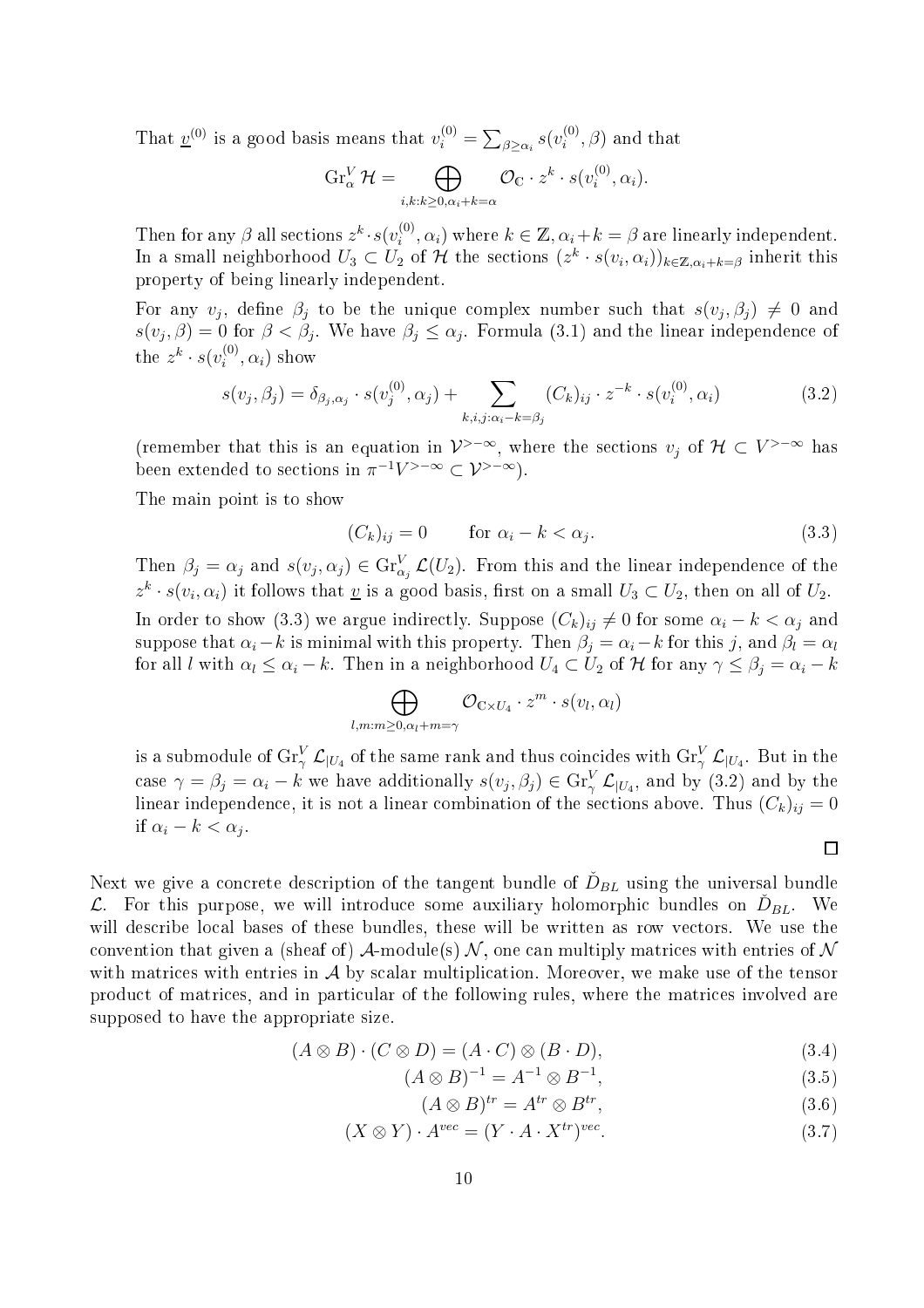That  $\underline{v}^{(0)}$  is a good basis means that  $v_i^{(0)} = \sum_{\beta \ge \alpha_i} s(v_i^{(0)})$  $i^{(0)}, \beta$  and that

$$
\operatorname{Gr}_{\alpha}^{V} \mathcal{H} = \bigoplus_{i,k:k \geq 0, \alpha_i+k=\alpha} \mathcal{O}_{\mathbb{C}} \cdot z^k \cdot s(v_i^{(0)}, \alpha_i).
$$

Then for any  $\beta$  all sections  $z^k \cdot s(v_i^{(0)})$  $i^{(0)}, \alpha_i$ ) where  $k \in \mathbb{Z}, \alpha_i + k = \beta$  are linearly independent. In a small neighborhood  $U_3 \subset U_2$  of  $\mathcal H$  the sections  $(z^k \cdot s(v_i, \alpha_i))_{k \in \mathbb Z, \alpha_i+k=\beta}$  inherit this property of being linearly independent.

For any  $v_j$ , define  $\beta_j$  to be the unique complex number such that  $s(v_j, \beta_j) \neq 0$  and  $s(v_j, \beta) = 0$  for  $\beta < \beta_j$ . We have  $\beta_j \leq \alpha_j$ . Formula (3.1) and the linear independence of the  $z^k \cdot s(v_i^{(0)})$  $i^{(0)}, \alpha_i$ ) show

$$
s(v_j, \beta_j) = \delta_{\beta_j, \alpha_j} \cdot s(v_j^{(0)}, \alpha_j) + \sum_{k, i, j: \alpha_i - k = \beta_j} (C_k)_{ij} \cdot z^{-k} \cdot s(v_i^{(0)}, \alpha_i)
$$
(3.2)

(remember that this is an equation in  $\mathcal{V}^{\geq -\infty}$ , where the sections  $v_j$  of  $\mathcal{H} \subset V^{\geq -\infty}$  has been extended to sections in  $\pi^{-1}V^{>-\infty} \subset \mathcal{V}^{>-\infty}$ .

The main point is to show

$$
(C_k)_{ij} = 0 \qquad \text{for } \alpha_i - k < \alpha_j. \tag{3.3}
$$

Then  $\beta_j = \alpha_j$  and  $s(v_j, \alpha_j) \in \text{Gr}_{\alpha_j}^V \mathcal{L}(U_2)$ . From this and the linear independence of the  $z^k \cdot s(v_i, \alpha_i)$  it follows that <u>v</u> is a good basis, first on a small  $U_3 \subset U_2$ , then on all of  $U_2$ . In order to show (3.3) we argue indirectly. Suppose  $(C_k)_{ij} \neq 0$  for some  $\alpha_i - k < \alpha_j$  and suppose that  $\alpha_i - k$  is minimal with this property. Then  $\beta_i = \alpha_i - k$  for this j, and  $\beta_l = \alpha_l$ for all l with  $\alpha_l \leq \alpha_i - k$ . Then in a neighborhood  $U_4 \subset U_2$  of H for any  $\gamma \leq \beta_j = \alpha_i - k$ 

$$
\bigoplus_{l,m:m\geq 0,\alpha_l+m=\gamma}\mathcal{O}_{\mathbb{C}\times U_4}\cdot z^m\cdot s(v_l,\alpha_l)
$$

is a submodule of  $\mathrm{Gr}^V_\gamma\,\mathcal{L}_{|U_4}$  of the same rank and thus coincides with  $\mathrm{Gr}^V_\gamma\,\mathcal{L}_{|U_4}$ . But in the case  $\gamma = \beta_j = \alpha_i - k$  we have additionally  $s(v_j, \beta_j) \in \text{Gr}_{\gamma}^V \mathcal{L}_{|U_4}$ , and by (3.2) and by the linear independence, it is not a linear combination of the sections above. Thus  $(C_k)_{ij} = 0$ if  $\alpha_i - k < \alpha_j$ .

Next we give a concrete description of the tangent bundle of  $\check{D}_{BL}$  using the universal bundle  $\mathcal{L}$ . For this purpose, we will introduce some auxiliary holomorphic bundles on  $\tilde{D}_{BL}$ . We will describe local bases of these bundles, these will be written as row vectors. We use the convention that given a (sheaf of) A-module(s)  $\mathcal N$ , one can multiply matrices with entries of  $\mathcal N$ with matrices with entries in  $A$  by scalar multiplication. Moreover, we make use of the tensor product of matrices, and in particular of the following rules, where the matrices involved are supposed to have the appropriate size.

$$
(A \otimes B) \cdot (C \otimes D) = (A \cdot C) \otimes (B \cdot D), \tag{3.4}
$$

$$
(A \otimes B)^{-1} = A^{-1} \otimes B^{-1}, \tag{3.5}
$$

$$
(A \otimes B)^{tr} = A^{tr} \otimes B^{tr}, \qquad (3.6)
$$

 $\Box$ 

$$
(X \otimes Y) \cdot A^{vec} = (Y \cdot A \cdot X^{tr})^{vec}.
$$
\n(3.7)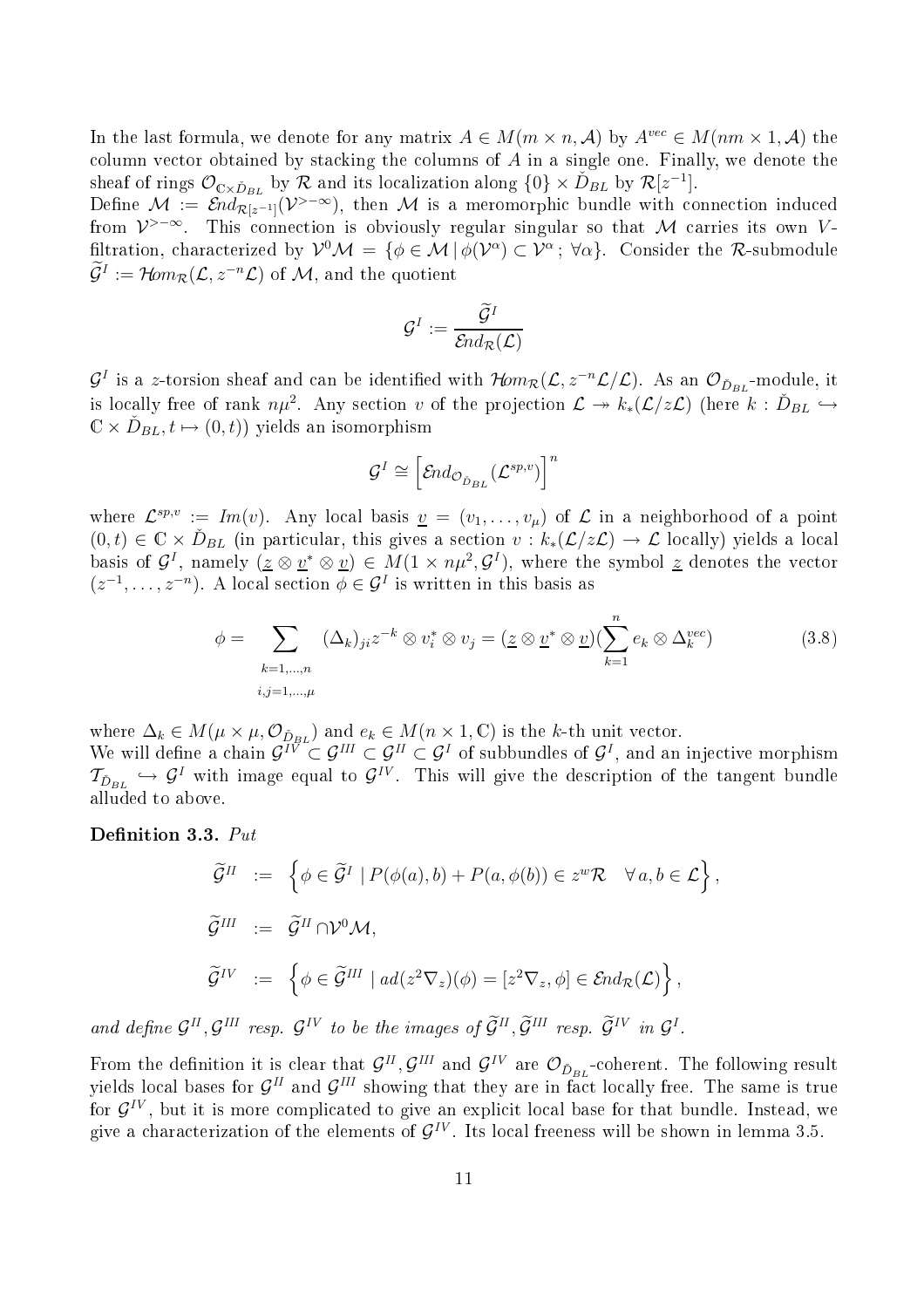In the last formula, we denote for any matrix  $A \in M(m \times n, \mathcal{A})$  by  $A^{vec} \in M(nm \times 1, \mathcal{A})$  the column vector obtained by stacking the columns of  $A$  in a single one. Finally, we denote the sheaf of rings  $\mathcal{O}_{\mathbb{C}\times\tilde{D}_{BL}}$  by  $\mathcal{R}$  and its localization along  $\{0\}\times\tilde{D}_{BL}$  by  $\mathcal{R}[z^{-1}]$ .

Define  $\mathcal{M} := \mathcal{E} nd_{\mathcal{R}[z^{-1}]}(\mathcal{V}^{>-\infty})$ , then  $\mathcal M$  is a meromorphic bundle with connection induced from  $\mathcal{V}$  >-∞. This connection is obviously regular singular so that M carries its own Vfiltration, characterized by  $\mathcal{V}^0\mathcal{M} = \{ \phi \in \mathcal{M} \mid \phi(\mathcal{V}^{\alpha}) \subset \mathcal{V}^{\alpha} \, ; \, \forall \alpha \}.$  Consider the R-submodule  $\widetilde{\mathcal{G}}^I:=\operatorname{\mathcal{H}\!\!\mathit{om}}_{\mathcal{R}}(\mathcal{L},z^{-n}\mathcal{L})$  of  $\mathcal{M},$  and the quotient

$$
\mathcal{G}^I:=\frac{\widetilde{\mathcal{G}}^I}{\mathcal{E} nd_{\mathcal{R}}(\mathcal{L})}
$$

 $\mathcal{G}^I$  is a z-torsion sheaf and can be identified with  $\mathcal{H}om_{\mathcal{R}}(\mathcal{L}, z^{-n}\mathcal{L}/\mathcal{L})$ . As an  $\mathcal{O}_{\check{D}_{BL}}$ -module, it is locally free of rank  $n\mu^2$ . Any section v of the projection  $\mathcal{L} \twoheadrightarrow k_*(\mathcal{L}/z\mathcal{L})$  (here  $k : \check{D}_{BL} \hookrightarrow$  $\mathbb{C} \times \check{D}_{BL}, t \mapsto (0, t)$ ) yields an isomorphism

$$
\mathcal{G}^I \cong \left[\mathcal{E}nd_{\mathcal{O}_{\tilde{D}_{BL}}}(\mathcal{L}^{sp,v})\right]^n
$$

where  $\mathcal{L}^{sp,v} := Im(v)$ . Any local basis  $\underline{v} = (v_1,\ldots,v_\mu)$  of  $\mathcal L$  in a neighborhood of a point  $(0,t) \in \mathbb{C} \times \tilde{D}_{BL}$  (in particular, this gives a section  $v : k_*(\mathcal{L}/z\mathcal{L}) \to \mathcal{L}$  locally) yields a local basis of  $\mathcal{G}^I$ , namely  $(\underline{z} \otimes \underline{v}^* \otimes \underline{v}) \in M(1 \times n\mu^2, \mathcal{G}^I)$ , where the symbol  $\underline{z}$  denotes the vector  $(z^{-1}, \ldots, z^{-n})$ . A local section  $\phi \in \mathcal{G}^I$  is written in this basis as

$$
\phi = \sum_{\substack{k=1,\dots,n\\i,j=1,\dots,\mu}} (\Delta_k)_{ji} z^{-k} \otimes v_i^* \otimes v_j = (\underline{z} \otimes \underline{v}^* \otimes \underline{v})(\sum_{k=1}^n e_k \otimes \Delta_k^{vec})
$$
(3.8)

where  $\Delta_k \in M(\mu \times \mu, \mathcal{O}_{\tilde{D},BL})$  and  $e_k \in M(n \times 1, \mathbb{C})$  is the k-th unit vector.

We will define a chain  $\mathcal{G}^{I\tilde{V}} \subset \mathcal{G}^{II} \subset \mathcal{G}^{I}$  of subbundles of  $\mathcal{G}^{I}$ , and an injective morphism  $\mathcal{T}_{\check{D}_{BL}} \hookrightarrow \mathcal{G}^I$  with image equal to  $\mathcal{G}^{IV}$ . This will give the description of the tangent bundle alluded to above.

## Definition 3.3.  $Put$

$$
\widetilde{\mathcal{G}}^{II} := \left\{ \phi \in \widetilde{\mathcal{G}}^{I} \mid P(\phi(a), b) + P(a, \phi(b)) \in z^{w} \mathcal{R} \quad \forall a, b \in \mathcal{L} \right\},
$$
  

$$
\widetilde{\mathcal{G}}^{III} := \widetilde{\mathcal{G}}^{II} \cap \mathcal{V}^{0} \mathcal{M},
$$
  

$$
\widetilde{\mathcal{G}}^{IV} := \left\{ \phi \in \widetilde{\mathcal{G}}^{III} \mid ad(z^{2} \nabla_{z})(\phi) = [z^{2} \nabla_{z}, \phi] \in \mathcal{E}nd_{\mathcal{R}}(\mathcal{L}) \right\},
$$

and define  $\mathcal{G}^{II}, \mathcal{G}^{III}$  resp.  $\mathcal{G}^{IV}$  to be the images of  $\tilde{\mathcal{G}}^{II}, \tilde{\mathcal{G}}^{III}$  resp.  $\tilde{\mathcal{G}}^{IV}$  in  $\mathcal{G}^{I}$ .

From the definition it is clear that  $\mathcal{G}^{II}$ ,  $\mathcal{G}^{III}$  and  $\mathcal{G}^{IV}$  are  $\mathcal{O}_{\check{D}_{BL}}$ -coherent. The following result yields local bases for  $\mathcal{G}^{II}$  and  $\mathcal{G}^{III}$  showing that they are in fact locally free. The same is true for  $\mathcal{G}^{IV}$ , but it is more complicated to give an explicit local base for that bundle. Instead, we give a characterization of the elements of  $\mathcal{G}^{IV}$ . Its local freeness will be shown in lemma 3.5.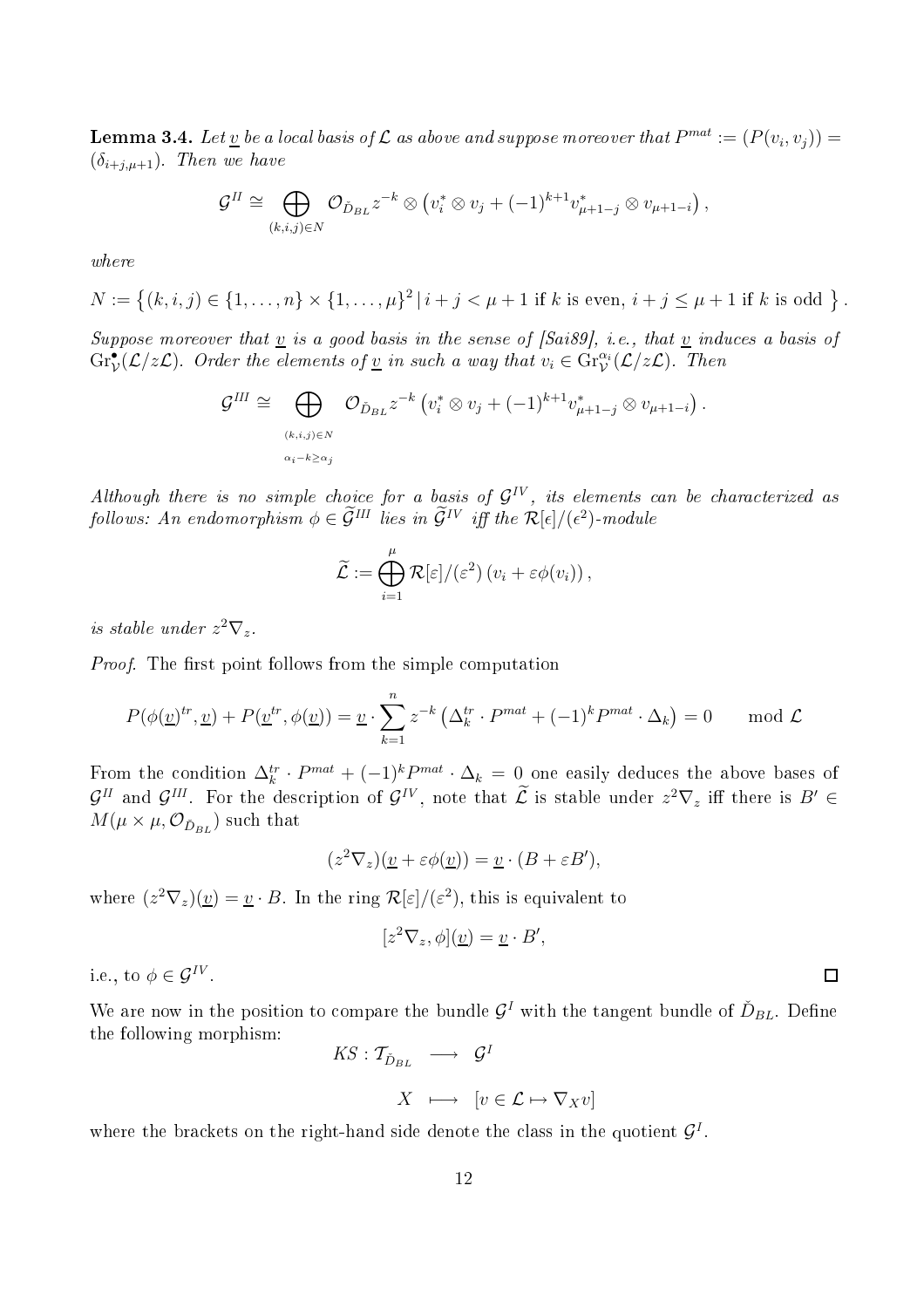**Lemma 3.4.** Let  $\underline{v}$  be a local basis of  $\mathcal L$  as above and suppose moreover that  $P^{mat} := (P(v_i, v_j)) =$  $(\delta_{i+j,\mu+1})$ . Then we have

$$
\mathcal{G}^{\mathrm{II}} \cong \bigoplus_{(k,i,j)\in N} \mathcal{O}_{\check{D}_{BL}} z^{-k} \otimes \left( v_i^* \otimes v_j + (-1)^{k+1} v_{\mu+1-j}^* \otimes v_{\mu+1-i} \right),
$$

where

 $N := \left\{ (k, i, j) \in \{1, \ldots, n\} \times \{1, \ldots, \mu\}^2 \, | \, i + j < \mu + 1 \text{ if } k \text{ is even, } i + j \le \mu + 1 \text{ if } k \text{ is odd } \right\}.$ 

Suppose moreover that  $\underline{v}$  is a good basis in the sense of [Sai89], i.e., that  $\underline{v}$  induces a basis of  $\mathrm{Gr}^{\bullet}_{\mathcal{V}}(\mathcal{L}/z\mathcal{L})$ . Order the elements of <u>v</u> in such a way that  $v_i \in \mathrm{Gr}^{\alpha_i}_{\mathcal{V}}(\mathcal{L}/z\mathcal{L})$ . Then

$$
\mathcal{G}^{III} \cong \bigoplus_{(k,i,j)\in N \atop \alpha_i-k\geq \alpha_j} \mathcal{O}_{\check{D}_{BL}} z^{-k} \left(v_i^* \otimes v_j + (-1)^{k+1} v_{\mu+1-j}^* \otimes v_{\mu+1-i}\right).
$$

Although there is no simple choice for a basis of  $\mathcal{G}^{IV}$ , its elements can be characterized as follows: An endomorphism  $\phi \in \tilde{\mathcal{G}}^{III}$  lies in  $\tilde{\mathcal{G}}^{IV}$  iff the  $\mathcal{R}[\epsilon]/(\epsilon^2)$ -module

$$
\widetilde{\mathcal{L}} := \bigoplus_{i=1}^{\mu} \mathcal{R}[\varepsilon]/(\varepsilon^2) (v_i + \varepsilon \phi(v_i)),
$$

is stable under  $z^2 \nabla_z$ .

Proof. The first point follows from the simple computation

$$
P(\phi(\underline{v})^{tr}, \underline{v}) + P(\underline{v}^{tr}, \phi(\underline{v})) = \underline{v} \cdot \sum_{k=1}^{n} z^{-k} \left(\Delta_k^{tr} \cdot P^{mat} + (-1)^k P^{mat} \cdot \Delta_k\right) = 0 \quad \text{mod } \mathcal{L}
$$

From the condition  $\Delta_k^{tr} \cdot P^{mat} + (-1)^k P^{mat} \cdot \Delta_k = 0$  one easily deduces the above bases of  $\mathcal{G}^H$  and  $\mathcal{G}^{H}$ . For the description of  $\mathcal{G}^{IV}$ , note that  $\mathcal{L}$  is stable under  $z^2 \nabla_z$  iff there is  $B' \in$  $M(\mu\times\mu, \mathcal{O}_{\check{D}_{BL}})$  such that

$$
(z^2 \nabla_z)(\underline{v} + \varepsilon \phi(\underline{v})) = \underline{v} \cdot (B + \varepsilon B'),
$$

where  $(z^2 \nabla_z)(\underline{v}) = \underline{v} \cdot B$ . In the ring  $\mathcal{R}[\varepsilon]/(\varepsilon^2)$ , this is equivalent to

$$
[z^2 \nabla_z, \phi](\underline{v}) = \underline{v} \cdot B',
$$

i.e., to  $\phi \in \mathcal{G}^{IV}$ .

We are now in the position to compare the bundle  $\mathcal{G}^I$  with the tangent bundle of  $\check{D}_{BL}$ . Define the following morphism:

$$
KS: \mathcal{T}_{\check{D}_{BL}} \quad \longrightarrow \quad \mathcal{G}^I
$$

$$
X \ \longmapsto \ [v \in \mathcal{L} \mapsto \nabla_X v]
$$

where the brackets on the right-hand side denote the class in the quotient  $\mathcal{G}^{I}$ .

 $\Box$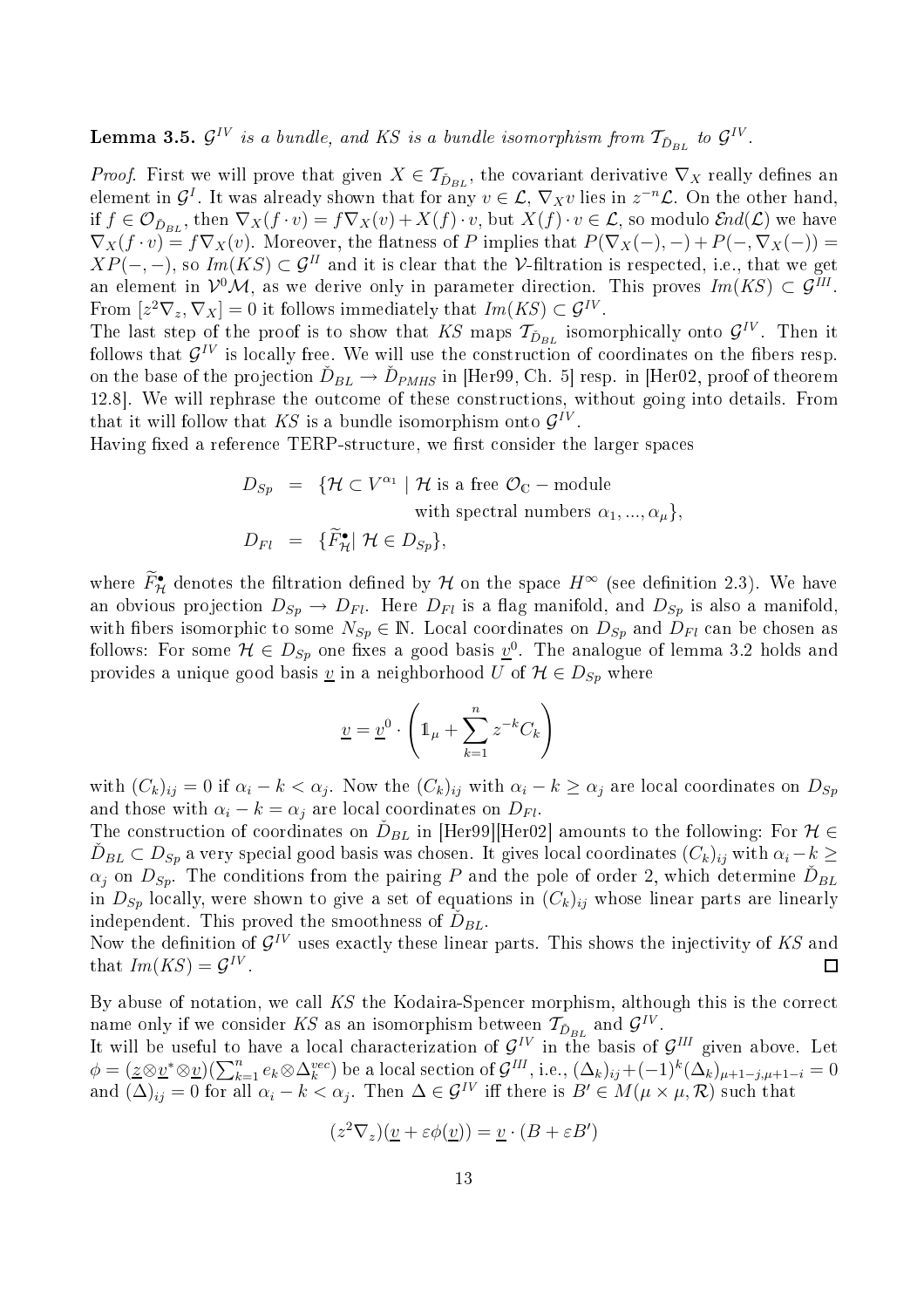${\bf Lemma}$  3.5.  ${\cal G}^{IV}$  is a bundle, and KS is a bundle isomorphism from  $\mathcal{T}_{\check{D}_{BL}}$  to  ${\cal G}^{IV}$  .

*Proof.* First we will prove that given  $X \in \mathcal{T}_{\check{D}_{BL}}$ , the covariant derivative  $\nabla_X$  really defines an element in  $\mathcal{G}^I$ . It was already shown that for any  $v \in \mathcal{L}$ ,  $\nabla_X v$  lies in  $z^{-n}\mathcal{L}$ . On the other hand, if  $f \in \mathcal{O}_{\check{D}_{BL}}$ , then  $\nabla_X(f \cdot v) = f \nabla_X(v) + X(f) \cdot v$ , but  $X(f) \cdot v \in \mathcal{L}$ , so modulo  $\mathcal{E}nd(\mathcal{L})$  we have  $\nabla_X(f \cdot v) = f \nabla_X(v)$ . Moreover, the flatness of P implies that  $P(\nabla_X(-), -) + P(-, \nabla_X(-)) =$  $XP(-,-)$ , so  $Im(KS) \subset \mathcal{G}^H$  and it is clear that the V-filtration is respected, i.e., that we get an element in  $\mathcal{V}^0\mathcal{M}$ , as we derive only in parameter direction. This proves  $Im(KS) \subset \mathcal{G}^{III}$ . From  $[z^2 \nabla_z, \nabla_X] = 0$  it follows immediately that  $Im(KS) \subset \mathcal{G}^{IV}$ .

The last step of the proof is to show that KS maps  $\mathcal{T}_{\check{D}_{BL}}$  isomorphically onto  $\mathcal{G}^{IV}$ . Then it follows that  $\mathcal{G}^{IV}$  is locally free. We will use the construction of coordinates on the fibers resp. on the base of the projection  $\check{D}_{BL} \to \check{D}_{PMHS}$  in [Her99, Ch. 5] resp. in [Her02, proof of theorem 12.8. We will rephrase the outcome of these constructions, without going into details. From that it will follow that  $KS$  is a bundle isomorphism onto  $\mathcal{G}^{IV}$ .

Having fixed a reference TERP-structure, we first consider the larger spaces

$$
D_{Sp} = \{ \mathcal{H} \subset V^{\alpha_1} \mid \mathcal{H} \text{ is a free } \mathcal{O}_\mathbb{C} - \text{module} \text{with spectral numbers } \alpha_1, ..., \alpha_\mu \},
$$
  

$$
D_{Fl} = \{ \widetilde{F}_{\mathcal{H}}^{\bullet} \mid \mathcal{H} \in D_{Sp} \},
$$

where  $F_{\mathcal{H}}^{\bullet}$  denotes the filtration defined by  $\mathcal{H}$  on the space  $H^{\infty}$  (see definition 2.3). We have an obvious projection  $D_{Sp} \to D_{Fl}$ . Here  $D_{Fl}$  is a flag manifold, and  $D_{Sp}$  is also a manifold, with fibers isomorphic to some  $N_{Sp} \in \mathbb{N}$ . Local coordinates on  $D_{Sp}$  and  $D_{Fl}$  can be chosen as follows: For some  $\mathcal{H} \in D_{Sp}$  one fixes a good basis  $\underline{v}^0$ . The analogue of lemma 3.2 holds and provides a unique good basis <u>v</u> in a neighborhood U of  $\mathcal{H} \in D_{Sp}$  where

$$
\underline{v} = \underline{v}^0 \cdot \left( \mathbb{1}_{\mu} + \sum_{k=1}^{n} z^{-k} C_k \right)
$$

with  $(C_k)_{ij} = 0$  if  $\alpha_i - k < \alpha_j$ . Now the  $(C_k)_{ij}$  with  $\alpha_i - k \ge \alpha_j$  are local coordinates on  $D_{Sp}$ and those with  $\alpha_i - k = \alpha_j$  are local coordinates on  $D_{Fl}$ .

The construction of coordinates on  $\tilde{D}_{BL}$  in [Her99][Her02] amounts to the following: For  $\mathcal{H} \in \mathbb{R}$  $\tilde{D}_{BL} \subset D_{Sp}$  a very special good basis was chosen. It gives local coordinates  $(C_k)_{ij}$  with  $\alpha_i - k \geq$  $\alpha_j$  on  $D_{Sp}$ . The conditions from the pairing P and the pole of order 2, which determine  $\check{D}_{BL}$ in  $D_{Sp}$  locally, were shown to give a set of equations in  $(C_k)_{ij}$  whose linear parts are linearly independent. This proved the smoothness of  $\check{D}_{BL}$ .

Now the definition of  $\mathcal{G}^{IV}$  uses exactly these linear parts. This shows the injectivity of KS and that  $Im(KS) = \mathcal{G}^{IV}$ .  $\Box$ 

By abuse of notation, we call KS the Kodaira-Spencer morphism, although this is the correct name only if we consider KS as an isomorphism between  $\mathcal{T}_{\check{D}_{BL}}$  and  $\mathcal{G}^{IV}$ .

It will be useful to have a local characterization of  $\mathcal{G}^{IV}$  in the basis of  $\mathcal{G}^{III}$  given above. Let  $\phi = (\underline{z} \otimes \underline{v}^* \otimes \underline{v})(\sum_{k=1}^n e_k \otimes \Delta_k^{vec})$  be a local section of  $\mathcal{G}^{III}$ , i.e.,  $(\Delta_k)_{ij} + (-1)^k (\Delta_k)_{\mu+1-j,\mu+1-i} = 0$ and  $(\Delta)_{ij} = 0$  for all  $\alpha_i - k < \alpha_j$ . Then  $\Delta \in \mathcal{G}^{IV}$  iff there is  $B' \in M(\mu \times \mu, \mathcal{R})$  such that

$$
(z^2 \nabla_z)(\underline{v} + \varepsilon \phi(\underline{v})) = \underline{v} \cdot (B + \varepsilon B')
$$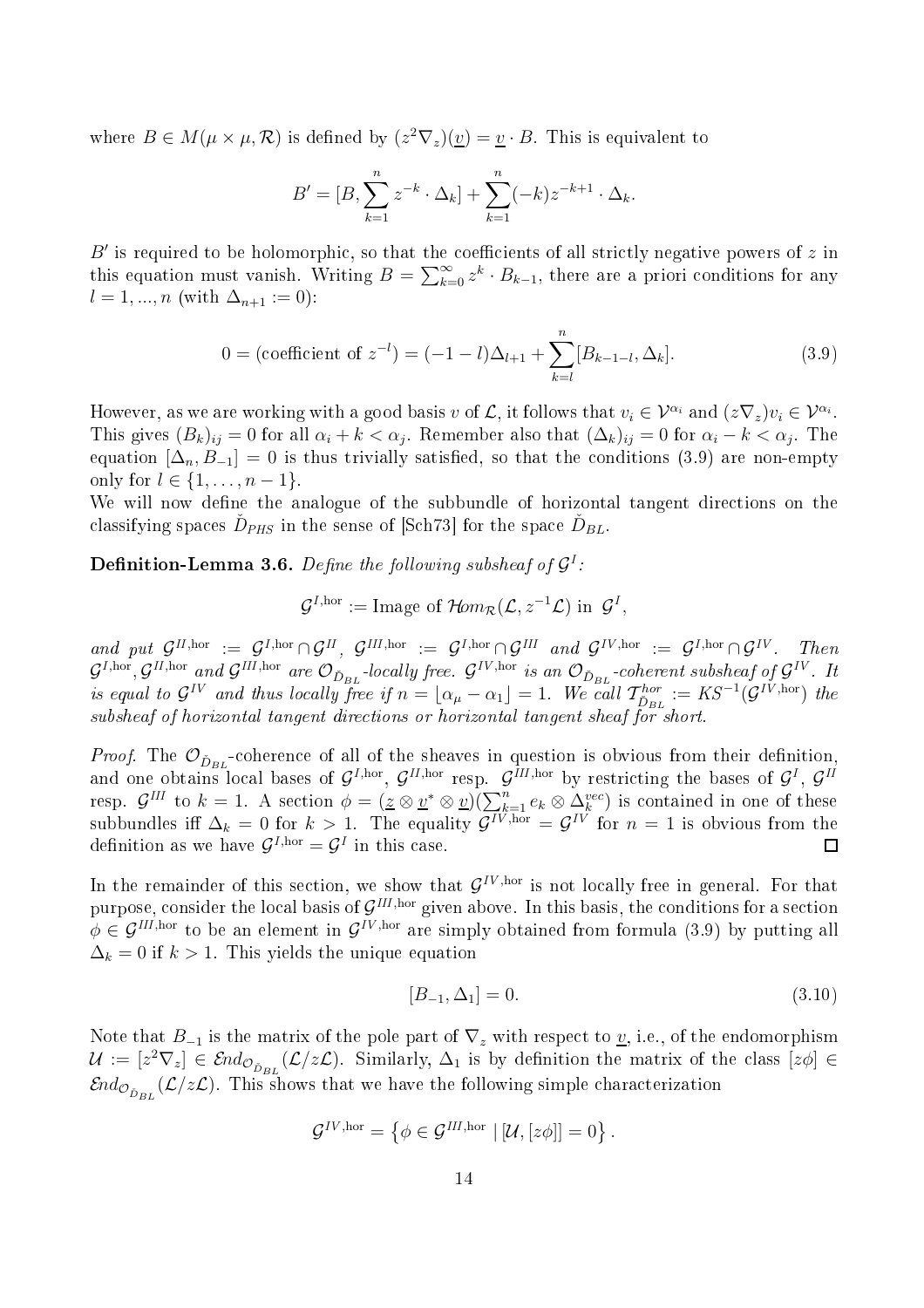where  $B \in M(\mu \times \mu, \mathcal{R})$  is defined by  $(z^2 \nabla_z)(\underline{v}) = \underline{v} \cdot B$ . This is equivalent to

$$
B' = [B, \sum_{k=1}^{n} z^{-k} \cdot \Delta_k] + \sum_{k=1}^{n} (-k) z^{-k+1} \cdot \Delta_k.
$$

 $B'$  is required to be holomorphic, so that the coefficients of all strictly negative powers of  $z$  in this equation must vanish. Writing  $B = \sum_{k=0}^{\infty} z^k \cdot B_{k-1}$ , there are a priori conditions for any  $l = 1, ..., n$  (with  $\Delta_{n+1} := 0$ ):

$$
0 = (\text{coefficient of } z^{-l}) = (-1 - l)\Delta_{l+1} + \sum_{k=l}^{n} [B_{k-1-l}, \Delta_k]. \tag{3.9}
$$

However, as we are working with a good basis v of  $\mathcal{L}$ , it follows that  $v_i \in \mathcal{V}^{\alpha_i}$  and  $(z\nabla_z)v_i \in \mathcal{V}^{\alpha_i}$ . This gives  $(B_k)_{ij} = 0$  for all  $\alpha_i + k < \alpha_j$ . Remember also that  $(\Delta_k)_{ij} = 0$  for  $\alpha_i - k < \alpha_j$ . The equation  $[\Delta_n, B_{-1}] = 0$  is thus trivially satisfied, so that the conditions (3.9) are non-empty only for  $l \in \{1, ..., n-1\}$ .

We will now define the analogue of the subbundle of horizontal tangent directions on the classifying spaces  $\check{D}_{PHS}$  in the sense of [Sch73] for the space  $\check{D}_{BL}$ .

**Definition-Lemma 3.6.** Define the following subsheaf of  $\mathcal{G}^I$ :

 $\mathcal{G}^{I,\text{hor}} := \text{Image of } \mathcal{H}om_{\mathcal{R}}(\mathcal{L}, z^{-1}\mathcal{L}) \text{ in } \mathcal{G}^I,$ 

and put  $\mathcal{G}^{II,\text{hor}} := \mathcal{G}^{I,\text{hor}} \cap \mathcal{G}^{II}, \mathcal{G}^{III,\text{hor}} := \mathcal{G}^{I,\text{hor}} \cap \mathcal{G}^{III}$  and  $\mathcal{G}^{IV,\text{hor}} := \mathcal{G}^{I,\text{hor}} \cap \mathcal{G}^{IV}$ . Then  $\mathcal{G}^{I,\text{hor}}, \mathcal{G}^{II,\text{hor}}$  and  $\mathcal{G}^{III,\text{hor}}$  are  $\mathcal{O}_{\check{D}_{BL}}$ -locally free.  $\mathcal{G}^{IV,\text{hor}}$  is an  $\mathcal{O}_{\check{D}_{BL}}$ -coherent subsheaf of  $\mathcal{G}^{IV}$ . It is equal to  $\mathcal{G}^{IV}$  and thus locally free if  $n = \lfloor \alpha_{\mu} - \alpha_1 \rfloor = 1$ . We call  $\mathcal{T}_{\mathcal{D}_{BL}}^{hor} := KS^{-1}(\mathcal{G}^{IV,hor})$  the subsheaf of horizontal tangent directions or horizontal tangent sheaf for short.

*Proof.* The  $\mathcal{O}_{\check{D}_{BL}}$ -coherence of all of the sheaves in question is obvious from their definition, and one obtains local bases of  $\mathcal{G}^{I,\text{hor}},\,\mathcal{G}^{II,\text{hor}}$  resp.  $\mathcal{G}^{III,\text{hor}}$  by restricting the bases of  $\mathcal{G}^{I},\,\mathcal{G}^{II}$ resp.  $\mathcal{G}^{III}$  to  $k = 1$ . A section  $\phi = (\underline{z} \otimes \underline{v}^* \otimes \underline{v})(\sum_{k=1}^n e_k \otimes \Delta_k^{vec})$  is contained in one of these subbundles iff  $\Delta_k = 0$  for  $k > 1$ . The equality  $\mathcal{G}^{IV,\text{hor}} = \mathcal{G}^{IV}$  for  $n = 1$  is obvious from the definition as we have  $\mathcal{G}^{I,\text{hor}} = \mathcal{G}^I$  in this case.  $\Box$ 

In the remainder of this section, we show that  $\mathcal{G}^{IV,\text{hor}}$  is not locally free in general. For that purpose, consider the local basis of  $\mathcal{G}^{III,\text{hor}}$  given above. In this basis, the conditions for a section  $\phi \in \mathcal{G}^{III,\text{hor}}$  to be an element in  $\mathcal{G}^{IV,\text{hor}}$  are simply obtained from formula (3.9) by putting all  $\Delta_k = 0$  if  $k > 1$ . This yields the unique equation

$$
[B_{-1}, \Delta_1] = 0. \t\t(3.10)
$$

Note that  $B_{-1}$  is the matrix of the pole part of  $\nabla_z$  with respect to  $\underline{v}$ , i.e., of the endomorphism  $\mathcal{U} := [z^2 \nabla_z] \in \mathcal{E}nd_{\mathcal{O}_{\tilde{D}_{BL}}}(\mathcal{L}/z\mathcal{L})$ . Similarly,  $\Delta_1$  is by definition the matrix of the class  $[z\phi] \in$  $\mathcal{E} nd_{\mathcal{O}_{\check{D}_{BL}}}(\mathcal{L}/z\mathcal{L}).$  This shows that we have the following simple characterization

$$
\mathcal{G}^{IV,\mathrm{hor}} = \left\{ \phi \in \mathcal{G}^{III,\mathrm{hor}} \mid [\mathcal{U}, [z\phi]] = 0 \right\}.
$$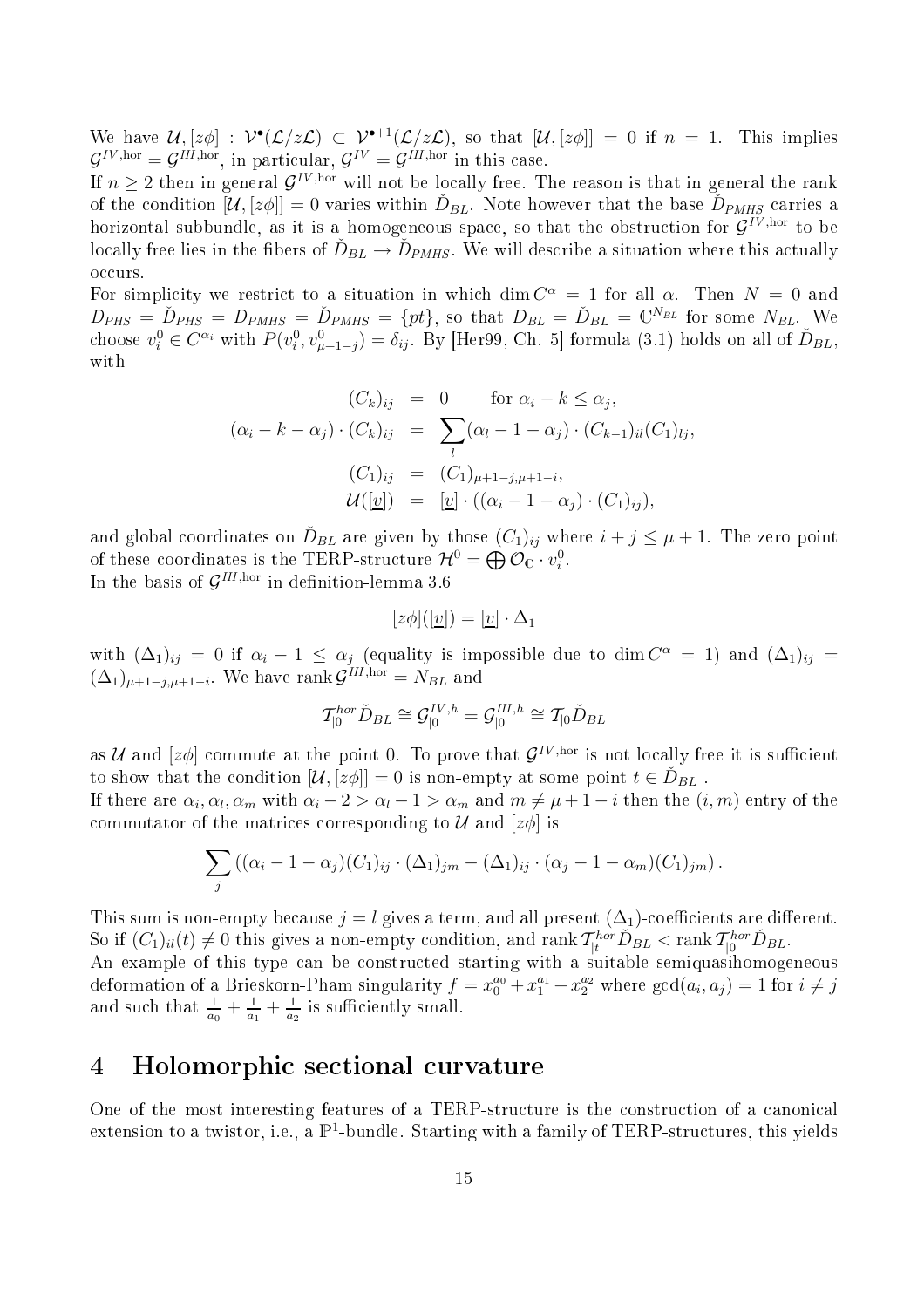We have  $\mathcal{U}, [z\phi] : \mathcal{V}^\bullet(\mathcal{L}/z\mathcal{L}) \subset \mathcal{V}^{\bullet+1}(\mathcal{L}/z\mathcal{L})$ , so that  $[\mathcal{U}, [z\phi]] = 0$  if  $n = 1$ . This implies  $\mathcal{G}^{IV,\text{hor}} = \mathcal{G}^{III,\text{hor}},$  in particular,  $\mathcal{G}^{IV} = \mathcal{G}^{III,\text{hor}}$  in this case.

If  $n \geq 2$  then in general  $\mathcal{G}^{IV,\text{hor}}$  will not be locally free. The reason is that in general the rank of the condition  $[\mathcal{U}, [z\phi]] = 0$  varies within  $\check{D}_{BL}$ . Note however that the base  $\check{D}_{PMHS}$  carries a horizontal subbundle, as it is a homogeneous space, so that the obstruction for  $\mathcal{G}^{IV,\text{hor}}$  to be locally free lies in the fibers of  $\check{D}_{BL} \to \check{D}_{PMHS}$ . We will describe a situation where this actually occurs.

For simplicity we restrict to a situation in which  $\dim C^{\alpha} = 1$  for all  $\alpha$ . Then  $N = 0$  and  $D_{PHS} = \tilde{D}_{PHS} = D_{PMHS} = \tilde{D}_{PMHS} = \{pt\},$  so that  $D_{BL} = \tilde{D}_{BL} = \mathbb{C}^{N_{BL}}$  for some  $N_{BL}$ . choose  $v_i^0 \in C^{\alpha_i}$  with  $P(v_i^0, v_{\mu+1-j}^0) = \delta_{ij}$ . By [Her99, Ch. 5] formula (3.1) holds on all of  $\check{D}_{BL}$ , with

$$
(C_k)_{ij} = 0 \quad \text{for } \alpha_i - k \le \alpha_j,
$$
  
\n
$$
(\alpha_i - k - \alpha_j) \cdot (C_k)_{ij} = \sum_l (\alpha_l - 1 - \alpha_j) \cdot (C_{k-1})_{il} (C_1)_{lj},
$$
  
\n
$$
(C_1)_{ij} = (C_1)_{\mu+1-j,\mu+1-i},
$$
  
\n
$$
\mathcal{U}([\underline{v}]) = [\underline{v}] \cdot ((\alpha_i - 1 - \alpha_j) \cdot (C_1)_{ij}),
$$

and global coordinates on  $\tilde{D}_{BL}$  are given by those  $(C_1)_{ij}$  where  $i + j \leq \mu + 1$ . The zero point of these coordinates is the TERP-structure  $\mathcal{H}^0 = \bigoplus \mathcal{O}_{\mathbb{C}} \cdot v_i^0$ . In the basis of  $\mathcal{G}^{III,\text{hor}}$  in definition-lemma 3.6

$$
[z\phi]([\underline{v}]) = [\underline{v}] \cdot \Delta_1
$$

with  $(\Delta_1)_{ij} = 0$  if  $\alpha_i - 1 \leq \alpha_j$  (equality is impossible due to dim  $C^{\alpha} = 1$ ) and  $(\Delta_1)_{ij} =$  $(\Delta_1)_{\mu+1-j,\mu+1-i}$ . We have rank  $\mathcal{G}^{III,\text{hor}} = N_{BL}$  and

$$
\mathcal{T}_{|0}^{hor} \check{D}_{BL} \cong \mathcal{G}_{|0}^{IV,h} = \mathcal{G}_{|0}^{III,h} \cong \mathcal{T}_{|0} \check{D}_{BL}
$$

as U and  $[z\phi]$  commute at the point 0. To prove that  $\mathcal{G}^{IV,\text{hor}}$  is not locally free it is sufficient to show that the condition  $[\mathcal{U}, [z\phi]] = 0$  is non-empty at some point  $t \in \check{D}_{BL}$ .

If there are  $\alpha_i, \alpha_l, \alpha_m$  with  $\alpha_i - 2 > \alpha_l - 1 > \alpha_m$  and  $m \neq \mu + 1 - i$  then the  $(i, m)$  entry of the commutator of the matrices corresponding to  $\mathcal{U}$  and  $[z\phi]$  is

$$
\sum_{j} ((\alpha_i - 1 - \alpha_j)(C_1)_{ij} \cdot (\Delta_1)_{jm} - (\Delta_1)_{ij} \cdot (\alpha_j - 1 - \alpha_m)(C_1)_{jm}).
$$

This sum is non-empty because  $j = l$  gives a term, and all present  $(\Delta_1)$ -coefficients are different. So if  $(C_1)_{il}(t) \neq 0$  this gives a non-empty condition, and rank  $\mathcal{T}^{hor}_{|t} \check{D}_{BL} < \text{rank } \mathcal{T}^{hor}_{|0} \check{D}_{BL}$ . An example of this type an be onstru
ted starting with a suitable semiquasihomogeneous deformation of a Brieskorn-Pham singularity  $f = x_0^{a_0} + x_1^{a_1} + x_2^{a_2}$  where  $gcd(a_i, a_j) = 1$  for  $i \neq j$ and such that  $\frac{1}{a_0} + \frac{1}{a_1}$  $\frac{1}{a_1} + \frac{1}{a_2}$ 

#### 4Holomorphi se
tional urvature

 $a_2$  is sumerchary small.

One of the most interesting features of a TERP-structure is the construction of a canonical extension to a twistor, i.e., a  $\mathbb{P}^1$ -bundle. Starting with a family of TERP-structures, this yields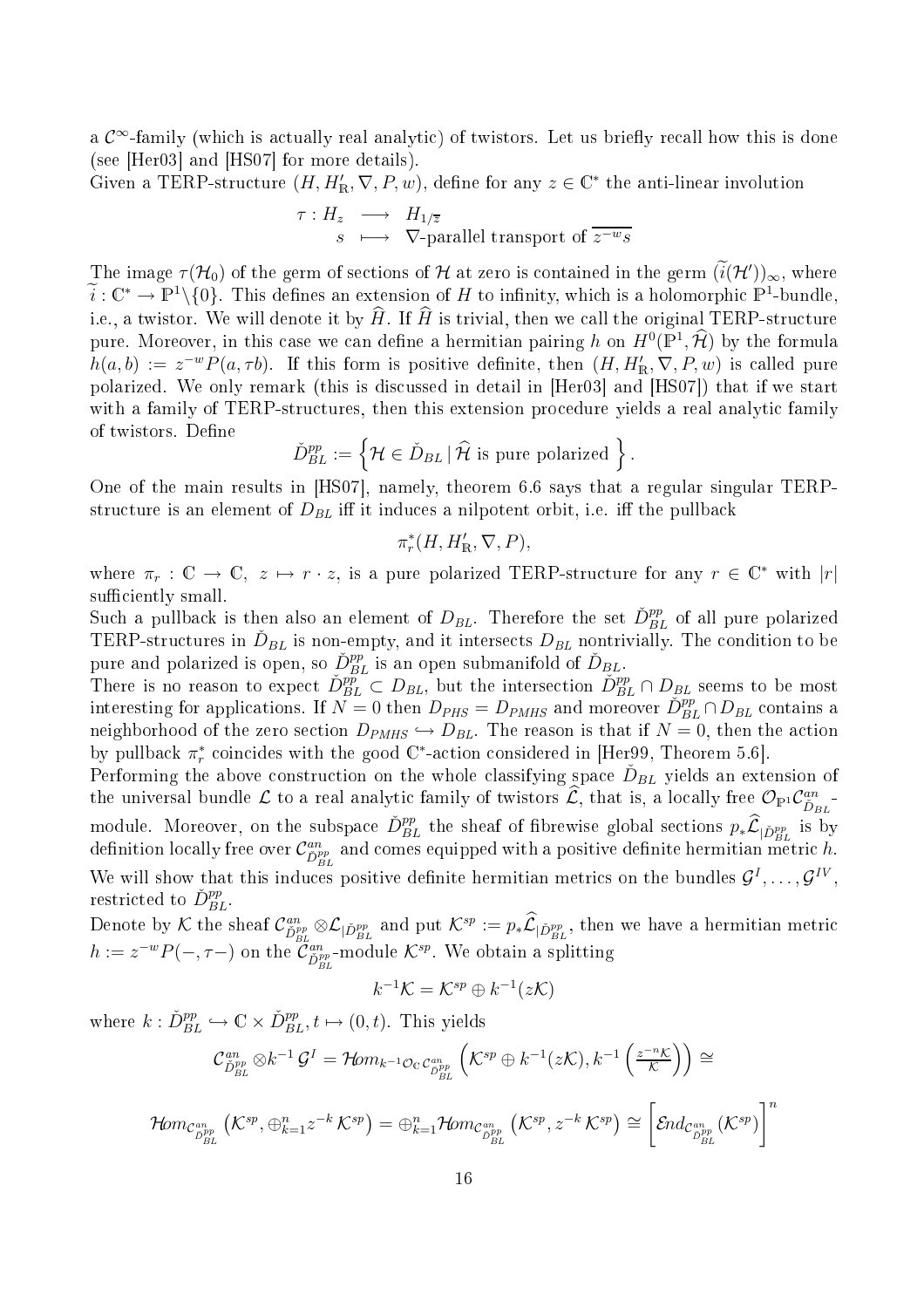a  $\mathcal{C}^{\infty}$ -family (which is actually real analytic) of twistors. Let us briefly recall how this is done (see [Her03] and [HS07] for more details).

Given a TERP-structure  $(H, H'_{\mathbb{R}}, \nabla, P, w)$ , define for any  $z \in \mathbb{C}^*$  the anti-linear involution

$$
\begin{array}{rcl}\n\tau: H_z & \longrightarrow & H_{1/\overline{z}} \\
s & \longmapsto & \nabla\text{-parallel transport of } \overline{z^{-w}s}\n\end{array}
$$

The image  $\tau(\mathcal{H}_0)$  of the germ of sections of  $\mathcal H$  at zero is contained in the germ  $(i(\mathcal{H}'))_{\infty}$ , where  $\widetilde{i}: \mathbb{C}^* \to \mathbb{P}^1 \setminus \{0\}.$  This defines an extension of H to infinity, which is a holomorphic  $\mathbb{P}^1$ -bundle, i.e., a twistor. We will denote it by  $\hat{H}$ . If  $\hat{H}$  is trivial, then we call the original TERP-structure pure. Moreover, in this case we can define a hermitian pairing h on  $H^0(\mathbb{P}^1, \hat{\mathcal{H}})$  by the formula  $h(a, b) := z^{-w} P(a, \tau b)$ . If this form is positive definite, then  $(H, H'_{\mathbb{R}}, \nabla, P, w)$  is called pure polarized. We only remark (this is discussed in detail in [Her03] and [HS07]) that if we start with a family of TERP-structures, then this extension procedure yields a real analytic family of twistors. Define

$$
\check{D}_{BL}^{pp} := \left\{ \mathcal{H} \in \check{D}_{BL} \, | \, \widehat{\mathcal{H}} \text{ is pure polarized } \right\}.
$$

One of the main results in  $[HS07]$ , namely, theorem 6.6 says that a regular singular TERPstructure is an element of  $D_{BL}$  iff it induces a nilpotent orbit, i.e. iff the pullback

$$
\pi_r^*(H, H'_{\mathbb{R}}, \nabla, P),
$$

where  $\pi_r : \mathbb{C} \to \mathbb{C}, z \mapsto r \cdot z$ , is a pure polarized TERP-structure for any  $r \in \mathbb{C}^*$  with  $|r|$ sufficiently small.

Such a pullback is then also an element of  $D_{BL}$ . Therefore the set  $\check{D}_{BL}^{pp}$  of all pure polarized TERP-structures in  $\check{D}_{BL}$  is non-empty, and it intersects  $D_{BL}$  nontrivially. The condition to be pure and polarized is open, so  $\check{D}_{BL}^{pp}$  is an open submanifold of  $\check{D}_{BL}$ .

There is no reason to expect  $\check{D}_{BL}^{pp} \subset D_{BL}$ , but the intersection  $\check{D}_{BL}^{pp} \cap D_{BL}$  seems to be most interesting for applications. If  $\overline{N} = 0$  then  $D_{PHS} = D_{PMHS}$  and moreover  $\overline{D}_{BL}^{pp} \cap D_{BL}$  contains a neighborhood of the zero section  $D_{PMHS} \hookrightarrow D_{BL}$ . The reason is that if  $N = 0$ , then the action by pullback  $\pi_r^*$  coincides with the good  $\mathbb{C}^*$ -action considered in [Her99, Theorem 5.6].

Performing the above construction on the whole classifying space  $\check{D}_{BL}$  yields an extension of the universal bundle  $\mathcal L$  to a real analytic family of twistors  $\hat{\mathcal L}$ , that is, a locally free  $\mathcal O_{\mathbb P^1}\mathcal C^{an}_{\check D_{BL}}$ module. Moreover, on the subspace  $\check{D}_{BL}^{pp}$  the sheaf of fibrewise global sections  $p_*\hat{\mathcal{L}}_{|\check{D}_{BL}^{pp}|}$  is by  $\det(\text{d}s)$  definition locally free over  $\mathcal{C}_{\tilde{D}_{BL}^{pp}}^{an}$  and comes equipped with a positive definite hermitian metric  $h$ . We will show that this induces positive definite hermitian metrics on the bundles  $\mathcal{G}^I, \ldots, \mathcal{G}^{IV}$ , restricted to  $\check{D}_{BL}^{pp}$ .  $BL^+$ 

Denote by  $\mathcal K$  the sheaf  $\mathcal C^{an}_{\check D^{pp}_{BL}}\otimes \mathcal L_{|\check D^{pp}_{BL}}$  and put  $\mathcal K^{sp}:=p_*\widehat {\mathcal L}_{|\check D^{pp}_{BL}}$ , then we have a hermitian metric  $h := z^{-w} P(-, \tau-)$  on the  $\widetilde{\mathcal{C}}^{an}_{\check{D}_{BL}^{pp}}$ -module  $\mathcal{K}^{sp}$ . We obtain a splitting

$$
k^{-1}K = \mathcal{K}^{sp} \oplus k^{-1}(z\mathcal{K})
$$

where  $k: \check{D}_{BL}^{pp} \hookrightarrow \mathbb{C} \times \check{D}_{BL}^{pp}, t \mapsto (0, t)$ . This yields

$$
\mathcal{C}_{\tilde{D}_{BL}^{pp}}^{an}\otimes k^{-1}\mathcal{G}^{I}=\mathcal{H}om_{k^{-1}\mathcal{O}_{\mathbb{C}}\mathcal{C}_{\tilde{D}_{BL}^{pp}}^{an}}\left(\mathcal{K}^{sp}\oplus k^{-1}(z\mathcal{K}),k^{-1}\left(\frac{z^{-n}\mathcal{K}}{\mathcal{K}}\right)\right)\cong
$$

$$
\mathcal{H}om_{\mathcal{C}_{\tilde{D}_{BL}^{pp}}^{an}}\left(\mathcal{K}^{sp},\oplus_{k=1}^{n}z^{-k}\mathcal{K}^{sp}\right)=\oplus_{k=1}^{n}\mathcal{H}om_{\mathcal{C}_{\tilde{D}_{BL}^{pp}}^{an}}\left(\mathcal{K}^{sp},z^{-k}\mathcal{K}^{sp}\right)\cong\left[\mathcal{E}nd_{\mathcal{C}_{\tilde{D}_{BL}^{pp}}^{an}}(\mathcal{K}^{sp})\right]^{n}
$$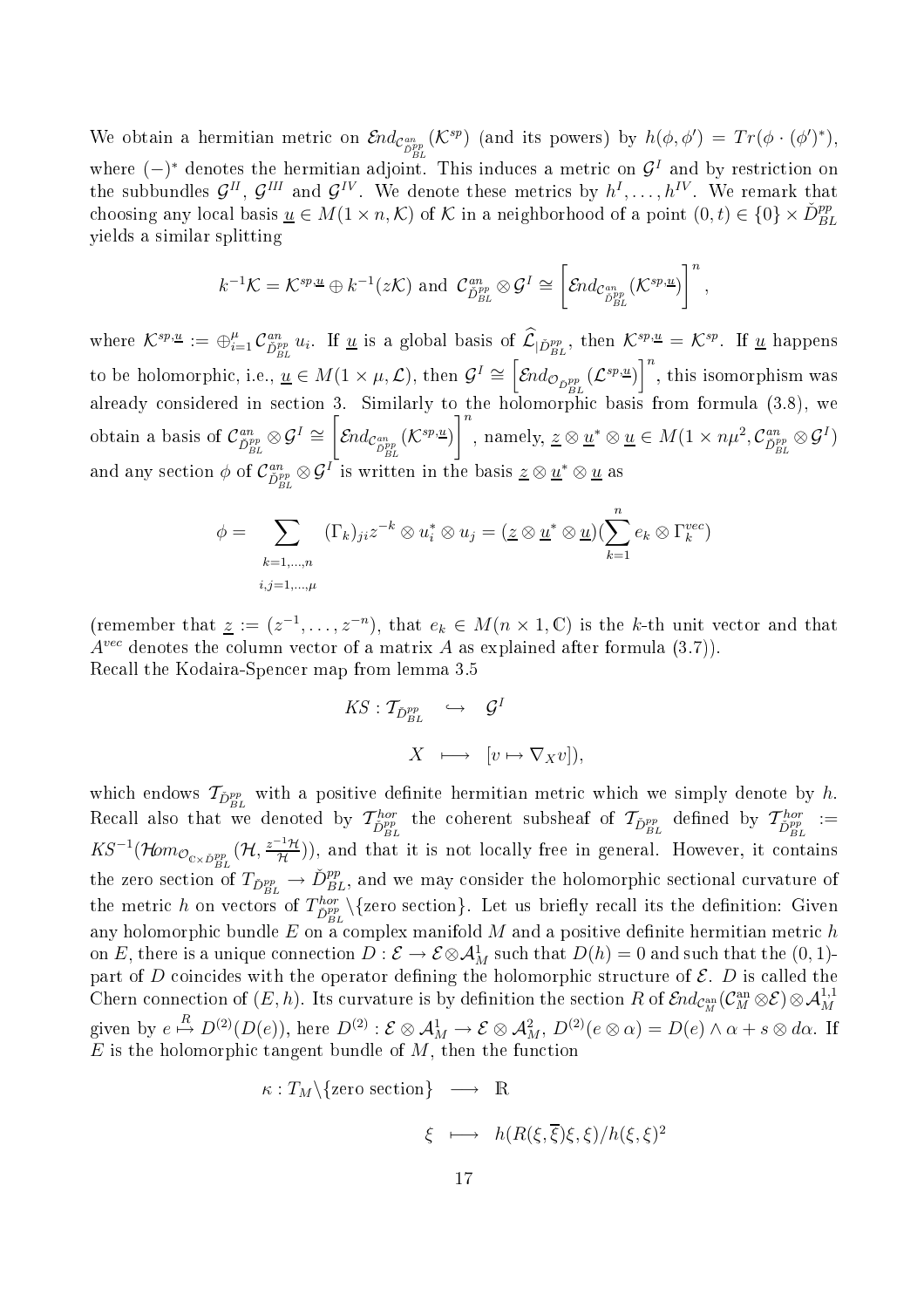We obtain a hermitian metric on  $\mathcal{E}nd_{\mathcal{C}_{D_{BL}}^{an}}(\mathcal{K}^{sp})$  (and its powers) by  $h(\phi, \phi') = Tr(\phi \cdot (\phi')^*),$ where  $(-)^*$  denotes the hermitian adjoint. This induces a metric on  $\mathcal{G}^I$  and by restriction on the subbundles  $\mathcal{G}^{II}$ ,  $\mathcal{G}^{III}$  and  $\mathcal{G}^{IV}$ . We denote these metrics by  $h^I, \ldots, h^{IV}$ . We remark that choosing any local basis  $\underline{u} \in M(1 \times n, \mathcal{K})$  of  $\mathcal K$  in a neighborhood of a point  $(0, t) \in \{0\} \times \check{D}_{BL}^{pp}$ yields a similar splitting

$$
k^{-1}K = K^{sp,\underline{u}} \oplus k^{-1}(zK)
$$
 and  $C^{an}_{\tilde{D}_{BL}^{pp}} \otimes \mathcal{G}^I \cong \left[\mathcal{E}nd_{\mathcal{C}_{\tilde{D}_{BL}}^{an}}(K^{sp,\underline{u}})\right]^n$ ,

where  $\mathcal{K}^{sp,\underline{u}} := \bigoplus_{i=1}^{\mu} \mathcal{C}_{\tilde{D}_{BL}}^{an} u_i$ . If <u>u</u> is a global basis of  $\widehat{\mathcal{L}}_{|\tilde{D}_{BL}}^{op}$ , then  $\mathcal{K}^{sp,\underline{u}} = \mathcal{K}^{sp}$ . If <u>u</u> happens to be holomorphic, i.e.,  $\underline{u} \in M(1 \times \mu, \mathcal{L})$ , then  $\mathcal{G}^I \cong \left[\mathcal{E}nd_{\mathcal{O}_{\tilde{D}_{BL}^{pp}}}(\mathcal{L}^{sp,\underline{u}})\right]^n$ , this isomorphism was also in section in section in section in the formula (3.8), we have the holomorphic ordinary to the figure  $\mathcal{S}$ obtain a basis of  $\mathcal{C}_{\check{D}_{BL}^{pp}}^{an}\otimes \mathcal{G}^I \cong$  $\sqrt{ }$  $\mathcal{E}\!nd_{\mathcal{C}_{\check{D}_{BL}^{pp}}}(\mathcal{K}^{sp,\underline{u}})$  $\mathcal{I}^n$ , namely,  $\underline{z} \otimes \underline{u}^* \otimes \underline{u} \in M(1 \times n\mu^2, \mathcal{C}_{\tilde{D}_{BL}^{pp}}^{an} \otimes \mathcal{G}^I)$ and any section  $\phi$  of  $\mathcal{C}^{an}_{\tilde{D}_{BL}^{pp}}\otimes\mathcal{G}^I$  is written in the basis  $\underline{z}\otimes\underline{u}^*\otimes\underline{u}$  as

$$
\phi = \sum_{\substack{k=1,\dots,n\\i,j=1,\dots,\mu}} (\Gamma_k)_{ji} z^{-k} \otimes u_i^* \otimes u_j = (\underline{z} \otimes \underline{u}^* \otimes \underline{u})(\sum_{k=1}^n e_k \otimes \Gamma_k^{vec})
$$

(remember that  $\underline{z} := (z^{-1}, \ldots, z^{-n})$ , that  $e_k \in M(n \times 1, \mathbb{C})$  is the k-th unit vector and that  $A^{vec}$  denotes the column vector of a matrix A as explained after formula (3.7)). Re
all the Kodaira-Spen
er map from lemma 3.5

$$
KS: \mathcal{T}_{\check{D}_{BL}^{pp}} \quad \hookrightarrow \quad \mathcal{G}^{I}
$$

$$
X \quad \longmapsto \quad [v \mapsto \nabla_{X}v]),
$$

which endows  $\mathcal{T}_{\check{D}_{BL}^{pp}}$  with a positive definite hermitian metric which we simply denote by  $h.$ BL Recall also that we denoted by  $\mathcal{T}_{\check{D}_{BL}^{pp}}^{hor}$  the coherent subsheaf of  $\mathcal{T}_{\check{D}_{BL}^{pp}}^{br}$  defined by  $\mathcal{T}_{\check{D}_{BL}^{pp}}^{hor}$  :=  $K S^{-1}(\mathcal{H} om_{\mathcal{O}_{\mathbf{C}\times \check{D}_{BL}^{pp}}}(\mathcal{H},\frac{z^{-1}\mathcal{H}}{\mathcal{H}})$  $\frac{H(H)}{\mathcal{H}}$ ), and that it is not locally free in general. However, it contains the zero section of  $T_{\check{D}_{BL}^{pp}} \to \check{D}_{BL}^{pp}$ , and we may consider the holomorphic sectional curvature of the metric h on vectors of  $T_{\tilde{D}_{BL}}^{hor} \setminus {\text{zero section}}$ . Let us briefly recall its the definition: Given any holomorphic bundle E on a complex manifold M and a positive definite hermitian metric h on E, there is a unique connection  $D: \mathcal{E} \to \mathcal{E} \otimes \mathcal{A}^1_M$  such that  $D(h) = 0$  and such that the  $(0, 1)$ part of D coincides with the operator defining the holomorphic structure of  $\mathcal{E}$ . D is called the Chern connection of  $(E, h)$ . Its curvature is by definition the section R of  $\mathcal{E}nd_{\mathcal{C}_M^{\mathrm{an}}}(\mathcal{C}_M^{\mathrm{an}}\otimes \mathcal{E})\otimes \mathcal{A}_M^{1,1}$ given by  $e \stackrel{R}{\mapsto} D^{(2)}(D(e))$ , here  $D^{(2)}$ :  $\mathcal{E} \otimes \mathcal{A}_M^1 \to \mathcal{E} \otimes \mathcal{A}_M^2$ ,  $D^{(2)}(e \otimes \alpha) = D(e) \wedge \alpha + s \otimes d\alpha$ . If  $E$  is the holomorphic tangent bundle of  $M$ , then the function

$$
\kappa: T_M \setminus \{ \text{zero section} \} \longrightarrow \mathbb{R}
$$
  

$$
\xi \longmapsto h(R(\xi, \overline{\xi})\xi, \xi) / h(\xi, \xi)^2
$$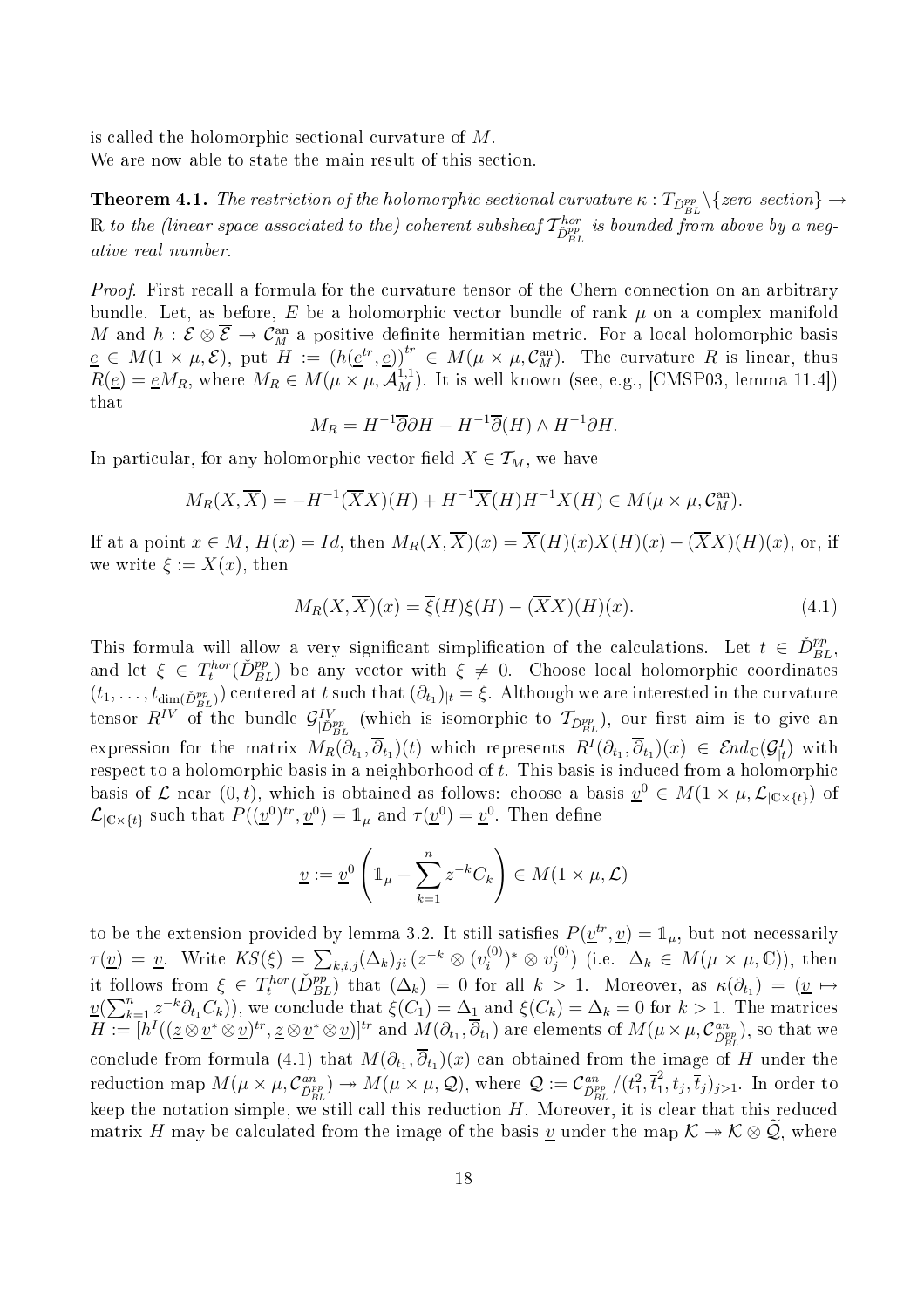is called the holomorphic sectional curvature of  $M$ . We are now able to state the main result of this section.

**Theorem 4.1.** The restriction of the holomorphic sectional curvature  $\kappa$  :  $T_{\check{D}_{BL}^{pp}}\backslash\{zero\text{-}section\} \to$  $\R$  to the (linear space associated to the) coherent subsheaf  $\mathcal{T}_{\check{D}_{BL}^{pp}}^{hor}$  is bounded from above by a negative real number.

Proof. First recall a formula for the curvature tensor of the Chern connection on an arbitrary bundle. Let, as before, E be a holomorphic vector bundle of rank  $\mu$  on a complex manifold M and  $h: \mathcal{E} \otimes \overline{\mathcal{E}} \to \mathcal{C}_M^{\text{an}}$  a positive definite hermitian metric. For a local holomorphic basis  $\underline{e} \in M(1 \times \mu, \mathcal{E}),$  put  $H := (h(\underline{e}^{tr}, \underline{e}))^{tr} \in M(\mu \times \mu, \mathcal{C}_M^{\text{an}}).$  The curvature R is linear, thus  $R(\underline{e}) = \underline{e}M_R$ , where  $M_R \in M(\mu \times \mu, \mathcal{A}_M^{1,1})$ . It is well known (see, e.g., [CMSP03, lemma 11.4]) that

$$
M_R = H^{-1}\overline{\partial}\partial H - H^{-1}\overline{\partial}(H) \wedge H^{-1}\partial H.
$$

In particular, for any holomorphic vector field  $X \in \mathcal{T}_M$ , we have

$$
M_R(X,\overline{X}) = -H^{-1}(\overline{X}X)(H) + H^{-1}\overline{X}(H)H^{-1}X(H) \in M(\mu \times \mu, \mathcal{C}_M^{\text{an}}).
$$

If at a point  $x \in M$ ,  $H(x) = Id$ , then  $M_R(X, \overline{X})(x) = \overline{X}(H)(x)X(H)(x) - (\overline{X}X)(H)(x)$ , or, if we write  $\xi := X(x)$ , then

$$
M_R(X, \overline{X})(x) = \overline{\xi}(H)\xi(H) - (\overline{X}X)(H)(x).
$$
\n(4.1)

This formula will allow a very significant simplification of the calculations. Let  $t \in \tilde{D}_{BL}^{pp}$ , and let  $\xi \in T_t^{hor}(\check{D}_{BL}^{pp})$  be any vector with  $\xi \neq 0$ . Choose local holomorphic coordinates  $(t_1,\ldots,t_{\dim(\check{D}_{BL}^{pp}}))$  centered at t such that  $(\partial_{t_1})_{|t}=\xi$ . Although we are interested in the curvature tensor  $R^{IV}$  of the bundle  $\mathcal{G}_{|\check{D}_{BL}^{pp}\,}^{IV}$  (which is isomorphic to  $\mathcal{T}_{\check{D}_{BL}^{pp}}$ ), our first aim is to give an expression for the matrix  $M_R(\partial_{t_1}, \overline{\partial}_{t_1})(t)$  which represents  $R^I(\partial_{t_1}, \overline{\partial}_{t_1})(x) \in \mathcal{E}nd_{\mathbb{C}}(\mathcal{G}_{|t}^I)$  with respect to a holomorphic basis in a neighborhood of t. This basis is induced from a holomorphic basis of  $\mathcal L$  near  $(0,t)$ , which is obtained as follows: choose a basis  $\underline{v}^0 \in M(1 \times \mu, \mathcal L_{|\mathbb C \times \{t\}})$  of  $\mathcal{L}_{|\mathbb{C}\times\{t\}}$  such that  $P((\underline{v}^0)^{tr}, \underline{v}^0) = \mathbb{1}_{\mu}$  and  $\tau(\underline{v}^0) = \underline{v}^0$ . Then define

$$
\underline{v} := \underline{v}^0 \left( \mathbb{1}_{\mu} + \sum_{k=1}^n z^{-k} C_k \right) \in M(1 \times \mu, \mathcal{L})
$$

to be the extension provided by lemma 3.2. It still satisfies  $P(\underline{v}^{tr}, \underline{v}) = \mathbb{1}_{\mu}$ , but not necessarily  $\tau(\underline{v}) = \underline{v}$ . Write  $KS(\xi) = \sum_{k,i,j} (\Delta_k)_{ji} (z^{-k} \otimes (v_i^{(0)}))$  $(v^{(0)}_i)^* \otimes v^{(0)}_j$  $j^{(0)}$ ) (i.e.  $\Delta_k \in M(\mu \times \mu, \mathbb{C})$ ), then it follows from  $\xi \in T_t^{hor}(\check{D}_{BL}^{pp})$  that  $(\Delta_k) = 0$  for all  $k > 1$ . Moreover, as  $\kappa(\partial_{t_1}) = (\underline{v} \mapsto$  $\underline{v}(\sum_{k=1}^n z^{-k}\partial_{t_1}C_k)$ , we conclude that  $\xi(C_1) = \Delta_1$  and  $\xi(C_k) = \Delta_k = 0$  for  $k > 1$ . The matrices  $H:=[h^I((\underline{z}\otimes \underline{v}^*\otimes \underline{v})^{tr},\underline{z}\otimes \underline{v}^*\otimes \underline{v})]^{tr}$  and  $M(\partial_{t_1},\overline{\partial}_{t_1})$  are elements of  $M(\mu\times \mu,\mathcal{C}_{\check{D}_{BL}^{pp}}^{an}),$  so that we conclude from formula (4.1) that  $M(\partial_{t_1},\partial_{t_1})(x)$  can obtained from the image of  $H$  under the reduction map  $M(\mu \times \mu, C_{\tilde{D}_{BL}}^{an}) \to M(\mu \times \mu, \mathcal{Q})$ , where  $\mathcal{Q} := C_{\tilde{D}_{BL}}^{an}/(t_1^2, \overline{t}_1^2)$  $\overline{1}^2$ ,  $t_j$ ,  $\overline{t}_j$ )<sub>j>1</sub>. In order to keep the notation simple, we still call this reduction  $H$ . Moreover, it is clear that this reduced matrix H may be calculated from the image of the basis <u>v</u> under the map  $\mathcal{K} \to \mathcal{K} \otimes \mathcal{Q}$ , where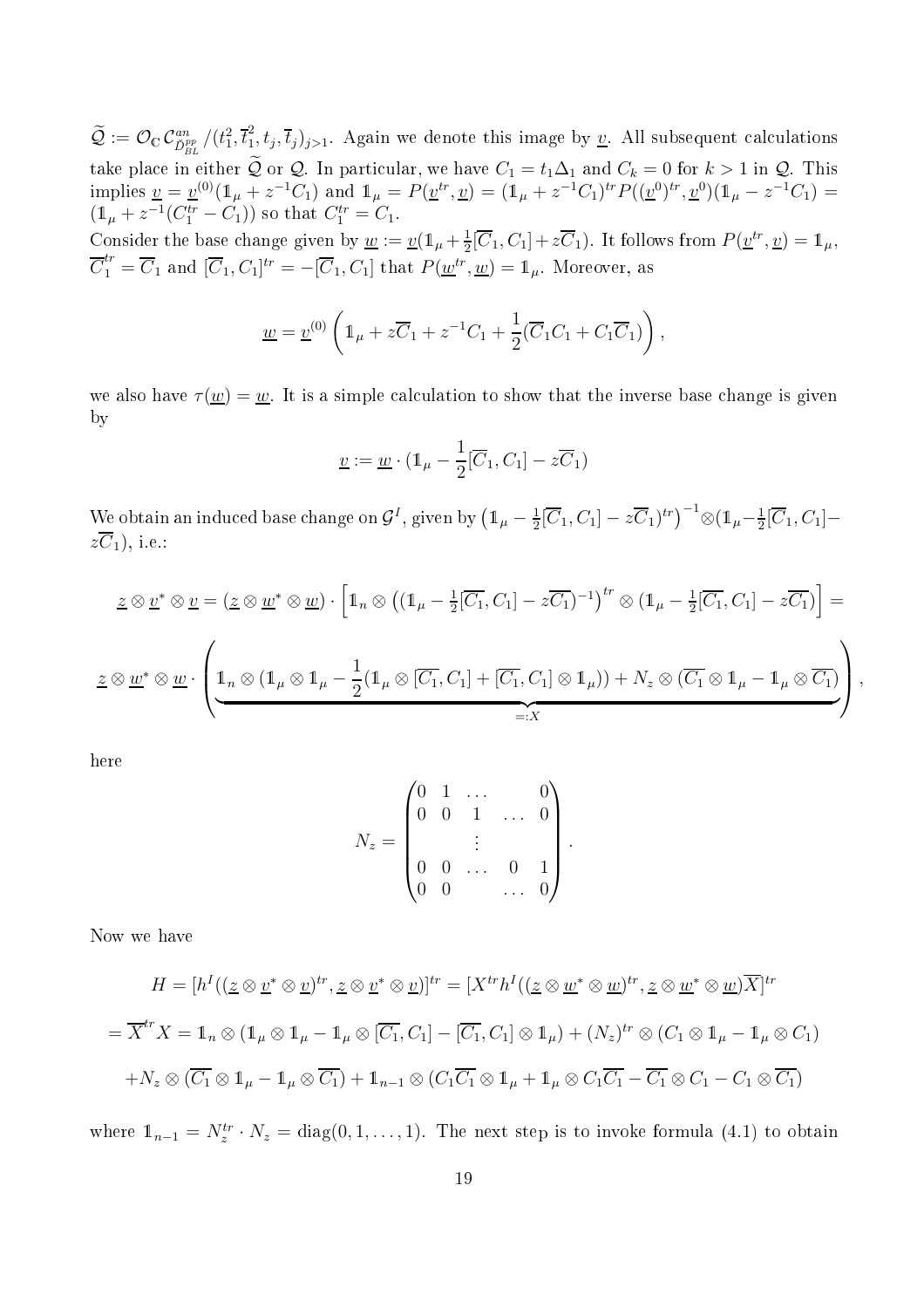$\widetilde{\mathcal{Q}}:=\mathcal{O}_{\mathbb{C}}\, \mathcal{C}^{an}_{\check{D}_{BL}^{pp}}/(t_{1}^{2},\overline{t}_{1}^{2})$  $\{a_1, t_j, \overline{t}_j\}_{j>1}$ . Again we denote this image by <u>v</u>. All subsequent calculations take place in either Q or Q. In particular, we have  $C_1 = t_1 \Delta_1$  and  $C_k = 0$  for  $k > 1$  in Q. This implies  $\underline{v} = \underline{v}^{(0)}(\mathbb{1}_{\mu} + z^{-1}C_1)$  and  $\mathbb{1}_{\mu} = P(\underline{v}^{tr}, \underline{v}) = (\mathbb{1}_{\mu} + z^{-1}C_1)^{tr}P((\underline{v}^{0})^{tr}, \underline{v}^{0})(\mathbb{1}_{\mu} - z^{-1}C_1) =$  $(1<sub>\mu</sub> + z<sup>-1</sup>(C<sub>1</sub><sup>tr</sup> - C<sub>1</sub>))$  so that  $C<sub>1</sub><sup>tr</sup> = C<sub>1</sub>$ . Consider the base change given by  $\underline{w} := \underline{v}(\mathbb{1}_{\mu} + \frac{1}{2})$  $\frac{1}{2}[\overline{C}_1, C_1] + z\overline{C}_1$ ). It follows from  $P(\underline{v}^{tr}, \underline{v}) = \mathbb{1}_{\mu}$ ,  $\overline{C}_1^{tr} = \overline{C}_1$  and  $[\overline{C}_1, C_1]^{tr} = -[\overline{C}_1, C_1]$  that  $P(\underline{w}^{tr}, \underline{w}) = \mathbb{1}_{\mu}$ . Moreover, as

$$
\underline{w} = \underline{v}^{(0)} \left( 1_{\mu} + z \overline{C}_1 + z^{-1} C_1 + \frac{1}{2} (\overline{C}_1 C_1 + C_1 \overline{C}_1) \right),
$$

we also have  $\tau(\underline{w}) = \underline{w}$ . It is a simple calculation to show that the inverse base change is given by

$$
\underline{v} := \underline{w} \cdot (\mathbb{1}_{\mu} - \frac{1}{2}[\overline{C}_1, C_1] - z\overline{C}_1)
$$

We obtain an induced base change on  $\mathcal{G}^I$ , given by  $\left(\mathbb{1}_{\mu}-\frac{1}{2}\right)$  $\frac{1}{2}[\overline{C}_1, C_1] - z\overline{C}_1)^{tr}$ <sup>-1</sup> $\otimes$  (1<sub>µ</sub>- $\frac{1}{2}$  $\frac{1}{2}[C_1, C_1]$  $z\overline{C}_1$ ), i.e.:

$$
\underline{z} \otimes \underline{v}^* \otimes \underline{v} = (\underline{z} \otimes \underline{w}^* \otimes \underline{w}) \cdot \left[ \mathbb{1}_n \otimes ((\mathbb{1}_{\mu} - \frac{1}{2}[\overline{C_1}, C_1] - z\overline{C_1})^{-1})^{tr} \otimes (\mathbb{1}_{\mu} - \frac{1}{2}[\overline{C_1}, C_1] - z\overline{C_1}) \right] =
$$
  

$$
\underline{z} \otimes \underline{w}^* \otimes \underline{w} \cdot \left( \underbrace{\mathbb{1}_n \otimes (\mathbb{1}_{\mu} \otimes \mathbb{1}_{\mu} - \frac{1}{2}(\mathbb{1}_{\mu} \otimes [\overline{C_1}, C_1] + [\overline{C_1}, C_1] \otimes \mathbb{1}_{\mu})) + N_z \otimes (\overline{C_1} \otimes \mathbb{1}_{\mu} - \mathbb{1}_{\mu} \otimes \overline{C_1})}{=:X} \right),
$$

here

$$
N_z = \begin{pmatrix} 0 & 1 & \dots & & 0 \\ 0 & 0 & 1 & \dots & 0 \\ & & \vdots & & \\ 0 & 0 & \dots & 0 & 1 \\ 0 & 0 & & \dots & 0 \end{pmatrix}.
$$

Now we have

$$
H = [h^I((\underline{z} \otimes \underline{v}^* \otimes \underline{v})^{tr}, \underline{z} \otimes \underline{v}^* \otimes \underline{v})]^{tr} = [X^{tr}h^I((\underline{z} \otimes \underline{w}^* \otimes \underline{w})^{tr}, \underline{z} \otimes \underline{w}^* \otimes \underline{w})\overline{X}]^{tr}
$$
  
=  $\overline{X}^{tr}X = \mathbf{1}_n \otimes (\mathbf{1}_\mu \otimes \mathbf{1}_\mu - \mathbf{1}_\mu \otimes [\overline{C_1}, C_1] - [\overline{C_1}, C_1] \otimes \mathbf{1}_\mu) + (N_z)^{tr} \otimes (C_1 \otimes \mathbf{1}_\mu - \mathbf{1}_\mu \otimes C_1)$   
+  $N_z \otimes (\overline{C_1} \otimes \mathbf{1}_\mu - \mathbf{1}_\mu \otimes \overline{C_1}) + \mathbf{1}_{n-1} \otimes (C_1 \overline{C_1} \otimes \mathbf{1}_\mu + \mathbf{1}_\mu \otimes C_1 \overline{C_1} - \overline{C_1} \otimes C_1 - C_1 \otimes \overline{C_1})$ 

where  $\mathbb{1}_{n-1} = N_z^{tr} \cdot N_z = \text{diag}(0, 1, \dots, 1)$ . The next step is to invoke formula (4.1) to obtain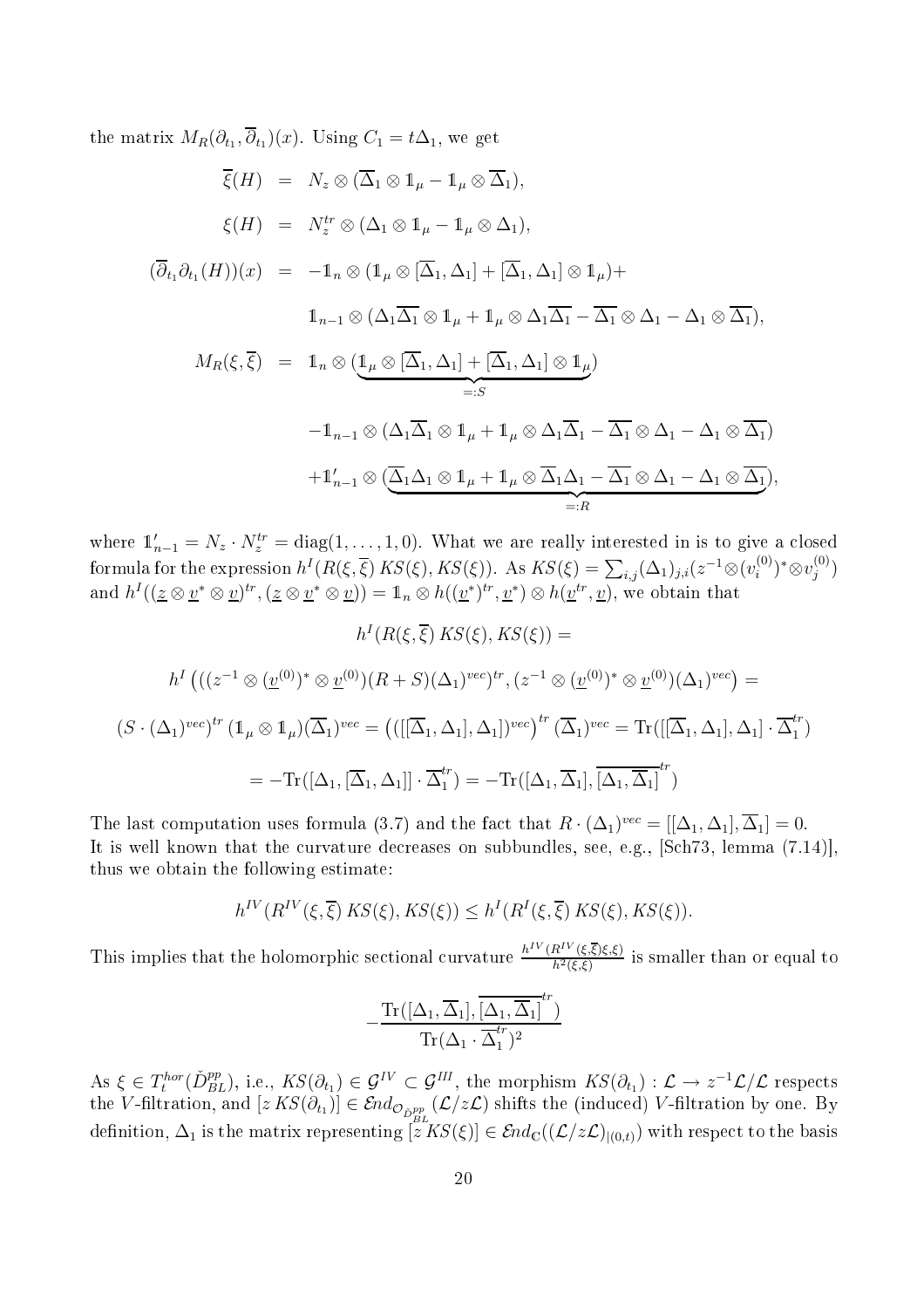the matrix  $M_R(\partial_{t_1}, \partial_{t_1})(x)$ . Using  $C_1 = t\Delta_1$ , we get

$$
\overline{\xi}(H) = N_z \otimes (\overline{\Delta}_1 \otimes 1_{\mu} - 1_{\mu} \otimes \overline{\Delta}_1),
$$
  
\n
$$
\xi(H) = N_z^{tr} \otimes (\Delta_1 \otimes 1_{\mu} - 1_{\mu} \otimes \Delta_1),
$$
  
\n
$$
(\overline{\partial}_{t_1} \partial_{t_1}(H))(x) = -1_n \otimes (1_{\mu} \otimes [\overline{\Delta}_1, \Delta_1] + [\overline{\Delta}_1, \Delta_1] \otimes 1_{\mu}) +
$$
  
\n
$$
1_{n-1} \otimes (\Delta_1 \overline{\Delta_1} \otimes 1_{\mu} + 1_{\mu} \otimes \Delta_1 \overline{\Delta_1} - \overline{\Delta_1} \otimes \Delta_1 - \Delta_1 \otimes \overline{\Delta_1}),
$$
  
\n
$$
M_R(\xi, \overline{\xi}) = 1_n \otimes (1_{\mu} \otimes [\overline{\Delta}_1, \Delta_1] + [\overline{\Delta}_1, \Delta_1] \otimes 1_{\mu})
$$
  
\n
$$
=:S
$$
  
\n
$$
-1_{n-1} \otimes (\Delta_1 \overline{\Delta}_1 \otimes 1_{\mu} + 1_{\mu} \otimes \Delta_1 \overline{\Delta}_1 - \overline{\Delta_1} \otimes \Delta_1 - \Delta_1 \otimes \overline{\Delta_1})
$$
  
\n
$$
+1'_{n-1} \otimes (\overline{\Delta}_1 \Delta_1 \otimes 1_{\mu} + 1_{\mu} \otimes \overline{\Delta}_1 \Delta_1 - \overline{\Delta_1} \otimes \Delta_1 - \Delta_1 \otimes \overline{\Delta_1}),
$$
  
\n
$$
=:R
$$

where  $\mathbb{1}'_{n-1} = N_z \cdot N_z^{tr} = \text{diag}(1, \ldots, 1, 0)$ . What we are really interested in is to give a closed formula for the expression  $h^I(R(\xi, \overline{\xi}) K S(\xi), K S(\xi))$ . As  $K S(\xi) = \sum_{i,j} (\Delta_1)_{j,i} (z^{-1} \otimes (v_i^{(0)}))$  $(v^{(0)}_i)^*\otimes v^{(0)}_j$  $\binom{0}{j}$ and  $h^I((\underline{z}\otimes \underline{v}^*\otimes \underline{v})^{tr},(\underline{z}\otimes \underline{v}^*\otimes \underline{v}))=\mathbb{1}_n\otimes h((\underline{v}^*)^{tr},\underline{v}^*)\otimes h(\underline{v}^{tr},\underline{v}),$  we obtain that

$$
h^I(R(\xi, \overline{\xi}) KS(\xi), KS(\xi)) =
$$
  

$$
h^I((z^{-1} \otimes (\underline{v}^{(0)})^* \otimes \underline{v}^{(0)})(R+S)(\Delta_1)^{vec})^{tr}, (z^{-1} \otimes (\underline{v}^{(0)})^* \otimes \underline{v}^{(0)})(\Delta_1)^{vec}) =
$$
  

$$
(S \cdot (\Delta_1)^{vec})^{tr} (\mathbb{1}_{\mu} \otimes \mathbb{1}_{\mu})(\overline{\Delta_1})^{vec} = ((([\overline{\Delta}_1, \Delta_1], \Delta_1])^{vec})^{tr} (\overline{\Delta}_1)^{vec} = \mathrm{Tr}([[\overline{\Delta}_1, \Delta_1], \Delta_1] \cdot \overline{\Delta}_1^{tr})
$$
  

$$
= -\mathrm{Tr}([\Delta_1, [\overline{\Delta}_1, \Delta_1]] \cdot \overline{\Delta}_1^{tr}) = -\mathrm{Tr}([\Delta_1, \overline{\Delta}_1], [\overline{\Delta}_1, \overline{\Delta}_1]^{tr})
$$

The last computation uses formula (3.7) and the fact that  $R \cdot (\Delta_1)^{vec} = [[\Delta_1, \Delta_1], \overline{\Delta}_1] = 0.$ It is well known that the curvature decreases on subbundles, see, e.g.,  $[Sch73, Iemma (7.14)],$ thus we obtain the following estimate:

$$
h^{IV}(R^{IV}(\xi,\overline{\xi})\,KS(\xi),KS(\xi)) \leq h^{I}(R^{I}(\xi,\overline{\xi})\,KS(\xi),KS(\xi)).
$$

This implies that the holomorphic sectional curvature  $\frac{h^{IV}(R^{IV}(\xi,\overline{\xi})\xi,\xi)}{h^{12}(\xi,\xi)}$  $h^2(\xi,\xi)$  is smaller than or equal to

$$
-\frac{\operatorname{Tr}([\Delta_1,\overline{\Delta}_1],\overline{[\Delta_1,\overline{\Delta}_1]}^{tr})}{\operatorname{Tr}(\Delta_1\cdot\overline{\Delta}_1^{tr})^2}
$$

 $\text{As } \xi \in T_t^{\text{hor}}(\check{D}_{BL}^{\text{pp}}), \text{ i.e., } \text{KS}(\partial_{t_1}) \in \mathcal{G}^{IV} \subset \mathcal{G}^{III}, \text{ the morphism } \text{KS}(\partial_{t_1}) : \mathcal{L} \to z^{-1}\mathcal{L}/\mathcal{L} \text{ respects}$ the V-filtration, and  $[z\, KS(\partial_{t_1})] \in \mathcal{E}nd_{\mathcal{O}_{\tilde{D}_{BL}^{pp}}}(\mathcal{L}/z\mathcal{L})$  shifts the (induced) V-filtration by one. By definition,  $\Delta_1$  is the matrix representing  $[z^LKS(\xi)] \in \mathcal{E}nd_{\mathbb{C}}((\mathcal{L}/z\mathcal{L})_{(0,t)})$  with respect to the basis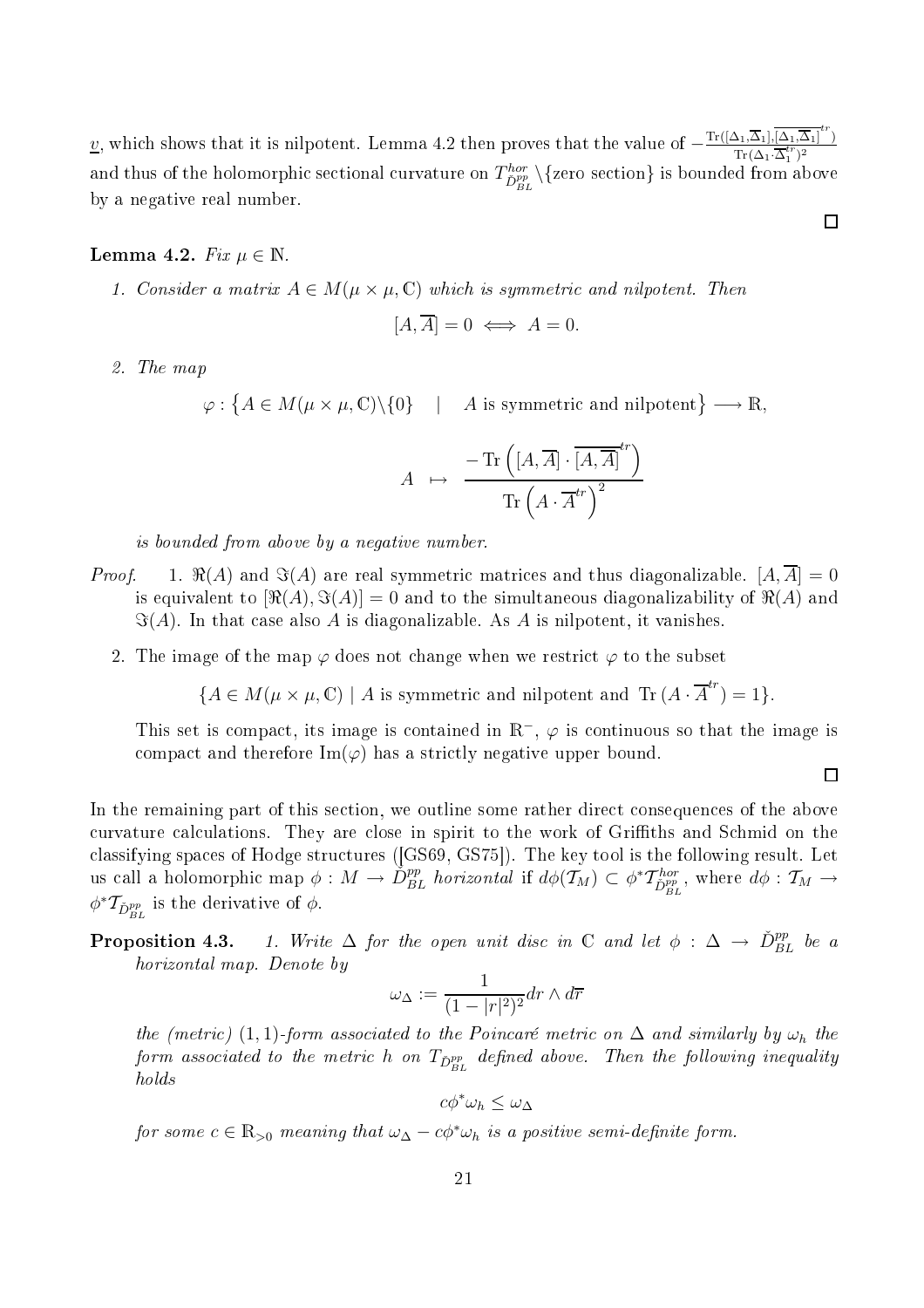v, which shows that it is nilpotent. Lemma 4.2 then proves that the value of  $-\frac{\text{Tr}([\Delta_1,\overline{\Delta}_1], \overline{[\Delta_1,\overline{\Delta}_1]}^{tr})}{\text{Tr}(\Delta_1 \cdot \overline{\Delta}_1^{tr})^2}$  $\text{Tr}(\Delta_1 \cdot \overline{\Delta}_1^{tr})^2$ and thus of the holomorphic sectional curvature on  $T^{hor}_{\check D^{pp}_{BL}} \backslash \{\text{zero section}\}$  is bounded from above by a negative real number.

# Lemma 4.2. Fix  $\mu \in \mathbb{N}$ .

1. Consider a matrix  $A \in M(\mu \times \mu, \mathbb{C})$  which is symmetric and nilpotent. Then

$$
[A,\overline{A}] = 0 \iff A = 0.
$$

2. The map

 $\varphi: \big\{ A \in M(\mu \times \mu, \mathbb{C}) \backslash \{0\} \quad | \quad A \text{ is symmetric and nilpotent} \big\} \longrightarrow \mathbb{R},$ 

$$
A \mapsto \frac{-\operatorname{Tr}\left(\left[A,\overline{A}\right]\cdot\overline{\left[A,\overline{A}\right]}^{tr}\right)}{\operatorname{Tr}\left(A\cdot\overline{A}^{tr}\right)^{2}}
$$

is bounded from above by a negative number.

- *Proof.* 1.  $\Re(A)$  and  $\Im(A)$  are real symmetric matrices and thus diagonalizable.  $[A, \overline{A}] = 0$ is equivalent to  $[\Re(A), \Im(A)] = 0$  and to the simultaneous diagonalizability of  $\Re(A)$  and  $\Im(A)$ . In that case also A is diagonalizable. As A is nilpotent, it vanishes.
	- 2. The image of the map  $\varphi$  does not change when we restrict  $\varphi$  to the subset

$$
\{A \in M(\mu \times \mu, \mathbb{C}) \mid A \text{ is symmetric and nilpotent and } \text{Tr}(A \cdot \overline{A}^{tr}) = 1\}.
$$

This set is compact, its image is contained in  $\mathbb{R}^-$ ,  $\varphi$  is continuous so that the image is compact and therefore  $\text{Im}(\varphi)$  has a strictly negative upper bound.

$$
\Box
$$

In the remaining part of this section, we outline some rather direct consequences of the above curvature calculations. They are close in spirit to the work of Griffiths and Schmid on the classifying spaces of Hodge structures ([GS69, GS75]). The key tool is the following result. Let us call a holomorphic map  $\phi: M \to \check{D}_{BL}^{pp}$  horizontal if  $d\phi(\mathcal{T}_M) \subset \phi^* \mathcal{T}_{\check{D}_{BL}^{pp}}^{hor}$ , where  $d\phi: \mathcal{T}_M \to \emptyset$  $\phi^* \mathcal{T}_{\check{D}_{BL}^{pp}}$  is the derivative of  $\phi$ .

# **Proposition 4.3.** 1. Write  $\Delta$  for the open unit disc in  $\mathbb C$  and let  $\phi : \Delta \to \check{D}_{BL}^{pp}$  be a horizontal map. Denote by

$$
\omega_{\Delta} := \frac{1}{(1 - |r|^2)^2} dr \wedge d\overline{r}
$$

the (metric) (1, 1)-form associated to the Poincaré metric on  $\Delta$  and similarly by  $\omega_h$  the form associated to the metric h on  $T_{\check{D}_{BL}^{pp}}$  defined above. Then the following inequality holds

$$
c\phi^*\omega_h \leq \omega_\Delta
$$

for some  $c \in \mathbb{R}_{>0}$  meaning that  $\omega_{\Delta} - c\phi^* \omega_h$  is a positive semi-definite form.

 $\Box$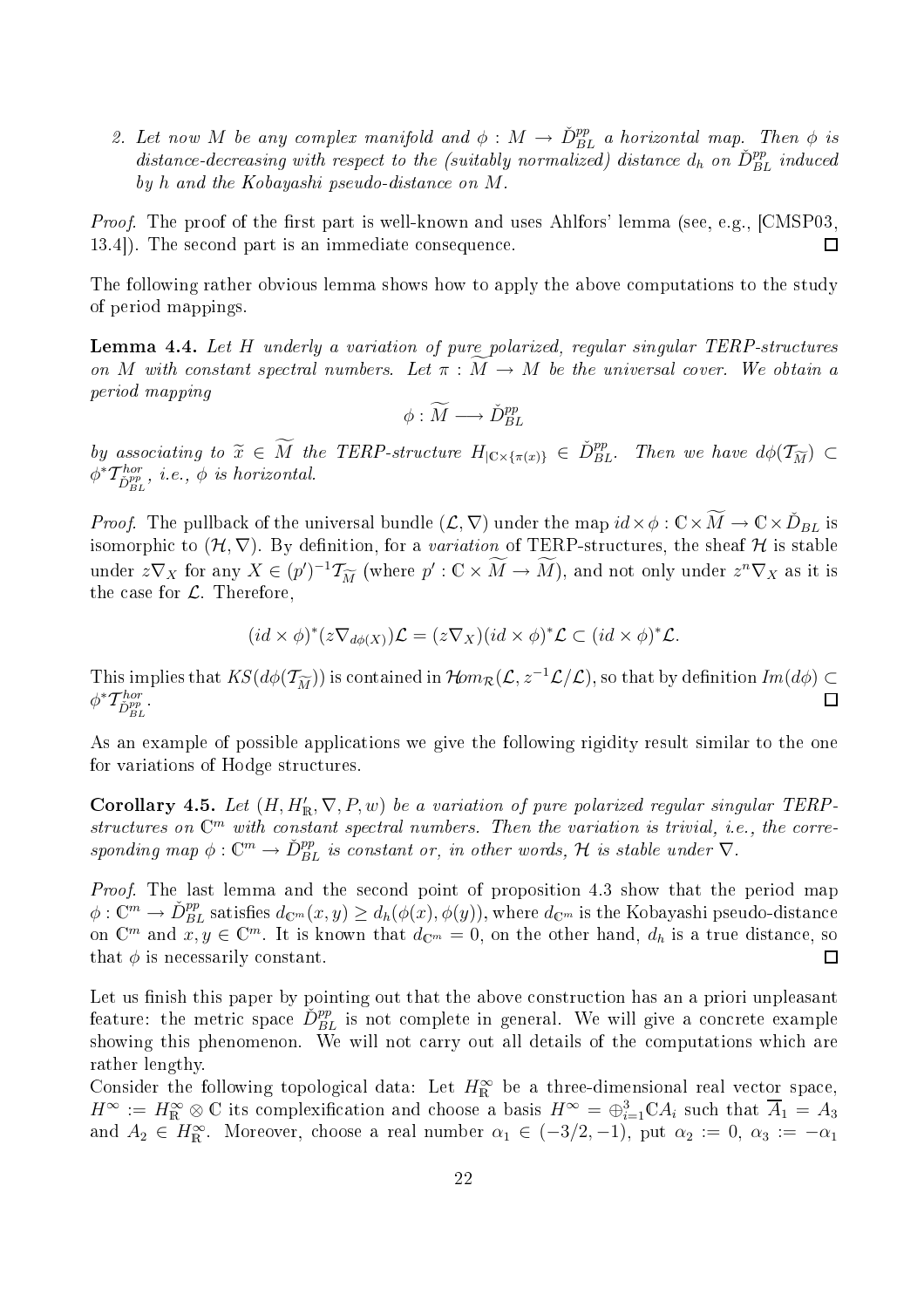2. Let now M be any complex manifold and  $\phi: M \to \check{D}_{BL}^{pp}$  a horizontal map. Then  $\phi$  is distance-decreasing with respect to the (suitably normalized) distance  $d_h$  on  $\check{D}_{BL}^{pp}$  induced by h and the Kobayashi pseudo-distance on M.

*Proof.* The proof of the first part is well-known and uses Ahlfors' lemma (see, e.g.,  $[CMSP03, ]$ 13.4.). The second part is an immediate consequence.  $\Box$ 

The following rather obvious lemma shows how to apply the above omputations to the study of period mappings.

**Lemma 4.4.** Let H underly a variation of pure polarized, regular singular TERP-structures on M with constant spectral numbers. Let  $\pi : \overline{M} \to M$  be the universal cover. We obtain a period mapping

$$
\phi : \widetilde{M} \longrightarrow \check{D}_{BL}^{pp}
$$

by associating to  $\widetilde{x} \in \widetilde{M}$  the TERP-structure  $H_{\vert \mathbb{C} \times {\lbrace \pi(x) \rbrace}} \in \check{D}_{BL}^{pp}$ . Then we have  $d\phi(\mathcal{T}_{\widetilde{M}}) \subset \mathcal{T}_{B}$  $\phi^*{\cal T}^{hor}_{\check D^{pp}_{BL}},$  i.e.,  $\phi$  is horizontal.

*Proof.* The pullback of the universal bundle  $(\mathcal{L}, \nabla)$  under the map  $id \times \phi : \mathbb{C} \times \widetilde{M} \to \mathbb{C} \times \widetilde{D}_{BL}$  is isomorphic to  $(\mathcal{H}, \nabla)$ . By definition, for a variation of TERP-structures, the sheaf H is stable under  $z\nabla_X$  for any  $X \in (p')^{-1}\mathcal{T}_{\widetilde{M}}$  (where  $p' : \mathbb{C} \times M \to M$ ), and not only under  $z^n \nabla_X$  as it is the case for  $\mathcal{L}$ . Therefore,

$$
(id \times \phi)^{*}(z\nabla_{d\phi(X)})\mathcal{L} = (z\nabla_{X})(id \times \phi)^{*}\mathcal{L} \subset (id \times \phi)^{*}\mathcal{L}.
$$

This implies that  $KS(d\phi(\mathcal{T}_{\widetilde{M}}))$  is contained in  $\mathcal{H}om_{\mathcal{R}}(\mathcal{L}, z^{-1}\mathcal{L}/\mathcal{L})$ , so that by definition  $Im(d\phi) \subset \phi^* \mathcal{T}_{\text{sym}}^{hor}$ .  $\phi^* T^{hor}_{\check D^{pp}_{BL}}.$ 

As an example of possible applications we give the following rigidity result similar to the one for variations of Hodge structures.

**Corollary 4.5.** Let  $(H, H'_{\mathbb{R}}, \nabla, P, w)$  be a variation of pure polarized regular singular TERPstructures on  $\mathbb{C}^m$  with constant spectral numbers. Then the variation is trivial, i.e., the corresponding map  $\phi: \mathbb{C}^m \to \check{D}_{BL}^{pp}$  is constant or, in other words,  $\mathcal H$  is stable under  $\nabla$ .

Proof. The last lemma and the second point of proposition 4.3 show that the period map  $\phi: \mathbb{C}^m \to \check{D}_{BL}^{pp}$  satisfies  $d_{\mathbb{C}^m}(x,y) \geq d_h(\phi(x),\phi(y)),$  where  $d_{\mathbb{C}^m}$  is the Kobayashi pseudo-distance on  $\mathbb{C}^m$  and  $x, y \in \mathbb{C}^m$ . It is known that  $d_{\mathbb{C}^m} = 0$ , on the other hand,  $d_h$  is a true distance, so that  $\phi$  is necessarily constant.  $\Box$ 

Let us finish this paper by pointing out that the above construction has an a priori unpleasant feature: the metric space  $\check{D}_{BL}^{pp}$  is not complete in general. We will give a concrete example showing this phenomenon. We will not carry out all details of the computations which are rather lengthy.

Consider the following topological data: Let  $H_{\mathbb{R}}^{\infty}$  be a three-dimensional real vector space,  $H^{\infty} := H^{\infty}_{\mathbb{R}} \otimes \mathbb{C}$  its complexification and choose a basis  $H^{\infty} = \bigoplus_{i=1}^{3} \mathbb{C} A_i$  such that  $\overline{A}_1 = A_3$ and  $A_2 \in H^{\infty}_{\mathbb{R}}$ . Moreover, choose a real number  $\alpha_1 \in (-3/2, -1)$ , put  $\alpha_2 := 0$ ,  $\alpha_3 := -\alpha_1$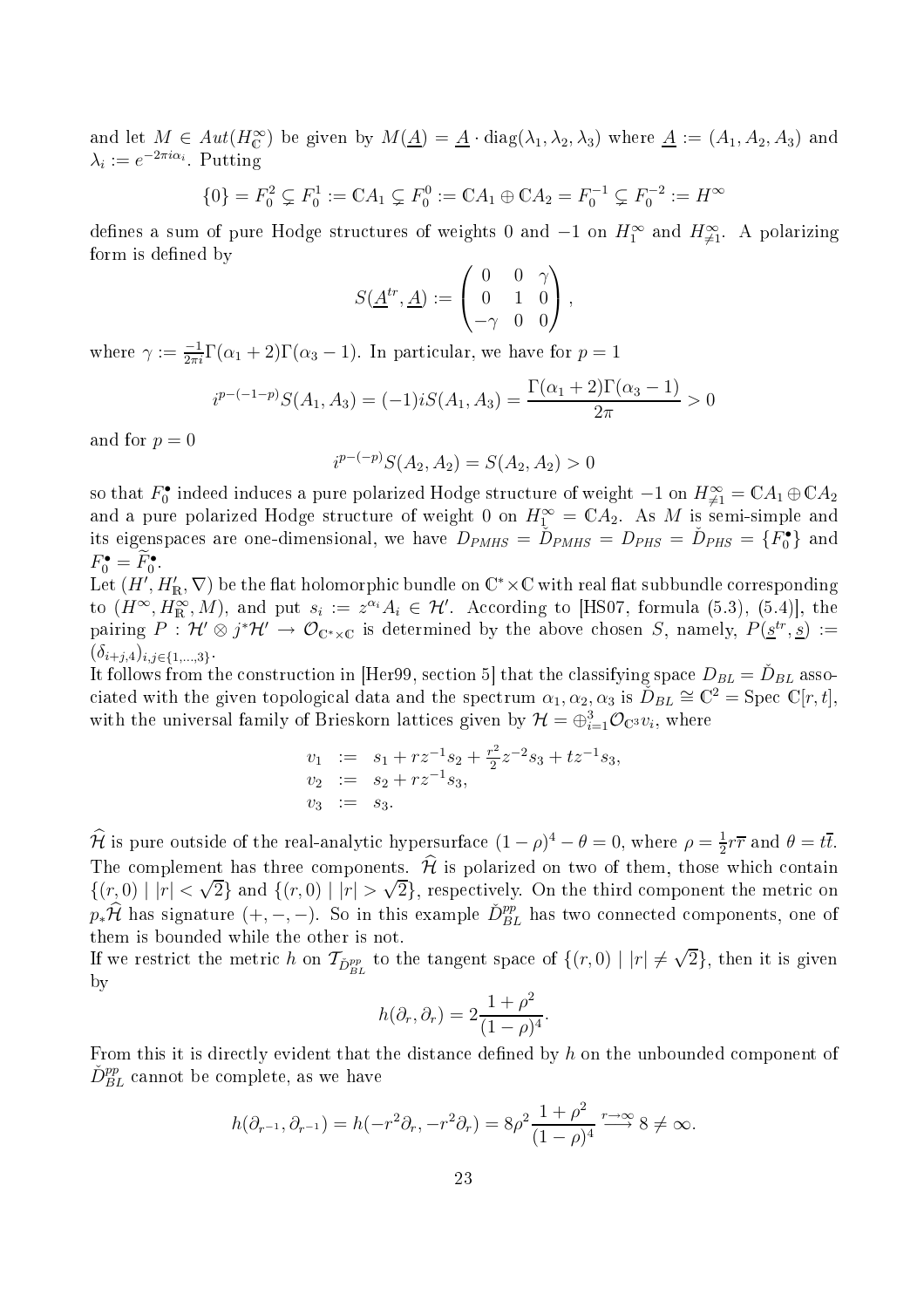and let  $M \in Aut(H_{\mathbb{C}}^{\infty})$  be given by  $M(\underline{A}) = \underline{A} \cdot diag(\lambda_1, \lambda_2, \lambda_3)$  where  $\underline{A} := (A_1, A_2, A_3)$  and  $\lambda_i := e^{-2\pi i \alpha_i}$ . Putting

$$
\{0\} = F_0^2 \subsetneq F_0^1 := \mathbb{C}A_1 \subsetneq F_0^0 := \mathbb{C}A_1 \oplus \mathbb{C}A_2 = F_0^{-1} \subsetneq F_0^{-2} := H^\infty
$$

defines a sum of pure Hodge structures of weights 0 and  $-1$  on  $H_1^{\infty}$  and  $H_{\neq 1}^{\infty}$ . A polarizing form is defined by

$$
S(\underline{A}^{tr}, \underline{A}) := \begin{pmatrix} 0 & 0 & \gamma \\ 0 & 1 & 0 \\ -\gamma & 0 & 0 \end{pmatrix},
$$

where  $\gamma := \frac{-1}{2\pi i} \Gamma(\alpha_1 + 2) \Gamma(\alpha_3 - 1)$ . In particular, we have for  $p = 1$ 

$$
i^{p-(-1-p)}S(A_1, A_3) = (-1)iS(A_1, A_3) = \frac{\Gamma(\alpha_1 + 2)\Gamma(\alpha_3 - 1)}{2\pi} > 0
$$

and for  $p = 0$ 

$$
i^{p-(-p)}S(A_2, A_2) = S(A_2, A_2) > 0
$$

so that  $F_0^\bullet$  indeed induces a pure polarized Hodge structure of weight  $-1$  on  $H^\infty_{\neq 1}=\mathbb{C} A_1\oplus \mathbb{C} A_2$ and a pure polarized Hodge structure of weight 0 on  $H_1^{\infty} = \mathbb{C} A_2$ . As M is semi-simple and its eigenspaces are one-dimensional, we have  $D_{PMHS} = \tilde{D}_{PMHS} = D_{PHS} = \tilde{D}_{PHS} = \{F_0^{\bullet}\}$  and  $F_0^{\bullet} = F_0^{\bullet}$ .

Let  $(H', H'_{\mathbb{R}}, \nabla)$  be the flat holomorphic bundle on  $\mathbb{C}^* \times \mathbb{C}$  with real flat subbundle corresponding to  $(H^{\infty}, H^{\infty}_{\mathbb{R}}, M)$ , and put  $s_i := z^{\alpha_i} A_i \in \mathcal{H}'$ . According to [HS07, formula (5.3), (5.4)], the pairing  $P: \mathcal{H}' \otimes j^* \mathcal{H}' \to \mathcal{O}_{\mathbb{C}^*\times\mathbb{C}}$  is determined by the above chosen S, namely,  $P(\underline{s}^{tr}, \underline{s}) :=$  $(\delta_{i+j,4})_{i,j\in\{1,...,3\}}$ .

It follows from the construction in [Her99, section 5] that the classifying space  $D_{BL} = \check{D}_{BL}$  associated with the given topological data and the spectrum  $\alpha_1, \alpha_2, \alpha_3$  is  $\check{D}_{BL} \cong \mathbb{C}^2 = \text{Spec } \mathbb{C}[r, t],$ with the universal family of Brieskorn lattices given by  $\mathcal{H}=\oplus_{i=1}^3\mathcal{O}_{\mathbb{C}^3}v_i$ , where

$$
v_1 := s_1 + rz^{-1}s_2 + \frac{r^2}{2}z^{-2}s_3 + tz^{-1}s_3,
$$
  
\n
$$
v_2 := s_2 + rz^{-1}s_3,
$$
  
\n
$$
v_3 := s_3.
$$

 $\hat{\mathcal{H}}$  is pure outside of the real-analytic hypersurface  $(1 - \rho)^4 - \theta = 0$ , where  $\rho = \frac{1}{2}$  $\frac{1}{2}r\overline{r}$  and  $\theta = t\overline{t}$ . The complement has three components.  $\hat{\mathcal{H}}$  is polarized on two of them, those which contain  $\{(r, 0) | |r| < \sqrt{2}\}$  and  $\{(r, 0) | |r| > \sqrt{2}\}$ , respectively. On the third component the metric on  $p_*\widehat{\mathcal{H}}$  has signature  $(+, -, -)$ . So in this example  $\check{D}_{BL}^{pp}$  has two connected components, one of them is bounded while the other is not.

If we restrict the metric h on  $\mathcal{T}_{\check{D}_{BL}^{pp}}$  to the tangent space of  $\{(r,0) \mid |r| \neq \sqrt{2}\}$ , then it is given by

$$
h(\partial_r, \partial_r) = 2 \frac{1 + \rho^2}{(1 - \rho)^4}.
$$

From this it is directly evident that the distance defined by  $h$  on the unbounded component of  $\check{D}_{BL}^{pp}$  cannot be complete, as we have

$$
h(\partial_{r^{-1}}, \partial_{r^{-1}}) = h(-r^2 \partial_r, -r^2 \partial_r) = 8\rho^2 \frac{1+\rho^2}{(1-\rho)^4} \xrightarrow{r \to \infty} 8 \neq \infty.
$$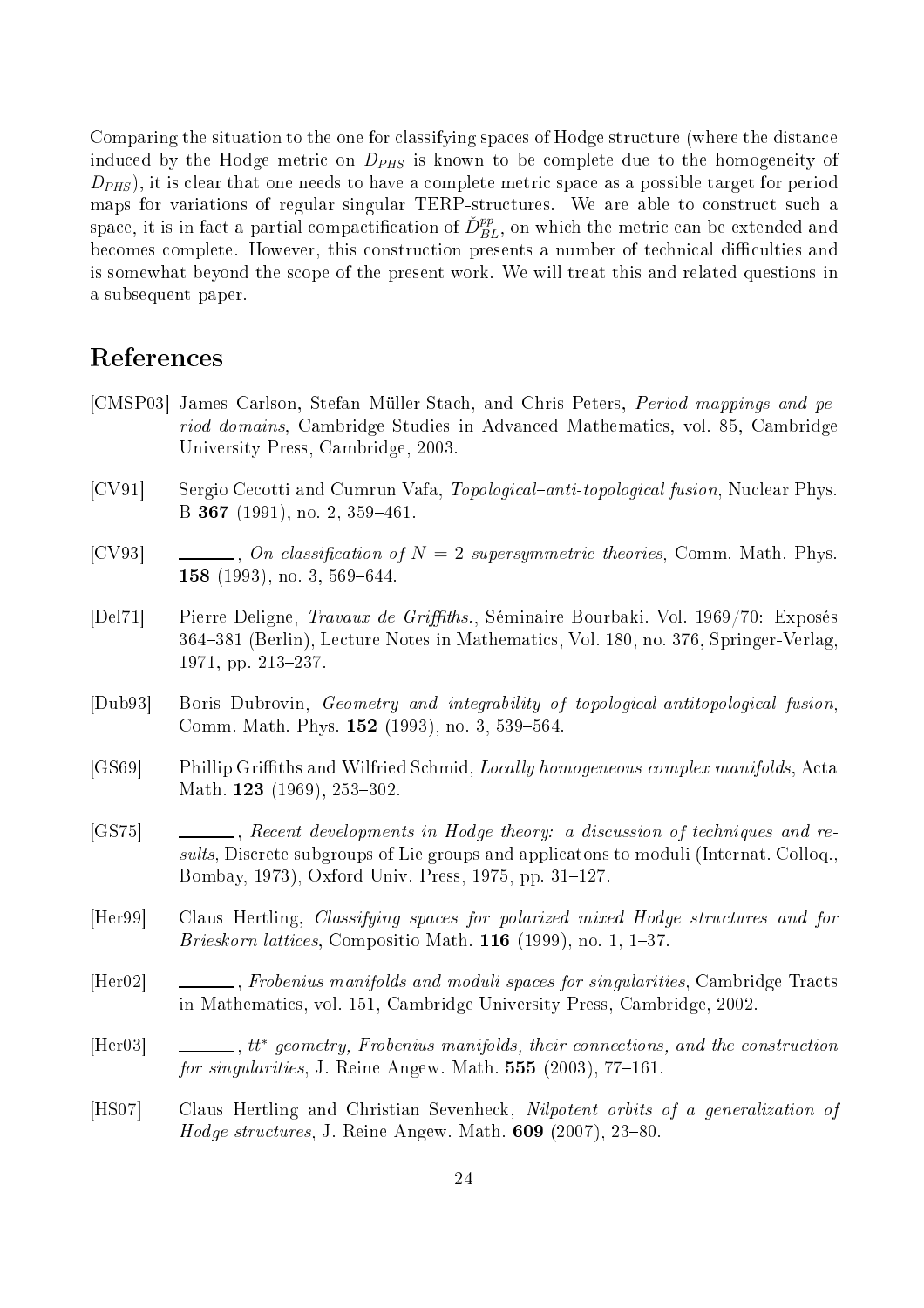Comparing the situation to the one for classifying spaces of Hodge structure (where the distance induced by the Hodge metric on  $D_{PHS}$  is known to be complete due to the homogeneity of  $D_{PHS}$ , it is clear that one needs to have a complete metric space as a possible target for period maps for variations of regular singular TERP-structures. We are able to construct such a  ${\rm space, \, it \, is \, in \, fact \, a \, partial \, compactification \, of \, \check{D}_{BL}^{pp}, \, on \, which \, the \, metric \, can \, be \, extended \, and \, }$ becomes complete. However, this construction presents a number of technical difficulties and is somewhat beyond the s
ope of the present work. We will treat this and related questions in a subsequent paper.

- [CMSP03] James Carlson, Stefan Müller-Stach, and Chris Peters, *Period mappings and pe*riod domains, Cambridge Studies in Advanced Mathematics, vol. 85, Cambridge University Press, Cambridge, 2003.
- [CV91] Sergio Cecotti and Cumrun Vafa, Topological–anti-topological fusion, Nuclear Phys. B 367 (1991), no. 2, 359-461.
- [CV93]  $\qquad \qquad \ldots$ , On classification of  $N = 2$  supersymmetric theories, Comm. Math. Phys. **158** (1993), no. 3, 569–644.
- [Del71] Pierre Deligne, *Travaux de Griffiths.*, Séminaire Bourbaki. Vol. 1969/70: Exposés 364381 (Berlin), Le
ture Notes in Mathemati
s, Vol. 180, no. 376, Springer-Verlag, 1971, pp. 213-237.
- [Dub93] Boris Dubrovin, Geometry and integrability of topological-antitopological fusion, Comm. Math. Phys. **152** (1993), no. 3, 539-564.
- [GS69] Phillip Griffiths and Wilfried Schmid, Locally homogeneous complex manifolds, Acta Math. 123 (1969), 253-302.
- [GS75]  $\qquad \qquad \qquad$ , Recent developments in Hodge theory: a discussion of techniques and results, Discrete subgroups of Lie groups and applicatons to moduli (Internat. Colloq., Bombay, 1973), Oxford Univ. Press, 1975, pp. 31–127.
- [Her99] Claus Hertling, *Classifying spaces for polarized mixed Hodge structures and for* Brieskorn lattices, Compositio Math.  $116$  (1999), no. 1, 1–37.
- [Her02] Frobenius manifolds and moduli spaces for singularities, Cambridge Tracts in Mathemati
s, vol. 151, Cambridge University Press, Cambridge, 2002.
- [Her03] ∴ ⊥\_\_\_\_, tt\* geometry, Frobenius manifolds, their connections, and the construction for singularities, J. Reine Angew. Math.  $555$  (2003), 77-161.
- [HS07] Claus Hertling and Christian Sevenheck, Nilpotent orbits of a generalization of *Hodge structures*, J. Reine Angew. Math.  $609$  (2007), 23-80.